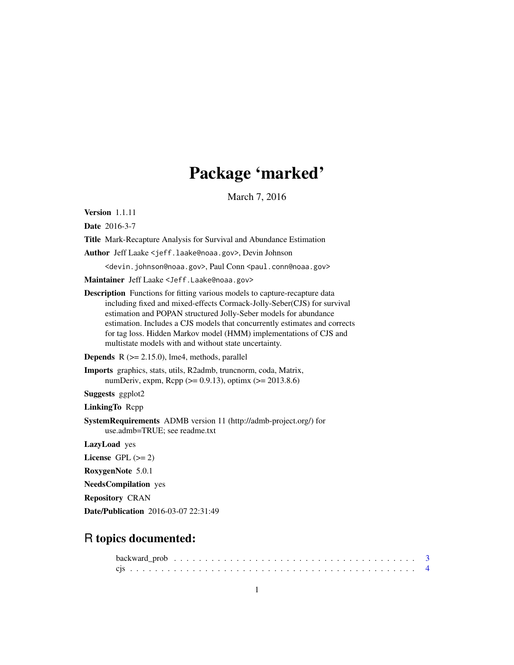# Package 'marked'

March 7, 2016

Version 1.1.11

Date 2016-3-7

Title Mark-Recapture Analysis for Survival and Abundance Estimation

Author Jeff Laake <jeff.laake@noaa.gov>, Devin Johnson

<devin.johnson@noaa.gov>, Paul Conn <paul.conn@noaa.gov>

Maintainer Jeff Laake <Jeff.Laake@noaa.gov>

Description Functions for fitting various models to capture-recapture data including fixed and mixed-effects Cormack-Jolly-Seber(CJS) for survival estimation and POPAN structured Jolly-Seber models for abundance estimation. Includes a CJS models that concurrently estimates and corrects for tag loss. Hidden Markov model (HMM) implementations of CJS and multistate models with and without state uncertainty.

**Depends**  $R$  ( $>= 2.15.0$ ), lme4, methods, parallel

Imports graphics, stats, utils, R2admb, truncnorm, coda, Matrix, numDeriv, expm, Rcpp ( $>= 0.9.13$ ), optimx ( $>= 2013.8.6$ )

Suggests ggplot2

LinkingTo Rcpp

SystemRequirements ADMB version 11 (http://admb-project.org/) for use.admb=TRUE; see readme.txt

LazyLoad yes

License GPL  $(>= 2)$ 

RoxygenNote 5.0.1

NeedsCompilation yes

Repository CRAN

Date/Publication 2016-03-07 22:31:49

# R topics documented: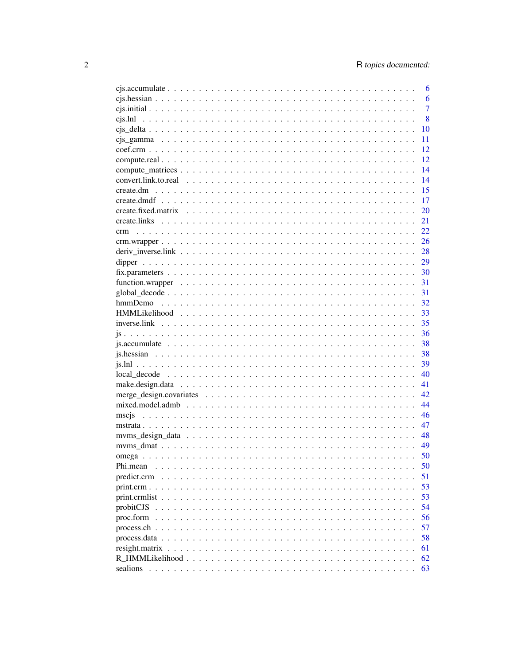|             | 6              |
|-------------|----------------|
|             | 6              |
|             | $\overline{7}$ |
|             | 8              |
|             | 10             |
|             | 11             |
|             | 12             |
|             | 12             |
|             | 14             |
|             | 14             |
|             | 15             |
|             | 17             |
|             | 20             |
|             | 21             |
| crm         | 22             |
|             | 26             |
|             |                |
|             |                |
|             |                |
|             | 31             |
|             | 31             |
|             | 32             |
|             | 33             |
|             | 35             |
|             | 36             |
|             | 38             |
|             | 38             |
|             | 39             |
|             | 40             |
|             |                |
|             | 41<br>42.      |
|             |                |
|             | 44             |
|             | 46             |
|             | 47             |
|             | - 48           |
|             | 49             |
|             | 50             |
| Phi.mean    | 50             |
| predict.crm | 51             |
|             | 53             |
|             | 53             |
|             | 54             |
|             | 56             |
|             | 57             |
|             | 58             |
|             | 61             |
|             | 62             |
|             | 63             |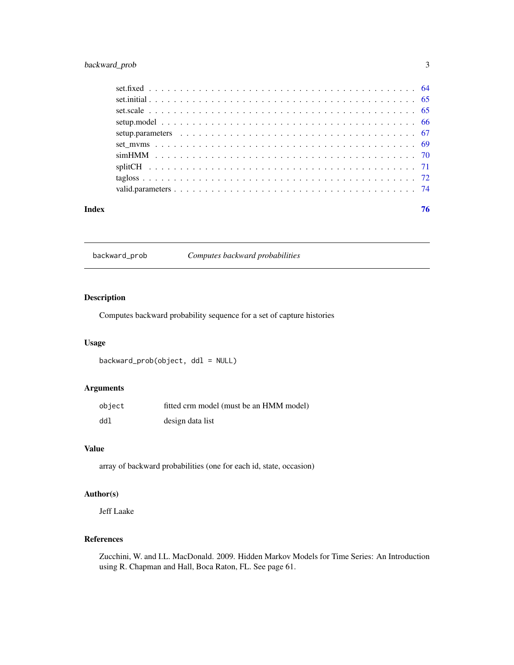# <span id="page-2-0"></span>backward\_prob 3

| Index |  |  | 76 |
|-------|--|--|----|

backward\_prob *Computes backward probabilities*

# Description

Computes backward probability sequence for a set of capture histories

# Usage

backward\_prob(object, ddl = NULL)

# Arguments

| object | fitted crm model (must be an HMM model) |
|--------|-----------------------------------------|
| ddl    | design data list                        |

# Value

array of backward probabilities (one for each id, state, occasion)

# Author(s)

Jeff Laake

# References

Zucchini, W. and I.L. MacDonald. 2009. Hidden Markov Models for Time Series: An Introduction using R. Chapman and Hall, Boca Raton, FL. See page 61.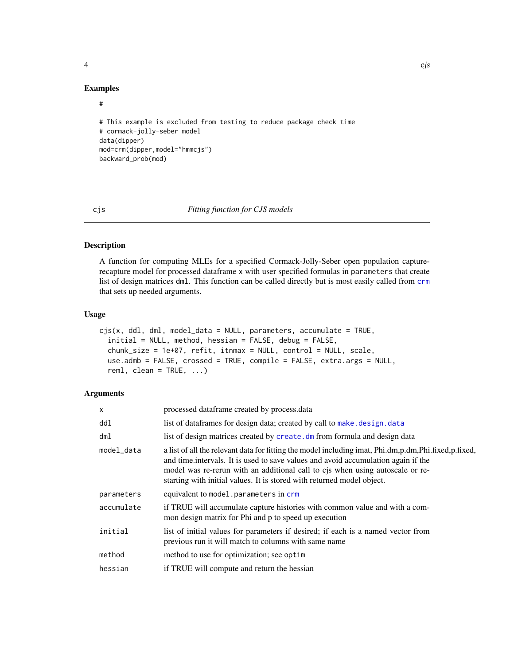#### Examples

#### #

```
# This example is excluded from testing to reduce package check time
# cormack-jolly-seber model
data(dipper)
mod=crm(dipper,model="hmmcjs")
backward_prob(mod)
```
<span id="page-3-1"></span>cjs *Fitting function for CJS models*

# Description

A function for computing MLEs for a specified Cormack-Jolly-Seber open population capturerecapture model for processed dataframe x with user specified formulas in parameters that create list of design matrices dml. This function can be called directly but is most easily called from [crm](#page-21-1) that sets up needed arguments.

#### Usage

```
cjs(x, dd1, dm1, model_data = NULL, parameters, accumulate = TRUE,initial = NULL, method, hessian = FALSE, debug = FALSE,
  chunk_size = 1e+07, refit, itnmax = NULL, control = NULL, scale,
  use.admb = FALSE, crossed = TRUE, compile = FALSE, extra.args = NULL,
  reml, clean = TRUE, ...)
```
# Arguments

| X          | processed dataframe created by process.data                                                                                                                                                                                                                                                                                                          |
|------------|------------------------------------------------------------------------------------------------------------------------------------------------------------------------------------------------------------------------------------------------------------------------------------------------------------------------------------------------------|
| ddl        | list of dataframes for design data; created by call to make. design. data                                                                                                                                                                                                                                                                            |
| dml        | list of design matrices created by create. dm from formula and design data                                                                                                                                                                                                                                                                           |
| model data | a list of all the relevant data for fitting the model including imat, Phi.dm,p.dm,Phi.fixed,p.fixed,<br>and time intervals. It is used to save values and avoid accumulation again if the<br>model was re-rerun with an additional call to cjs when using autoscale or re-<br>starting with initial values. It is stored with returned model object. |
| parameters | equivalent to model.parameters in crm                                                                                                                                                                                                                                                                                                                |
| accumulate | if TRUE will accumulate capture histories with common value and with a com-<br>mon design matrix for Phi and p to speed up execution                                                                                                                                                                                                                 |
| initial    | list of initial values for parameters if desired; if each is a named vector from<br>previous run it will match to columns with same name                                                                                                                                                                                                             |
| method     | method to use for optimization; see optim                                                                                                                                                                                                                                                                                                            |
| hessian    | if TRUE will compute and return the hessian                                                                                                                                                                                                                                                                                                          |
|            |                                                                                                                                                                                                                                                                                                                                                      |

<span id="page-3-0"></span>4 cjst na dobrodni za obrodni za obrodni za obrodni za obrodni za obrodni za obrodni za obrodni za obrodni za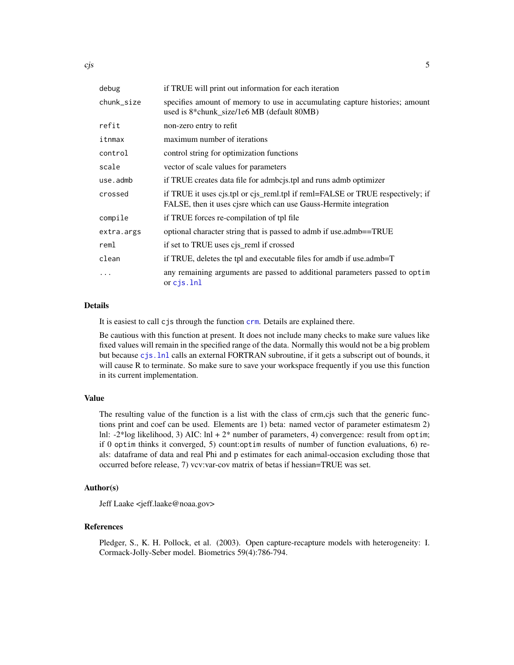| debug      | if TRUE will print out information for each iteration                                                                                               |
|------------|-----------------------------------------------------------------------------------------------------------------------------------------------------|
| chunk_size | specifies amount of memory to use in accumulating capture histories; amount<br>used is 8*chunk_size/1e6 MB (default 80MB)                           |
| refit      | non-zero entry to refit                                                                                                                             |
| itnmax     | maximum number of iterations                                                                                                                        |
| control    | control string for optimization functions                                                                                                           |
| scale      | vector of scale values for parameters                                                                                                               |
| use.admb   | if TRUE creates data file for admoot is to and runs admot optimizer                                                                                 |
| crossed    | if TRUE it uses cjs.tpl or cjs_reml.tpl if reml=FALSE or TRUE respectively; if<br>FALSE, then it uses cjsre which can use Gauss-Hermite integration |
| compile    | if TRUE forces re-compilation of tpl file                                                                                                           |
| extra.args | optional character string that is passed to admb if use.admb==TRUE                                                                                  |
| reml       | if set to TRUE uses cjs_reml if crossed                                                                                                             |
| clean      | if TRUE, deletes the tpl and executable files for amdb if use.admb=T                                                                                |
| $\cdots$   | any remaining arguments are passed to additional parameters passed to optim<br>or $c$ js. $lnl$                                                     |
|            |                                                                                                                                                     |

# Details

It is easiest to call cjs through the function [crm](#page-21-1). Details are explained there.

Be cautious with this function at present. It does not include many checks to make sure values like fixed values will remain in the specified range of the data. Normally this would not be a big problem but because [cjs.lnl](#page-7-1) calls an external FORTRAN subroutine, if it gets a subscript out of bounds, it will cause R to terminate. So make sure to save your workspace frequently if you use this function in its current implementation.

#### Value

The resulting value of the function is a list with the class of crm,cjs such that the generic functions print and coef can be used. Elements are 1) beta: named vector of parameter estimatesm 2) lnl: -2\*log likelihood, 3) AIC: lnl + 2\* number of parameters, 4) convergence: result from optim; if 0 optim thinks it converged, 5) count:optim results of number of function evaluations, 6) reals: dataframe of data and real Phi and p estimates for each animal-occasion excluding those that occurred before release, 7) vcv:var-cov matrix of betas if hessian=TRUE was set.

# Author(s)

Jeff Laake <jeff.laake@noaa.gov>

# References

Pledger, S., K. H. Pollock, et al. (2003). Open capture-recapture models with heterogeneity: I. Cormack-Jolly-Seber model. Biometrics 59(4):786-794.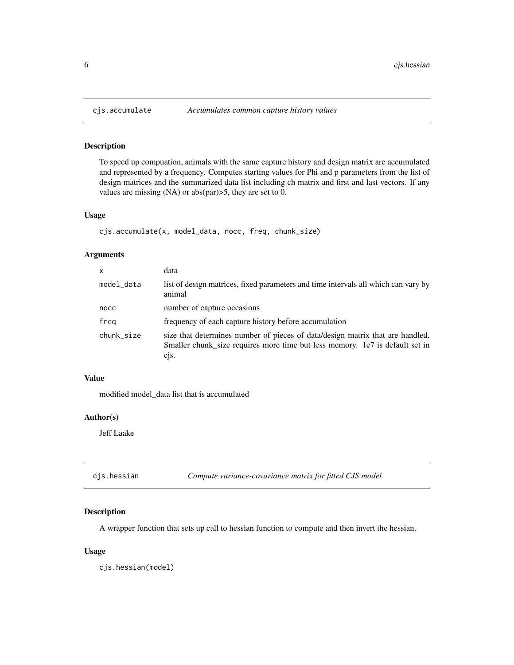# Description

To speed up compuation, animals with the same capture history and design matrix are accumulated and represented by a frequency. Computes starting values for Phi and p parameters from the list of design matrices and the summarized data list including ch matrix and first and last vectors. If any values are missing (NA) or abs(par)>5, they are set to 0.

#### Usage

```
cjs.accumulate(x, model_data, nocc, freq, chunk_size)
```
# Arguments

| x          | data                                                                                                                                                                     |
|------------|--------------------------------------------------------------------------------------------------------------------------------------------------------------------------|
| model_data | list of design matrices, fixed parameters and time intervals all which can vary by<br>animal                                                                             |
| nocc       | number of capture occasions                                                                                                                                              |
| freg       | frequency of each capture history before accumulation                                                                                                                    |
| chunk_size | size that determines number of pieces of data/design matrix that are handled.<br>Smaller chunk_size requires more time but less memory. 1e7 is default set in<br>$C1S$ . |

# Value

modified model\_data list that is accumulated

# Author(s)

Jeff Laake

| Compute variance-covariance matrix for fitted CJS model | cjs.hessian |  |  |  |
|---------------------------------------------------------|-------------|--|--|--|
|---------------------------------------------------------|-------------|--|--|--|

# Description

A wrapper function that sets up call to hessian function to compute and then invert the hessian.

# Usage

cjs.hessian(model)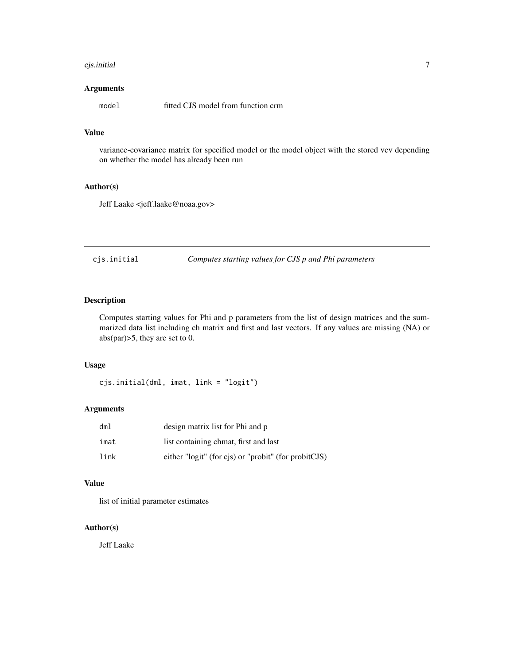#### <span id="page-6-0"></span>cjs.initial 7

# Arguments

model fitted CJS model from function crm

# Value

variance-covariance matrix for specified model or the model object with the stored vcv depending on whether the model has already been run

# Author(s)

Jeff Laake <jeff.laake@noaa.gov>

cjs.initial *Computes starting values for CJS p and Phi parameters*

# Description

Computes starting values for Phi and p parameters from the list of design matrices and the summarized data list including ch matrix and first and last vectors. If any values are missing (NA) or abs(par)>5, they are set to 0.

# Usage

cjs.initial(dml, imat, link = "logit")

# Arguments

| dml  | design matrix list for Phi and p                     |
|------|------------------------------------------------------|
| imat | list containing chmat, first and last                |
| link | either "logit" (for cjs) or "probit" (for probitCJS) |

#### Value

list of initial parameter estimates

# Author(s)

Jeff Laake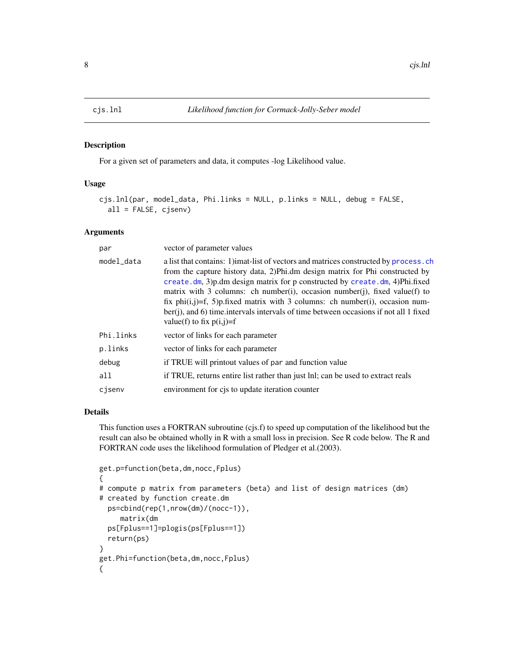#### Description

For a given set of parameters and data, it computes -log Likelihood value.

# Usage

```
cjs.lnl(par, model_data, Phi.links = NULL, p.links = NULL, debug = FALSE,
  all = FALSE, cjsenv)
```
#### Arguments

| par        | vector of parameter values                                                                                                                                                                                                                                                                                                                                                                                                                                                                                                                  |
|------------|---------------------------------------------------------------------------------------------------------------------------------------------------------------------------------------------------------------------------------------------------------------------------------------------------------------------------------------------------------------------------------------------------------------------------------------------------------------------------------------------------------------------------------------------|
| model_data | a list that contains: 1) imat-list of vectors and matrices constructed by process. ch<br>from the capture history data, 2)Phi.dm design matrix for Phi constructed by<br>create.dm, 3)p.dm design matrix for p constructed by create.dm, 4)Phi.fixed<br>matrix with 3 columns: ch number(i), occasion number(j), fixed value(f) to<br>fix $phi(i,j)=f$ , 5)p.fixed matrix with 3 columns: ch number(i), occasion num-<br>ber(j), and 6) time intervals intervals of time between occasions if not all 1 fixed<br>value(f) to fix $p(i,j)=f$ |
| Phi.links  | vector of links for each parameter                                                                                                                                                                                                                                                                                                                                                                                                                                                                                                          |
| p.links    | vector of links for each parameter                                                                                                                                                                                                                                                                                                                                                                                                                                                                                                          |
| debug      | if TRUE will printout values of par and function value                                                                                                                                                                                                                                                                                                                                                                                                                                                                                      |
| a11        | if TRUE, returns entire list rather than just lnl; can be used to extract reals                                                                                                                                                                                                                                                                                                                                                                                                                                                             |
| cjsenv     | environment for cjs to update iteration counter                                                                                                                                                                                                                                                                                                                                                                                                                                                                                             |

# Details

This function uses a FORTRAN subroutine (cjs.f) to speed up computation of the likelihood but the result can also be obtained wholly in R with a small loss in precision. See R code below. The R and FORTRAN code uses the likelihood formulation of Pledger et al.(2003).

```
get.p=function(beta,dm,nocc,Fplus)
{
# compute p matrix from parameters (beta) and list of design matrices (dm)
# created by function create.dm
 ps=cbind(rep(1,nrow(dm)/(nocc-1)),
     matrix(dm
 ps[Fplus==1]=plogis(ps[Fplus==1])
 return(ps)
}
get.Phi=function(beta,dm,nocc,Fplus)
{
```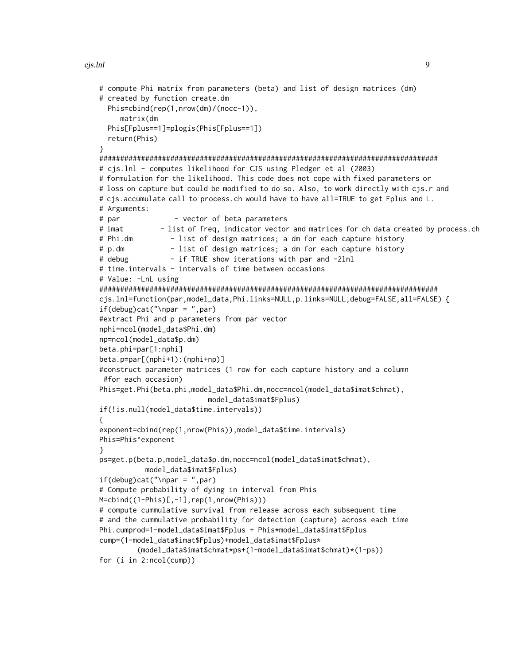```
# compute Phi matrix from parameters (beta) and list of design matrices (dm)
# created by function create.dm
 Phis=cbind(rep(1,nrow(dm)/(nocc-1)),
    matrix(dm
 Phis[Fplus==1]=plogis(Phis[Fplus==1])
  return(Phis)
}
#################################################################################
# cjs.lnl - computes likelihood for CJS using Pledger et al (2003)
# formulation for the likelihood. This code does not cope with fixed parameters or
# loss on capture but could be modified to do so. Also, to work directly with cjs.r and
# cjs.accumulate call to process.ch would have to have all=TRUE to get Fplus and L.
# Arguments:
# par - vector of beta parameters
# imat - list of freq, indicator vector and matrices for ch data created by process.ch
# Phi.dm - list of design matrices; a dm for each capture history
# p.dm - list of design matrices; a dm for each capture history
# debug - if TRUE show iterations with par and -2lnl
# time.intervals - intervals of time between occasions
# Value: -LnL using
#################################################################################
cjs.lnl=function(par,model_data,Phi.links=NULL,p.links=NULL,debug=FALSE,all=FALSE) {
if(debug)cat("\nupar = ",par)#extract Phi and p parameters from par vector
nphi=ncol(model_data$Phi.dm)
np=ncol(model_data$p.dm)
beta.phi=par[1:nphi]
beta.p=par[(nphi+1):(nphi+np)]
#construct parameter matrices (1 row for each capture history and a column
#for each occasion)
Phis=get.Phi(beta.phi,model_data$Phi.dm,nocc=ncol(model_data$imat$chmat),
                         model_data$imat$Fplus)
if(!is.null(model_data$time.intervals))
{
exponent=cbind(rep(1,nrow(Phis)),model_data$time.intervals)
Phis=Phis^exponent
}
ps=get.p(beta.p,model_data$p.dm,nocc=ncol(model_data$imat$chmat),
          model_data$imat$Fplus)
if(debug)cat("\nupar = ",par)# Compute probability of dying in interval from Phis
M=cbind((1-Phis)[,-1],rep(1,nrow(Phis)))
# compute cummulative survival from release across each subsequent time
# and the cummulative probability for detection (capture) across each time
Phi.cumprod=1-model_data$imat$Fplus + Phis*model_data$imat$Fplus
cump=(1-model_data$imat$Fplus)+model_data$imat$Fplus*
         (model_data$imat$chmat*ps+(1-model_data$imat$chmat)*(1-ps))
for (i in 2:ncol(cump))
```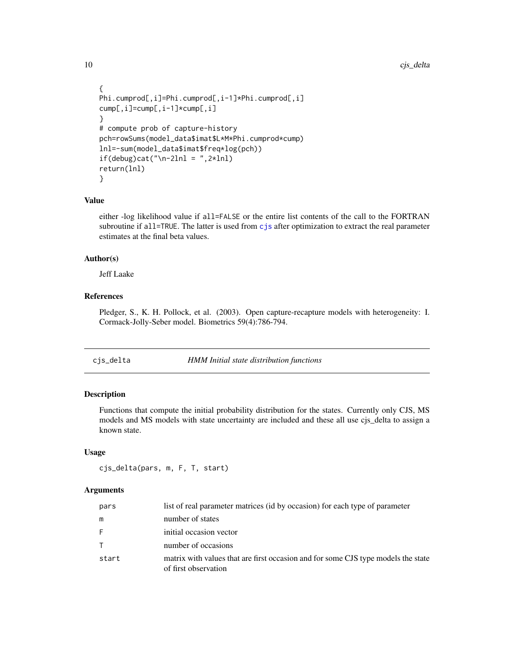```
{
Phi.cumprod[,i]=Phi.cumprod[,i-1]*Phi.cumprod[,i]
cump[,i]=cump[,i-1]*cump[,i]
}
# compute prob of capture-history
pch=rowSums(model_data$imat$L*M*Phi.cumprod*cump)
lnl=-sum(model_data$imat$freq*log(pch))
if(debug)cat("\n-2lnl = ",2*lnl)return(lnl)
}
```
# Value

either -log likelihood value if all=FALSE or the entire list contents of the call to the FORTRAN subroutine if all=TRUE. The latter is used from [cjs](#page-3-1) after optimization to extract the real parameter estimates at the final beta values.

# Author(s)

Jeff Laake

# References

Pledger, S., K. H. Pollock, et al. (2003). Open capture-recapture models with heterogeneity: I. Cormack-Jolly-Seber model. Biometrics 59(4):786-794.

cjs\_delta *HMM Initial state distribution functions*

# Description

Functions that compute the initial probability distribution for the states. Currently only CJS, MS models and MS models with state uncertainty are included and these all use cjs\_delta to assign a known state.

# Usage

```
cjs_delta(pars, m, F, T, start)
```
# **Arguments**

| pars   | list of real parameter matrices (id by occasion) for each type of parameter                               |
|--------|-----------------------------------------------------------------------------------------------------------|
| m      | number of states                                                                                          |
| -F     | initial occasion vector                                                                                   |
| $\top$ | number of occasions                                                                                       |
| start  | matrix with values that are first occasion and for some CJS type models the state<br>of first observation |

<span id="page-9-0"></span>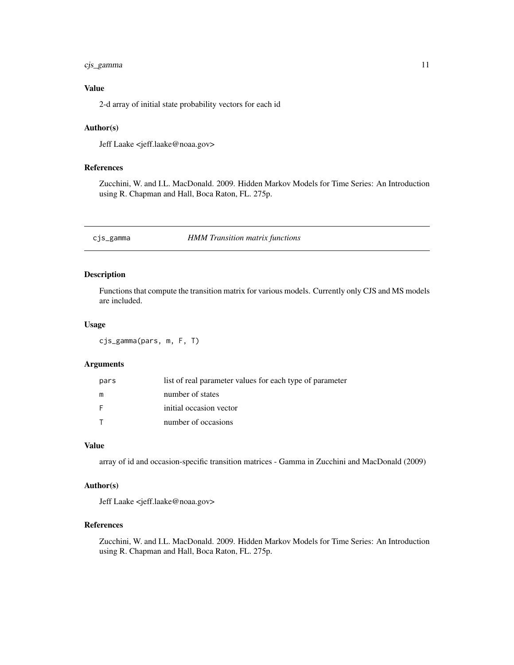# <span id="page-10-0"></span>cjs\_gamma 11

# Value

2-d array of initial state probability vectors for each id

# Author(s)

Jeff Laake <jeff.laake@noaa.gov>

# References

Zucchini, W. and I.L. MacDonald. 2009. Hidden Markov Models for Time Series: An Introduction using R. Chapman and Hall, Boca Raton, FL. 275p.

cjs\_gamma *HMM Transition matrix functions*

# Description

Functions that compute the transition matrix for various models. Currently only CJS and MS models are included.

# Usage

cjs\_gamma(pars, m, F, T)

# Arguments

| pars | list of real parameter values for each type of parameter |
|------|----------------------------------------------------------|
| m    | number of states                                         |
| F    | initial occasion vector                                  |
|      | number of occasions                                      |

#### Value

array of id and occasion-specific transition matrices - Gamma in Zucchini and MacDonald (2009)

# Author(s)

Jeff Laake <jeff.laake@noaa.gov>

# References

Zucchini, W. and I.L. MacDonald. 2009. Hidden Markov Models for Time Series: An Introduction using R. Chapman and Hall, Boca Raton, FL. 275p.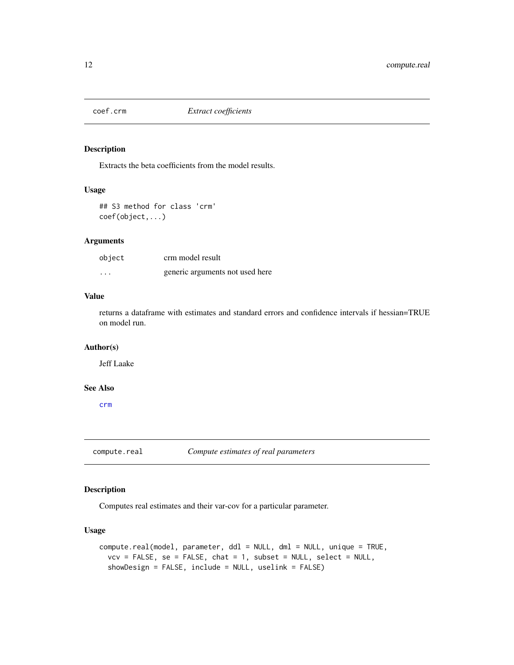<span id="page-11-0"></span>

# Description

Extracts the beta coefficients from the model results.

# Usage

## S3 method for class 'crm' coef(object,...)

# Arguments

| object | crm model result                |
|--------|---------------------------------|
| .      | generic arguments not used here |

# Value

returns a dataframe with estimates and standard errors and confidence intervals if hessian=TRUE on model run.

#### Author(s)

Jeff Laake

# See Also

[crm](#page-21-1)

<span id="page-11-1"></span>compute.real *Compute estimates of real parameters*

# Description

Computes real estimates and their var-cov for a particular parameter.

# Usage

```
compute.real(model, parameter, ddl = NULL, dml = NULL, unique = TRUE,
  vcv = FALSE, se = FALSE, chat = 1, subset = NULL, select = NULL,showDesign = FALSE, include = NULL, uselink = FALSE)
```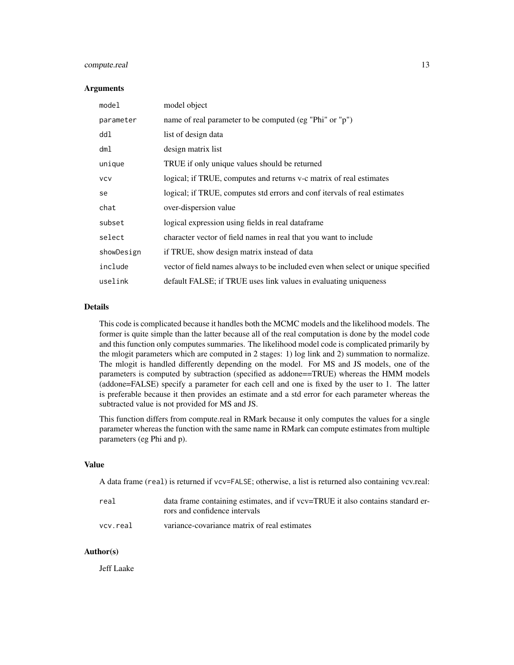# compute.real 13

#### **Arguments**

| model      | model object                                                                     |
|------------|----------------------------------------------------------------------------------|
| parameter  | name of real parameter to be computed (eg "Phi" or "p")                          |
| ddl        | list of design data                                                              |
| dml        | design matrix list                                                               |
| unique     | TRUE if only unique values should be returned                                    |
| <b>VCV</b> | logical; if TRUE, computes and returns v-c matrix of real estimates              |
| se         | logical; if TRUE, computes std errors and conf itervals of real estimates        |
| chat       | over-dispersion value                                                            |
| subset     | logical expression using fields in real dataframe                                |
| select     | character vector of field names in real that you want to include                 |
| showDesign | if TRUE, show design matrix instead of data                                      |
| include    | vector of field names always to be included even when select or unique specified |
| uselink    | default FALSE; if TRUE uses link values in evaluating uniqueness                 |

# Details

This code is complicated because it handles both the MCMC models and the likelihood models. The former is quite simple than the latter because all of the real computation is done by the model code and this function only computes summaries. The likelihood model code is complicated primarily by the mlogit parameters which are computed in 2 stages: 1) log link and 2) summation to normalize. The mlogit is handled differently depending on the model. For MS and JS models, one of the parameters is computed by subtraction (specified as addone==TRUE) whereas the HMM models (addone=FALSE) specify a parameter for each cell and one is fixed by the user to 1. The latter is preferable because it then provides an estimate and a std error for each parameter whereas the subtracted value is not provided for MS and JS.

This function differs from compute.real in RMark because it only computes the values for a single parameter whereas the function with the same name in RMark can compute estimates from multiple parameters (eg Phi and p).

#### Value

A data frame (real) is returned if vcv=FALSE; otherwise, a list is returned also containing vcv.real:

| real     | data frame containing estimates, and if vcv=TRUE it also contains standard er- |
|----------|--------------------------------------------------------------------------------|
|          | rors and confidence intervals                                                  |
| vcv.real | variance-covariance matrix of real estimates                                   |

#### Author(s)

Jeff Laake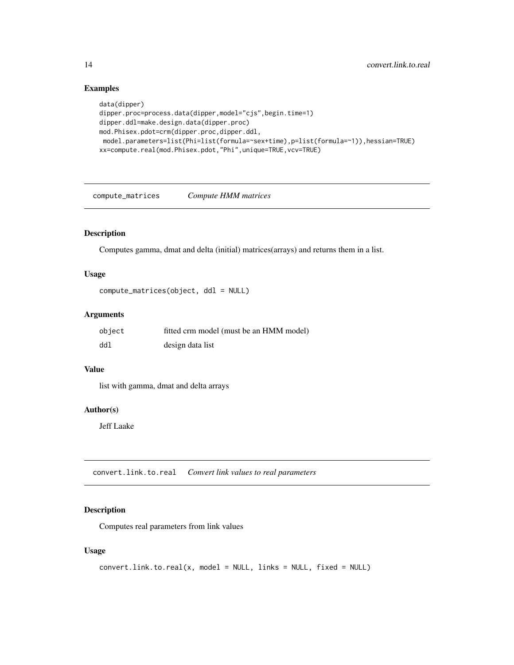# Examples

```
data(dipper)
dipper.proc=process.data(dipper,model="cjs",begin.time=1)
dipper.ddl=make.design.data(dipper.proc)
mod.Phisex.pdot=crm(dipper.proc,dipper.ddl,
model.parameters=list(Phi=list(formula=~sex+time),p=list(formula=~1)),hessian=TRUE)
xx=compute.real(mod.Phisex.pdot,"Phi",unique=TRUE,vcv=TRUE)
```
compute\_matrices *Compute HMM matrices*

# Description

Computes gamma, dmat and delta (initial) matrices(arrays) and returns them in a list.

# Usage

```
compute_matrices(object, ddl = NULL)
```
# Arguments

| object | fitted crm model (must be an HMM model) |
|--------|-----------------------------------------|
| ddl    | design data list                        |

# Value

list with gamma, dmat and delta arrays

#### Author(s)

Jeff Laake

convert.link.to.real *Convert link values to real parameters*

# Description

Computes real parameters from link values

# Usage

```
convert.link.to.real(x, model = NULL, links = NULL, fixed = NULL)
```
<span id="page-13-0"></span>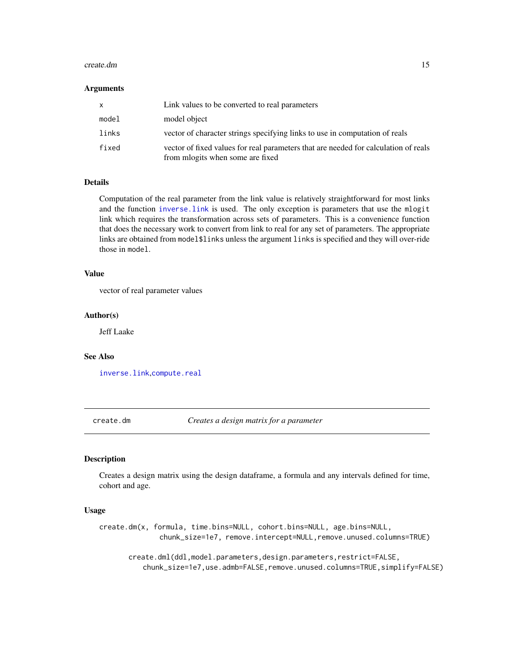#### <span id="page-14-0"></span>create.dm 15

#### **Arguments**

| x.    | Link values to be converted to real parameters                                                                          |
|-------|-------------------------------------------------------------------------------------------------------------------------|
| model | model object                                                                                                            |
| links | vector of character strings specifying links to use in computation of reals                                             |
| fixed | vector of fixed values for real parameters that are needed for calculation of reals<br>from mlogits when some are fixed |

# Details

Computation of the real parameter from the link value is relatively straightforward for most links and the function [inverse.link](#page-34-1) is used. The only exception is parameters that use the mlogit link which requires the transformation across sets of parameters. This is a convenience function that does the necessary work to convert from link to real for any set of parameters. The appropriate links are obtained from model\$links unless the argument links is specified and they will over-ride those in model.

# Value

vector of real parameter values

#### Author(s)

Jeff Laake

#### See Also

[inverse.link](#page-34-1),[compute.real](#page-11-1)

<span id="page-14-1"></span>create.dm *Creates a design matrix for a parameter*

#### Description

Creates a design matrix using the design dataframe, a formula and any intervals defined for time, cohort and age.

#### Usage

create.dm(x, formula, time.bins=NULL, cohort.bins=NULL, age.bins=NULL, chunk\_size=1e7, remove.intercept=NULL,remove.unused.columns=TRUE)

create.dml(ddl,model.parameters,design.parameters,restrict=FALSE, chunk\_size=1e7,use.admb=FALSE,remove.unused.columns=TRUE,simplify=FALSE)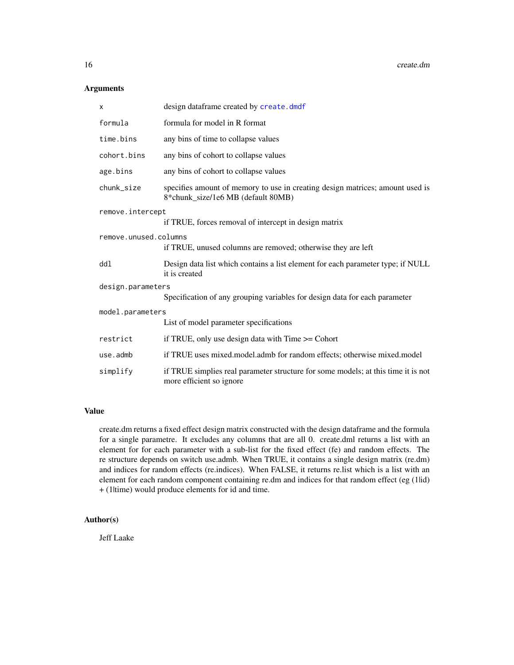# Arguments

| X                     | design dataframe created by create.dmdf                                                                             |
|-----------------------|---------------------------------------------------------------------------------------------------------------------|
| formula               | formula for model in R format                                                                                       |
| time.bins             | any bins of time to collapse values                                                                                 |
| cohort.bins           | any bins of cohort to collapse values                                                                               |
| age.bins              | any bins of cohort to collapse values                                                                               |
| chunk_size            | specifies amount of memory to use in creating design matrices; amount used is<br>8*chunk_size/1e6 MB (default 80MB) |
| remove.intercept      |                                                                                                                     |
|                       | if TRUE, forces removal of intercept in design matrix                                                               |
| remove.unused.columns |                                                                                                                     |
|                       | if TRUE, unused columns are removed; otherwise they are left                                                        |
| ddl                   | Design data list which contains a list element for each parameter type; if NULL<br>it is created                    |
| design.parameters     |                                                                                                                     |
|                       | Specification of any grouping variables for design data for each parameter                                          |
| model.parameters      |                                                                                                                     |
|                       | List of model parameter specifications                                                                              |
| restrict              | if TRUE, only use design data with Time >= Cohort                                                                   |
| use.admb              | if TRUE uses mixed.model.admb for random effects; otherwise mixed.model                                             |
| simplify              | if TRUE simplies real parameter structure for some models; at this time it is not<br>more efficient so ignore       |

# Value

create.dm returns a fixed effect design matrix constructed with the design dataframe and the formula for a single parametre. It excludes any columns that are all 0. create.dml returns a list with an element for for each parameter with a sub-list for the fixed effect (fe) and random effects. The re structure depends on switch use.admb. When TRUE, it contains a single design matrix (re.dm) and indices for random effects (re.indices). When FALSE, it returns re.list which is a list with an element for each random component containing re.dm and indices for that random effect (eg (1lid) + (1|time) would produce elements for id and time.

# Author(s)

Jeff Laake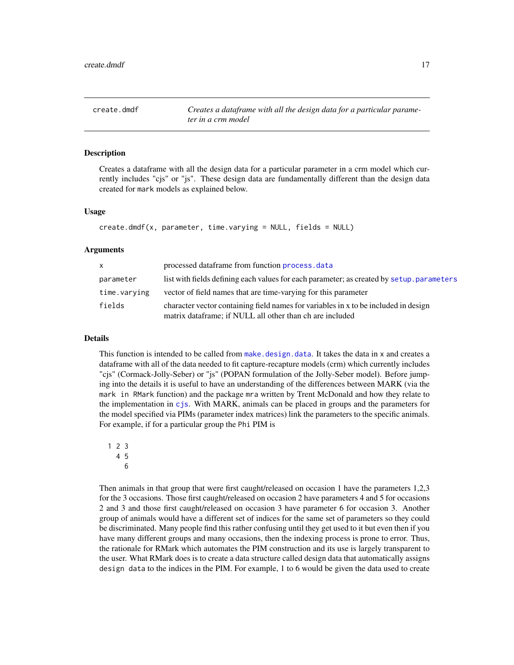# <span id="page-16-1"></span><span id="page-16-0"></span>Description

Creates a dataframe with all the design data for a particular parameter in a crm model which currently includes "cjs" or "js". These design data are fundamentally different than the design data created for mark models as explained below.

# Usage

```
create.dmdf(x, parameter, time.varying = NULL, fields = NULL)
```
#### Arguments

| $\mathsf{x}$ | processed dataframe from function process. data                                                                                                 |
|--------------|-------------------------------------------------------------------------------------------------------------------------------------------------|
| parameter    | list with fields defining each values for each parameter; as created by setup. parameters                                                       |
| time.varying | vector of field names that are time-varying for this parameter                                                                                  |
| fields       | character vector containing field names for variables in x to be included in design<br>matrix dataframe; if NULL all other than ch are included |

#### Details

This function is intended to be called from [make.design.data](#page-40-1). It takes the data in x and creates a dataframe with all of the data needed to fit capture-recapture models (crm) which currently includes "cjs" (Cormack-Jolly-Seber) or "js" (POPAN formulation of the Jolly-Seber model). Before jumping into the details it is useful to have an understanding of the differences between MARK (via the mark in RMark function) and the package mra written by Trent McDonald and how they relate to the implementation in [cjs](#page-3-1). With MARK, animals can be placed in groups and the parameters for the model specified via PIMs (parameter index matrices) link the parameters to the specific animals. For example, if for a particular group the Phi PIM is

6

Then animals in that group that were first caught/released on occasion 1 have the parameters 1,2,3 for the 3 occasions. Those first caught/released on occasion 2 have parameters 4 and 5 for occasions 2 and 3 and those first caught/released on occasion 3 have parameter 6 for occasion 3. Another group of animals would have a different set of indices for the same set of parameters so they could be discriminated. Many people find this rather confusing until they get used to it but even then if you have many different groups and many occasions, then the indexing process is prone to error. Thus, the rationale for RMark which automates the PIM construction and its use is largely transparent to the user. What RMark does is to create a data structure called design data that automatically assigns design data to the indices in the PIM. For example, 1 to 6 would be given the data used to create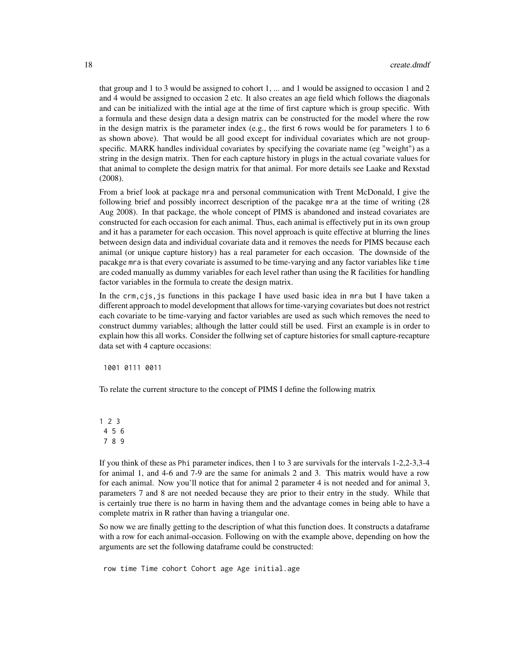that group and 1 to 3 would be assigned to cohort 1, ... and 1 would be assigned to occasion 1 and 2 and 4 would be assigned to occasion 2 etc. It also creates an age field which follows the diagonals and can be initialized with the intial age at the time of first capture which is group specific. With a formula and these design data a design matrix can be constructed for the model where the row in the design matrix is the parameter index (e.g., the first 6 rows would be for parameters 1 to 6 as shown above). That would be all good except for individual covariates which are not groupspecific. MARK handles individual covariates by specifying the covariate name (eg "weight") as a string in the design matrix. Then for each capture history in plugs in the actual covariate values for that animal to complete the design matrix for that animal. For more details see Laake and Rexstad (2008).

From a brief look at package mra and personal communication with Trent McDonald, I give the following brief and possibly incorrect description of the pacakge mra at the time of writing (28 Aug 2008). In that package, the whole concept of PIMS is abandoned and instead covariates are constructed for each occasion for each animal. Thus, each animal is effectively put in its own group and it has a parameter for each occasion. This novel approach is quite effective at blurring the lines between design data and individual covariate data and it removes the needs for PIMS because each animal (or unique capture history) has a real parameter for each occasion. The downside of the pacakge mra is that every covariate is assumed to be time-varying and any factor variables like time are coded manually as dummy variables for each level rather than using the R facilities for handling factor variables in the formula to create the design matrix.

In the crm,cjs,js functions in this package I have used basic idea in mra but I have taken a different approach to model development that allows for time-varying covariates but does not restrict each covariate to be time-varying and factor variables are used as such which removes the need to construct dummy variables; although the latter could still be used. First an example is in order to explain how this all works. Consider the follwing set of capture histories for small capture-recapture data set with 4 capture occasions:

1001 0111 0011

To relate the current structure to the concept of PIMS I define the following matrix

1 2 3 4 5 6 7 8 9

If you think of these as Phi parameter indices, then 1 to 3 are survivals for the intervals 1-2,2-3,3-4 for animal 1, and 4-6 and 7-9 are the same for animals 2 and 3. This matrix would have a row for each animal. Now you'll notice that for animal 2 parameter 4 is not needed and for animal 3, parameters 7 and 8 are not needed because they are prior to their entry in the study. While that is certainly true there is no harm in having them and the advantage comes in being able to have a complete matrix in R rather than having a triangular one.

So now we are finally getting to the description of what this function does. It constructs a dataframe with a row for each animal-occasion. Following on with the example above, depending on how the arguments are set the following dataframe could be constructed:

row time Time cohort Cohort age Age initial.age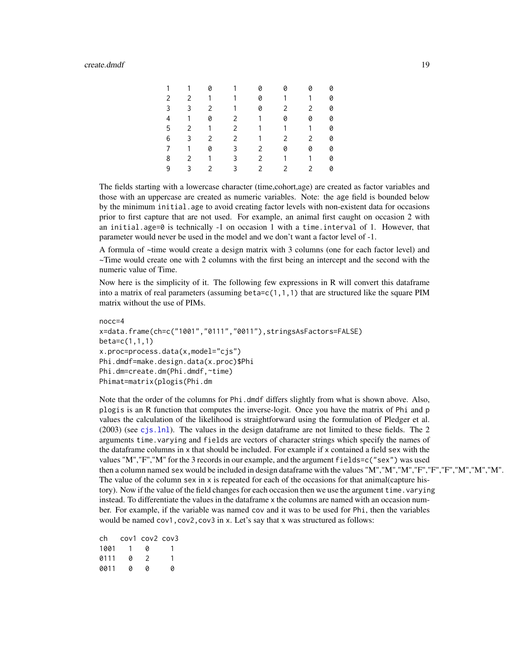#### create.dmdf 19

| 1 | $\overline{1}$          | 0              | $\overline{1}$ | 0              | 0            | 0                     | 0 |
|---|-------------------------|----------------|----------------|----------------|--------------|-----------------------|---|
| 2 | $\mathbf{2}$            | $\mathbf{1}$   | $\overline{1}$ | 0              | $\mathbf{1}$ | 1                     | 0 |
| 3 | $\overline{3}$          | $\overline{2}$ | $\mathbf{1}$   | 0              | $\mathbf{2}$ | $\overline{2}$        | 0 |
| 4 | $\overline{1}$          | 0              | $\mathbf{2}$   | $\mathbf{1}$   | 0            | 0                     | 0 |
| 5 | $\mathbf{2}$            | $\mathbf{1}$   | $\mathbf{2}$   | $\mathbf{1}$   | $\mathbf{1}$ | 1                     | 0 |
| 6 | $\overline{3}$          | $\overline{2}$ | $\mathbf{2}$   | $\overline{1}$ | $\mathbf{2}$ | $\mathbf{2}^{\prime}$ | 0 |
| 7 | $\overline{1}$          | 0              | $\mathbf{3}$   | $\mathbf{2}$   | 0            | 0                     | 0 |
| 8 | $\overline{2}$          | $\mathbf{1}$   | $\mathbf{3}$   | $2^{\circ}$    | $\mathbf{1}$ | 1                     | 0 |
| 9 | $\overline{\mathbf{3}}$ | $\overline{2}$ | 3              | $\mathbf{2}$   | $\mathbf{2}$ | 2                     | 0 |

The fields starting with a lowercase character (time,cohort,age) are created as factor variables and those with an uppercase are created as numeric variables. Note: the age field is bounded below by the minimum initial.age to avoid creating factor levels with non-existent data for occasions prior to first capture that are not used. For example, an animal first caught on occasion 2 with an initial.age=0 is technically -1 on occasion 1 with a time.interval of 1. However, that parameter would never be used in the model and we don't want a factor level of -1.

A formula of ~time would create a design matrix with 3 columns (one for each factor level) and ~Time would create one with 2 columns with the first being an intercept and the second with the numeric value of Time.

Now here is the simplicity of it. The following few expressions in R will convert this dataframe into a matrix of real parameters (assuming beta= $c(1,1,1)$ ) that are structured like the square PIM matrix without the use of PIMs.

```
nocc=4
x=data.frame(ch=c("1001","0111","0011"),stringsAsFactors=FALSE)
beta=c(1,1,1)
x.proc=process.data(x,model="cjs")
Phi.dmdf=make.design.data(x.proc)$Phi
Phi.dm=create.dm(Phi.dmdf,~time)
Phimat=matrix(plogis(Phi.dm
```
Note that the order of the columns for Phi.dmdf differs slightly from what is shown above. Also, plogis is an R function that computes the inverse-logit. Once you have the matrix of Phi and p values the calculation of the likelihood is straightforward using the formulation of Pledger et al. (2003) (see [cjs.lnl](#page-7-1)). The values in the design dataframe are not limited to these fields. The 2 arguments time.varying and fields are vectors of character strings which specify the names of the dataframe columns in x that should be included. For example if x contained a field sex with the values "M","F","M" for the 3 records in our example, and the argument fields=c("sex") was used then a column named sex would be included in design dataframe with the values "M","M","M","F","F","F","M","M","M". The value of the column sex in  $x$  is repeated for each of the occasions for that animal (capture history). Now if the value of the field changes for each occasion then we use the argument time.varying instead. To differentiate the values in the dataframe x the columns are named with an occasion number. For example, if the variable was named cov and it was to be used for Phi, then the variables would be named cov1, cov2, cov3 in x. Let's say that x was structured as follows:

| ch   |    | cov1 cov2 cov3 |   |
|------|----|----------------|---|
| 1001 | Т. | a              |   |
| 0111 | a  | 2              | 1 |
| 0011 | a  | a              | a |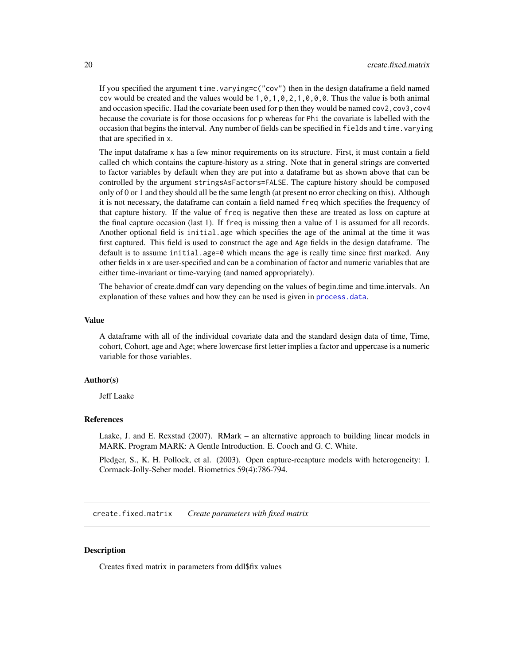<span id="page-19-0"></span>If you specified the argument time. varying=c( $"cov"$ ) then in the design dataframe a field named cov would be created and the values would be  $1, 0, 1, 0, 2, 1, 0, 0, 0$ . Thus the value is both animal and occasion specific. Had the covariate been used for p then they would be named cov2,cov3,cov4 because the covariate is for those occasions for p whereas for Phi the covariate is labelled with the occasion that begins the interval. Any number of fields can be specified in fields and time.varying that are specified in x.

The input dataframe x has a few minor requirements on its structure. First, it must contain a field called ch which contains the capture-history as a string. Note that in general strings are converted to factor variables by default when they are put into a dataframe but as shown above that can be controlled by the argument stringsAsFactors=FALSE. The capture history should be composed only of 0 or 1 and they should all be the same length (at present no error checking on this). Although it is not necessary, the dataframe can contain a field named freq which specifies the frequency of that capture history. If the value of freq is negative then these are treated as loss on capture at the final capture occasion (last 1). If freq is missing then a value of 1 is assumed for all records. Another optional field is initial.age which specifies the age of the animal at the time it was first captured. This field is used to construct the age and Age fields in the design dataframe. The default is to assume initial.age=0 which means the age is really time since first marked. Any other fields in x are user-specified and can be a combination of factor and numeric variables that are either time-invariant or time-varying (and named appropriately).

The behavior of create.dmdf can vary depending on the values of begin.time and time.intervals. An explanation of these values and how they can be used is given in [process.data](#page-57-1).

#### Value

A dataframe with all of the individual covariate data and the standard design data of time, Time, cohort, Cohort, age and Age; where lowercase first letter implies a factor and uppercase is a numeric variable for those variables.

# Author(s)

Jeff Laake

# References

Laake, J. and E. Rexstad (2007). RMark – an alternative approach to building linear models in MARK. Program MARK: A Gentle Introduction. E. Cooch and G. C. White.

Pledger, S., K. H. Pollock, et al. (2003). Open capture-recapture models with heterogeneity: I. Cormack-Jolly-Seber model. Biometrics 59(4):786-794.

create.fixed.matrix *Create parameters with fixed matrix*

#### Description

Creates fixed matrix in parameters from ddl\$fix values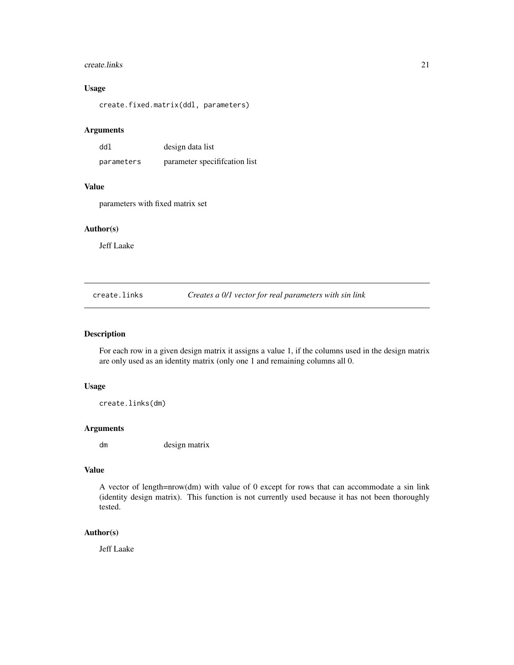#### <span id="page-20-0"></span>create.links 21

# Usage

create.fixed.matrix(ddl, parameters)

# Arguments

| ddl        | design data list             |
|------------|------------------------------|
| parameters | parameter specification list |

# Value

parameters with fixed matrix set

# Author(s)

Jeff Laake

create.links *Creates a 0/1 vector for real parameters with sin link*

# Description

For each row in a given design matrix it assigns a value 1, if the columns used in the design matrix are only used as an identity matrix (only one 1 and remaining columns all 0.

#### Usage

create.links(dm)

# Arguments

dm design matrix

# Value

A vector of length=nrow(dm) with value of 0 except for rows that can accommodate a sin link (identity design matrix). This function is not currently used because it has not been thoroughly tested.

# Author(s)

Jeff Laake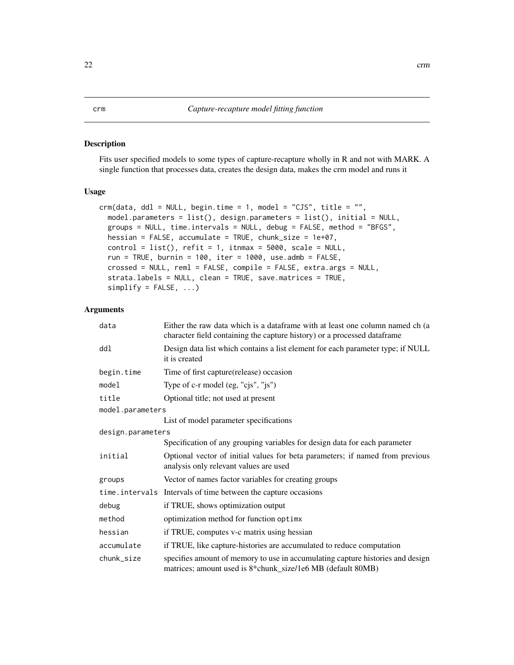# <span id="page-21-1"></span><span id="page-21-0"></span>Description

Fits user specified models to some types of capture-recapture wholly in R and not with MARK. A single function that processes data, creates the design data, makes the crm model and runs it

#### Usage

```
crm(data, ddl = NULL, begin.time = 1, model = "CJS", title = "",
 model.parameters = list(), design.parameters = list(), initial = NULL,
  groups = NULL, time.intervals = NULL, debug = FALSE, method = "BFGS",
 hessian = FALSE, accumulate = TRUE, chunk_size = 1e+07,
 control = list(), refit = 1, it = 5000, scale = NULL,run = TRUE, burnin = 100, iter = 1000, use.admb = FALSE,
 crossed = NULL, reml = FALSE, compile = FALSE, extra.args = NULL,
  strata.labels = NULL, clean = TRUE, save.matrices = TRUE,
  simplify = FALSE, ...)
```
# Arguments

| data              | Either the raw data which is a dataframe with at least one column named ch (a<br>character field containing the capture history) or a processed dataframe |  |
|-------------------|-----------------------------------------------------------------------------------------------------------------------------------------------------------|--|
| ddl               | Design data list which contains a list element for each parameter type; if NULL<br>it is created                                                          |  |
| begin.time        | Time of first capture (release) occasion                                                                                                                  |  |
| model             | Type of c-r model (eg, "cjs", "js")                                                                                                                       |  |
| title             | Optional title; not used at present                                                                                                                       |  |
| model.parameters  |                                                                                                                                                           |  |
|                   | List of model parameter specifications                                                                                                                    |  |
| design.parameters |                                                                                                                                                           |  |
|                   | Specification of any grouping variables for design data for each parameter                                                                                |  |
| initial           | Optional vector of initial values for beta parameters; if named from previous<br>analysis only relevant values are used                                   |  |
| groups            | Vector of names factor variables for creating groups                                                                                                      |  |
|                   | time.intervals Intervals of time between the capture occasions                                                                                            |  |
| debug             | if TRUE, shows optimization output                                                                                                                        |  |
| method            | optimization method for function optimx                                                                                                                   |  |
| hessian           | if TRUE, computes v-c matrix using hessian                                                                                                                |  |
| accumulate        | if TRUE, like capture-histories are accumulated to reduce computation                                                                                     |  |
| chunk_size        | specifies amount of memory to use in accumulating capture histories and design<br>matrices; amount used is 8*chunk_size/1e6 MB (default 80MB)             |  |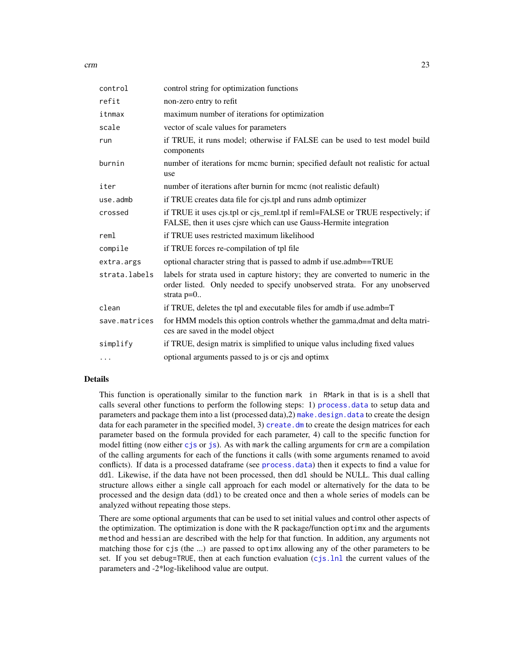| control       | control string for optimization functions                                                                                                                                     |
|---------------|-------------------------------------------------------------------------------------------------------------------------------------------------------------------------------|
| refit         | non-zero entry to refit                                                                                                                                                       |
| itnmax        | maximum number of iterations for optimization                                                                                                                                 |
| scale         | vector of scale values for parameters                                                                                                                                         |
| run           | if TRUE, it runs model; otherwise if FALSE can be used to test model build<br>components                                                                                      |
| burnin        | number of iterations for meme burnin; specified default not realistic for actual<br>use                                                                                       |
| iter          | number of iterations after burnin for mcmc (not realistic default)                                                                                                            |
| use.admb      | if TRUE creates data file for cjs.tpl and runs admb optimizer                                                                                                                 |
| crossed       | if TRUE it uses cjs.tpl or cjs_reml.tpl if reml=FALSE or TRUE respectively; if<br>FALSE, then it uses cjsre which can use Gauss-Hermite integration                           |
| reml          | if TRUE uses restricted maximum likelihood                                                                                                                                    |
| compile       | if TRUE forces re-compilation of tpl file                                                                                                                                     |
| extra.args    | optional character string that is passed to admb if use admb==TRUE                                                                                                            |
| strata.labels | labels for strata used in capture history; they are converted to numeric in the<br>order listed. Only needed to specify unobserved strata. For any unobserved<br>strata $p=0$ |
| clean         | if TRUE, deletes the tpl and executable files for amdb if use.admb=T                                                                                                          |
| save.matrices | for HMM models this option controls whether the gamma, dmat and delta matri-<br>ces are saved in the model object                                                             |
| simplify      | if TRUE, design matrix is simplified to unique valus including fixed values                                                                                                   |
| $\cdots$      | optional arguments passed to js or cjs and optimx                                                                                                                             |

# Details

This function is operationally similar to the function mark in RMark in that is is a shell that calls several other functions to perform the following steps: 1) [process.data](#page-57-1) to setup data and parameters and package them into a list (processed data), 2) [make.design.data](#page-40-1) to create the design data for each parameter in the specified model, 3) [create.dm](#page-14-1) to create the design matrices for each parameter based on the formula provided for each parameter, 4) call to the specific function for model fitting (now either [cjs](#page-3-1) or [js](#page-35-1)). As with mark the calling arguments for crm are a compilation of the calling arguments for each of the functions it calls (with some arguments renamed to avoid conflicts). If data is a processed dataframe (see [process.data](#page-57-1)) then it expects to find a value for ddl. Likewise, if the data have not been processed, then ddl should be NULL. This dual calling structure allows either a single call approach for each model or alternatively for the data to be processed and the design data (ddl) to be created once and then a whole series of models can be analyzed without repeating those steps.

There are some optional arguments that can be used to set initial values and control other aspects of the optimization. The optimization is done with the R package/function optimx and the arguments method and hessian are described with the help for that function. In addition, any arguments not matching those for cjs (the ...) are passed to optimx allowing any of the other parameters to be set. If you set debug=TRUE, then at each function evaluation ([cjs.lnl](#page-7-1) the current values of the parameters and -2\*log-likelihood value are output.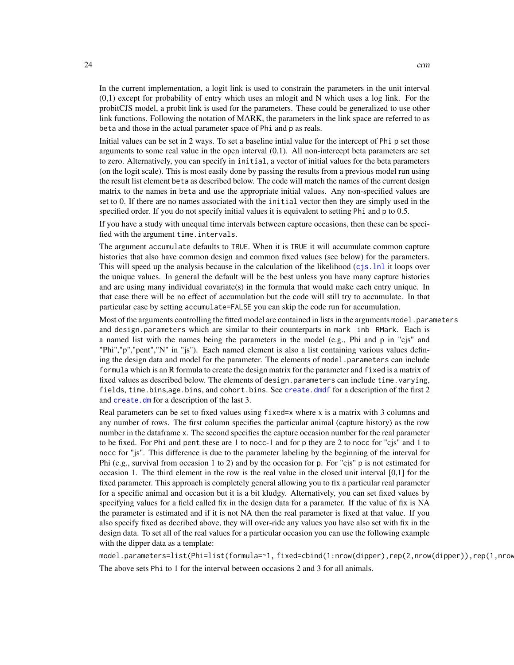In the current implementation, a logit link is used to constrain the parameters in the unit interval (0,1) except for probability of entry which uses an mlogit and N which uses a log link. For the probitCJS model, a probit link is used for the parameters. These could be generalized to use other link functions. Following the notation of MARK, the parameters in the link space are referred to as beta and those in the actual parameter space of Phi and p as reals.

Initial values can be set in 2 ways. To set a baseline intial value for the intercept of Phi p set those arguments to some real value in the open interval (0,1). All non-intercept beta parameters are set to zero. Alternatively, you can specify in initial, a vector of initial values for the beta parameters (on the logit scale). This is most easily done by passing the results from a previous model run using the result list element beta as described below. The code will match the names of the current design matrix to the names in beta and use the appropriate initial values. Any non-specified values are set to 0. If there are no names associated with the initial vector then they are simply used in the specified order. If you do not specify initial values it is equivalent to setting Phi and p to 0.5.

If you have a study with unequal time intervals between capture occasions, then these can be specified with the argument time.intervals.

The argument accumulate defaults to TRUE. When it is TRUE it will accumulate common capture histories that also have common design and common fixed values (see below) for the parameters. This will speed up the analysis because in the calculation of the likelihood ([cjs.lnl](#page-7-1) it loops over the unique values. In general the default will be the best unless you have many capture histories and are using many individual covariate(s) in the formula that would make each entry unique. In that case there will be no effect of accumulation but the code will still try to accumulate. In that particular case by setting accumulate=FALSE you can skip the code run for accumulation.

Most of the arguments controlling the fitted model are contained in lists in the arguments model. parameters and design.parameters which are similar to their counterparts in mark inb RMark. Each is a named list with the names being the parameters in the model (e.g., Phi and p in "cjs" and "Phi","p","pent","N" in "js"). Each named element is also a list containing various values defining the design data and model for the parameter. The elements of model.parameters can include formula which is an R formula to create the design matrix for the parameter and fixed is a matrix of fixed values as described below. The elements of design.parameters can include time.varying, fields, time.bins,age.bins, and cohort.bins. See [create.dmdf](#page-16-1) for a description of the first 2 and [create.dm](#page-14-1) for a description of the last 3.

Real parameters can be set to fixed values using fixed=x where x is a matrix with 3 columns and any number of rows. The first column specifies the particular animal (capture history) as the row number in the dataframe x. The second specifies the capture occasion number for the real parameter to be fixed. For Phi and pent these are 1 to nocc-1 and for p they are 2 to nocc for "cjs" and 1 to nocc for "js". This difference is due to the parameter labeling by the beginning of the interval for Phi (e.g., survival from occasion 1 to 2) and by the occasion for p. For "cjs" p is not estimated for occasion 1. The third element in the row is the real value in the closed unit interval [0,1] for the fixed parameter. This approach is completely general allowing you to fix a particular real parameter for a specific animal and occasion but it is a bit kludgy. Alternatively, you can set fixed values by specifying values for a field called fix in the design data for a parameter. If the value of fix is NA the parameter is estimated and if it is not NA then the real parameter is fixed at that value. If you also specify fixed as decribed above, they will over-ride any values you have also set with fix in the design data. To set all of the real values for a particular occasion you can use the following example with the dipper data as a template:

model.parameters=list(Phi=list(formula=~1, fixed=cbind(1:nrow(dipper),rep(2,nrow(dipper)),rep(1,nrow(dipper))))) The above sets Phi to 1 for the interval between occasions 2 and 3 for all animals.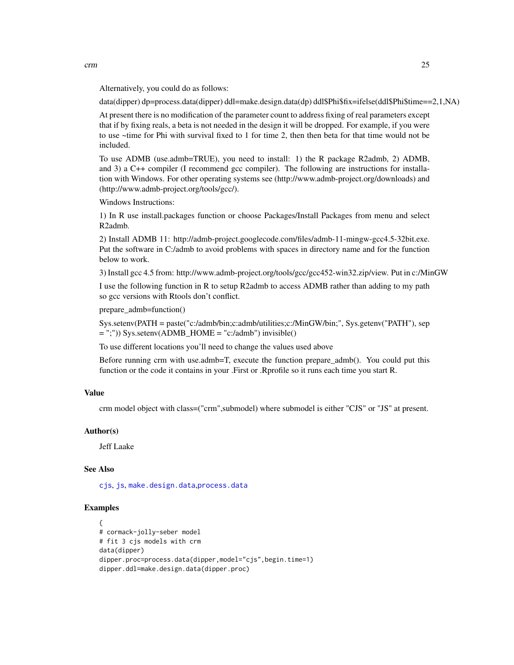Alternatively, you could do as follows:

data(dipper) dp=process.data(dipper) ddl=make.design.data(dp) ddl\$Phi\$fix=ifelse(ddl\$Phi\$time==2,1,NA)

At present there is no modification of the parameter count to address fixing of real parameters except that if by fixing reals, a beta is not needed in the design it will be dropped. For example, if you were to use ~time for Phi with survival fixed to 1 for time 2, then then beta for that time would not be included.

To use ADMB (use.admb=TRUE), you need to install: 1) the R package R2admb, 2) ADMB, and 3) a C++ compiler (I recommend gcc compiler). The following are instructions for installation with Windows. For other operating systems see (http://www.admb-project.org/downloads) and (http://www.admb-project.org/tools/gcc/).

Windows Instructions:

1) In R use install.packages function or choose Packages/Install Packages from menu and select R2admb.

2) Install ADMB 11: http://admb-project.googlecode.com/files/admb-11-mingw-gcc4.5-32bit.exe. Put the software in C:/admb to avoid problems with spaces in directory name and for the function below to work.

3) Install gcc 4.5 from: http://www.admb-project.org/tools/gcc/gcc452-win32.zip/view. Put in c:/MinGW

I use the following function in R to setup R2admb to access ADMB rather than adding to my path so gcc versions with Rtools don't conflict.

prepare\_admb=function()

Sys.setenv(PATH = paste("c:/admb/bin;c:admb/utilities;c:/MinGW/bin;", Sys.getenv("PATH"), sep = ";")) Sys.setenv(ADMB\_HOME = "c:/admb") invisible()

To use different locations you'll need to change the values used above

Before running crm with use.admb=T, execute the function prepare\_admb(). You could put this function or the code it contains in your .First or .Rprofile so it runs each time you start R.

# Value

crm model object with class=("crm",submodel) where submodel is either "CJS" or "JS" at present.

# Author(s)

Jeff Laake

# See Also

[cjs](#page-3-1), [js](#page-35-1), [make.design.data](#page-40-1),[process.data](#page-57-1)

#### Examples

```
{
# cormack-jolly-seber model
# fit 3 cjs models with crm
data(dipper)
dipper.proc=process.data(dipper,model="cjs",begin.time=1)
dipper.ddl=make.design.data(dipper.proc)
```
 $\epsilon$  25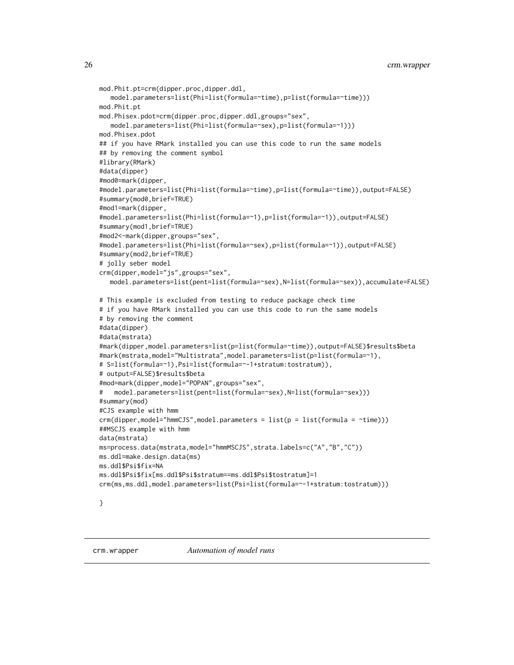```
mod.Phit.pt=crm(dipper.proc,dipper.ddl,
   model.parameters=list(Phi=list(formula=~time),p=list(formula=~time)))
mod.Phit.pt
mod.Phisex.pdot=crm(dipper.proc,dipper.ddl,groups="sex",
  model.parameters=list(Phi=list(formula=~sex),p=list(formula=~1)))
mod.Phisex.pdot
## if you have RMark installed you can use this code to run the same models
## by removing the comment symbol
#library(RMark)
#data(dipper)
#mod0=mark(dipper,
#model.parameters=list(Phi=list(formula=~time),p=list(formula=~time)),output=FALSE)
#summary(mod0,brief=TRUE)
#mod1=mark(dipper,
#model.parameters=list(Phi=list(formula=~1),p=list(formula=~1)),output=FALSE)
#summary(mod1,brief=TRUE)
#mod2<-mark(dipper,groups="sex",
#model.parameters=list(Phi=list(formula=~sex),p=list(formula=~1)),output=FALSE)
#summary(mod2,brief=TRUE)
# jolly seber model
crm(dipper,model="js",groups="sex",
  model.parameters=list(pent=list(formula=~sex),N=list(formula=~sex)),accumulate=FALSE)
# This example is excluded from testing to reduce package check time
# if you have RMark installed you can use this code to run the same models
# by removing the comment
#data(dipper)
#data(mstrata)
#mark(dipper,model.parameters=list(p=list(formula=~time)),output=FALSE)$results$beta
#mark(mstrata,model="Multistrata",model.parameters=list(p=list(formula=~1),
# S=list(formula=~1),Psi=list(formula=~-1+stratum:tostratum)),
# output=FALSE)$results$beta
#mod=mark(dipper,model="POPAN",groups="sex",
# model.parameters=list(pent=list(formula=~sex),N=list(formula=~sex)))
#summary(mod)
#CJS example with hmm
crm(dipper, model="hmmCJS", model.parameters = list(p = list(fromula = 'time)))##MSCJS example with hmm
data(mstrata)
ms=process.data(mstrata,model="hmmMSCJS",strata.labels=c("A","B","C"))
ms.ddl=make.design.data(ms)
ms.ddl$Psi$fix=NA
ms.ddl$Psi$fix[ms.ddl$Psi$stratum==ms.ddl$Psi$tostratum]=1
crm(ms,ms.ddl,model.parameters=list(Psi=list(formula=~-1+stratum:tostratum)))
```
}

<span id="page-25-0"></span>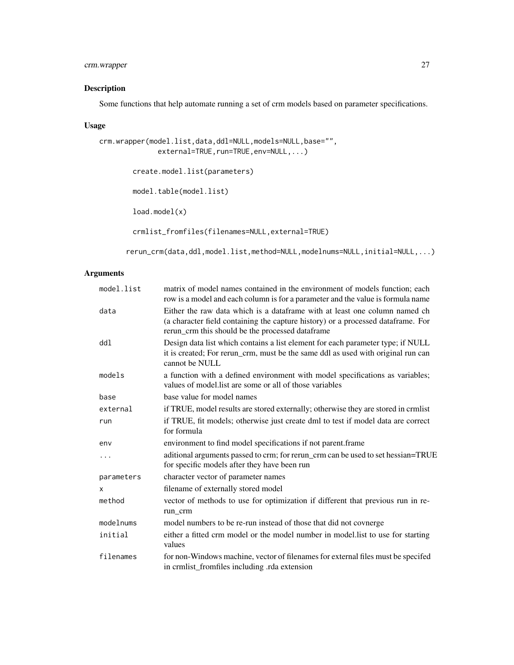# crm.wrapper 27

# Description

Some functions that help automate running a set of crm models based on parameter specifications.

# Usage

```
crm.wrapper(model.list,data,ddl=NULL,models=NULL,base="",
              external=TRUE, run=TRUE, env=NULL,...)
        create.model.list(parameters)
        model.table(model.list)
        load.model(x)
        crmlist_fromfiles(filenames=NULL,external=TRUE)
```
rerun\_crm(data,ddl,model.list,method=NULL,modelnums=NULL,initial=NULL,...)

# Arguments

| matrix of model names contained in the environment of models function; each<br>row is a model and each column is for a parameter and the value is formula name                                                     |
|--------------------------------------------------------------------------------------------------------------------------------------------------------------------------------------------------------------------|
| Either the raw data which is a dataframe with at least one column named ch<br>(a character field containing the capture history) or a processed dataframe. For<br>rerun_crm this should be the processed dataframe |
| Design data list which contains a list element for each parameter type; if NULL<br>it is created; For rerun_crm, must be the same ddl as used with original run can<br>cannot be NULL                              |
| a function with a defined environment with model specifications as variables;<br>values of model list are some or all of those variables                                                                           |
| base value for model names                                                                                                                                                                                         |
| if TRUE, model results are stored externally; otherwise they are stored in crmlist                                                                                                                                 |
| if TRUE, fit models; otherwise just create dml to test if model data are correct<br>for formula                                                                                                                    |
| environment to find model specifications if not parent.frame                                                                                                                                                       |
| aditional arguments passed to crm; for rerun_crm can be used to set hessian=TRUE<br>for specific models after they have been run                                                                                   |
| character vector of parameter names                                                                                                                                                                                |
| filename of externally stored model                                                                                                                                                                                |
| vector of methods to use for optimization if different that previous run in re-<br>run crm                                                                                                                         |
| model numbers to be re-run instead of those that did not covnerge                                                                                                                                                  |
| either a fitted crm model or the model number in model. list to use for starting<br>values                                                                                                                         |
| for non-Windows machine, vector of filenames for external files must be specifed<br>in crmlist_fromfiles including .rda extension                                                                                  |
|                                                                                                                                                                                                                    |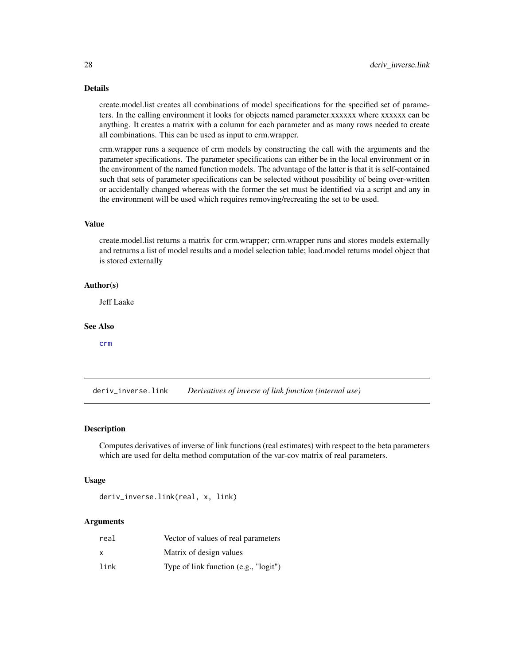# <span id="page-27-0"></span>Details

create.model.list creates all combinations of model specifications for the specified set of parameters. In the calling environment it looks for objects named parameter.xxxxxx where xxxxxx can be anything. It creates a matrix with a column for each parameter and as many rows needed to create all combinations. This can be used as input to crm.wrapper.

crm.wrapper runs a sequence of crm models by constructing the call with the arguments and the parameter specifications. The parameter specifications can either be in the local environment or in the environment of the named function models. The advantage of the latter is that it is self-contained such that sets of parameter specifications can be selected without possibility of being over-written or accidentally changed whereas with the former the set must be identified via a script and any in the environment will be used which requires removing/recreating the set to be used.

#### Value

create.model.list returns a matrix for crm.wrapper; crm.wrapper runs and stores models externally and retrurns a list of model results and a model selection table; load.model returns model object that is stored externally

#### Author(s)

Jeff Laake

#### See Also

[crm](#page-21-1)

<span id="page-27-1"></span>deriv\_inverse.link *Derivatives of inverse of link function (internal use)*

# **Description**

Computes derivatives of inverse of link functions (real estimates) with respect to the beta parameters which are used for delta method computation of the var-cov matrix of real parameters.

#### Usage

deriv\_inverse.link(real, x, link)

#### Arguments

| real | Vector of values of real parameters   |
|------|---------------------------------------|
| x    | Matrix of design values               |
| link | Type of link function (e.g., "logit") |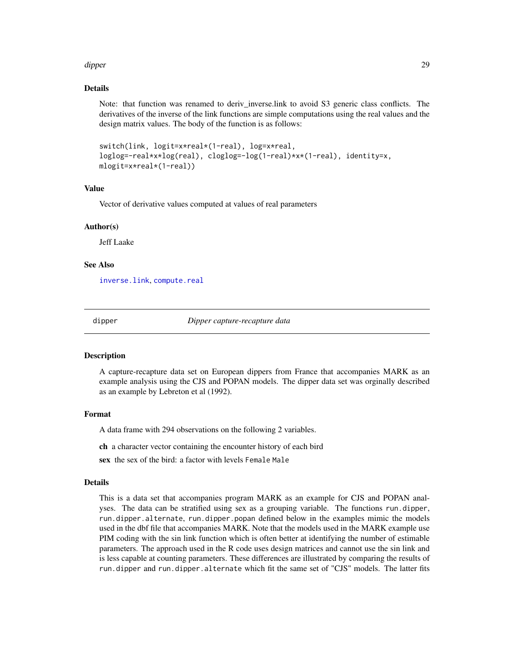#### <span id="page-28-0"></span>dipper to the control of the control of the control of the control of the control of the control of the control of the control of the control of the control of the control of the control of the control of the control of th

# Details

Note: that function was renamed to deriv inverse.link to avoid S3 generic class conflicts. The derivatives of the inverse of the link functions are simple computations using the real values and the design matrix values. The body of the function is as follows:

```
switch(link, logit=x*real*(1-real), log=x*real,
loglog=-real*x*log(real), cloglog=-log(1-real)*x*(1-real), identity=x,
mlogit=x*real*(1-real))
```
# Value

Vector of derivative values computed at values of real parameters

# Author(s)

Jeff Laake

# See Also

[inverse.link](#page-34-1), [compute.real](#page-11-1)

dipper *Dipper capture-recapture data*

#### Description

A capture-recapture data set on European dippers from France that accompanies MARK as an example analysis using the CJS and POPAN models. The dipper data set was orginally described as an example by Lebreton et al (1992).

#### Format

A data frame with 294 observations on the following 2 variables.

ch a character vector containing the encounter history of each bird

sex the sex of the bird: a factor with levels Female Male

# Details

This is a data set that accompanies program MARK as an example for CJS and POPAN analyses. The data can be stratified using sex as a grouping variable. The functions run.dipper, run.dipper.alternate, run.dipper.popan defined below in the examples mimic the models used in the dbf file that accompanies MARK. Note that the models used in the MARK example use PIM coding with the sin link function which is often better at identifying the number of estimable parameters. The approach used in the R code uses design matrices and cannot use the sin link and is less capable at counting parameters. These differences are illustrated by comparing the results of run.dipper and run.dipper.alternate which fit the same set of "CJS" models. The latter fits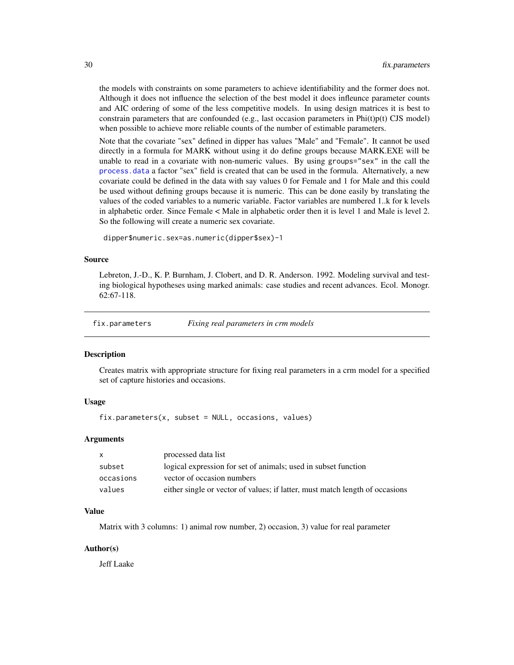<span id="page-29-0"></span>the models with constraints on some parameters to achieve identifiability and the former does not. Although it does not influence the selection of the best model it does infleunce parameter counts and AIC ordering of some of the less competitive models. In using design matrices it is best to constrain parameters that are confounded (e.g., last occasion parameters in  $Phi(t)p(t)$  CJS model) when possible to achieve more reliable counts of the number of estimable parameters.

Note that the covariate "sex" defined in dipper has values "Male" and "Female". It cannot be used directly in a formula for MARK without using it do define groups because MARK.EXE will be unable to read in a covariate with non-numeric values. By using groups="sex" in the call the [process.data](#page-57-1) a factor "sex" field is created that can be used in the formula. Alternatively, a new covariate could be defined in the data with say values 0 for Female and 1 for Male and this could be used without defining groups because it is numeric. This can be done easily by translating the values of the coded variables to a numeric variable. Factor variables are numbered 1..k for k levels in alphabetic order. Since Female < Male in alphabetic order then it is level 1 and Male is level 2. So the following will create a numeric sex covariate.

dipper\$numeric.sex=as.numeric(dipper\$sex)-1

#### Source

Lebreton, J.-D., K. P. Burnham, J. Clobert, and D. R. Anderson. 1992. Modeling survival and testing biological hypotheses using marked animals: case studies and recent advances. Ecol. Monogr. 62:67-118.

fix.parameters *Fixing real parameters in crm models*

#### Description

Creates matrix with appropriate structure for fixing real parameters in a crm model for a specified set of capture histories and occasions.

# Usage

 $fix.parameters(x, subset = NULL, occasions, values)$ 

#### Arguments

| $\mathsf{X}$ | processed data list                                                          |
|--------------|------------------------------------------------------------------------------|
| subset       | logical expression for set of animals; used in subset function               |
| occasions    | vector of occasion numbers                                                   |
| values       | either single or vector of values; if latter, must match length of occasions |

#### Value

Matrix with 3 columns: 1) animal row number, 2) occasion, 3) value for real parameter

#### Author(s)

Jeff Laake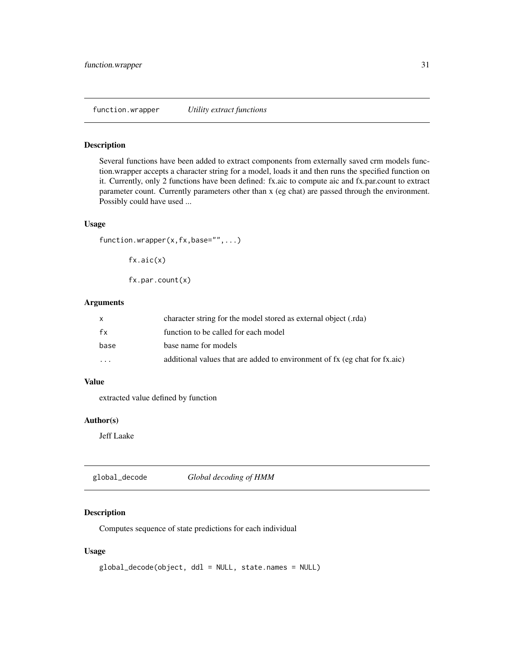# <span id="page-30-0"></span>Description

Several functions have been added to extract components from externally saved crm models function.wrapper accepts a character string for a model, loads it and then runs the specified function on it. Currently, only 2 functions have been defined: fx.aic to compute aic and fx.par.count to extract parameter count. Currently parameters other than x (eg chat) are passed through the environment. Possibly could have used ...

#### Usage

```
function.wrapper(x,fx,base="",...)
```
fx.aic(x)

fx.par.count(x)

#### Arguments

|                         | character string for the model stored as external object (.rda)            |
|-------------------------|----------------------------------------------------------------------------|
| fx                      | function to be called for each model                                       |
| base                    | base name for models                                                       |
| $\cdot$ $\cdot$ $\cdot$ | additional values that are added to environment of fx (eg chat for fx.aic) |

# Value

extracted value defined by function

# Author(s)

Jeff Laake

global\_decode *Global decoding of HMM*

# Description

Computes sequence of state predictions for each individual

#### Usage

```
global_decode(object, ddl = NULL, state.names = NULL)
```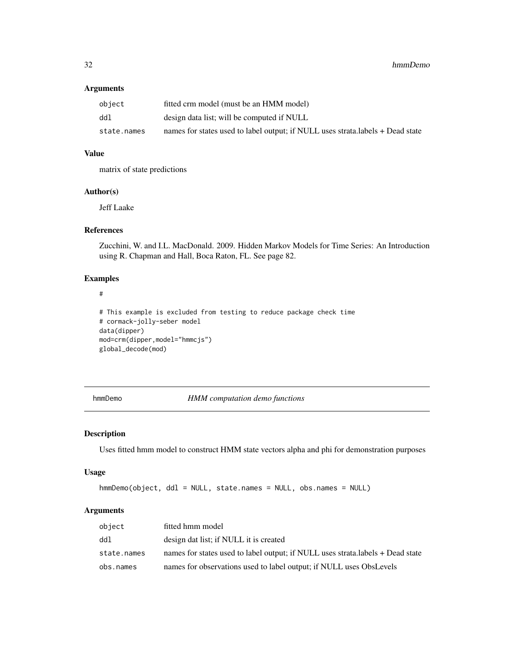# Arguments

| object      | fitted crm model (must be an HMM model)                                         |
|-------------|---------------------------------------------------------------------------------|
| ddl         | design data list; will be computed if NULL                                      |
| state.names | names for states used to label output; if NULL uses strata. labels + Dead state |

# Value

matrix of state predictions

# Author(s)

Jeff Laake

# References

Zucchini, W. and I.L. MacDonald. 2009. Hidden Markov Models for Time Series: An Introduction using R. Chapman and Hall, Boca Raton, FL. See page 82.

#### Examples

#### #

```
# This example is excluded from testing to reduce package check time
# cormack-jolly-seber model
data(dipper)
mod=crm(dipper,model="hmmcjs")
global_decode(mod)
```
hmmDemo *HMM computation demo functions*

# Description

Uses fitted hmm model to construct HMM state vectors alpha and phi for demonstration purposes

#### Usage

```
hmmDemo(object, ddl = NULL, state.names = NULL, obs.names = NULL)
```
# Arguments

| object      | fitted hmm model                                                               |
|-------------|--------------------------------------------------------------------------------|
| ddl         | design dat list; if NULL it is created                                         |
| state.names | names for states used to label output; if NULL uses strata.labels + Dead state |
| obs.names   | names for observations used to label output; if NULL uses ObsLevels            |

<span id="page-31-0"></span>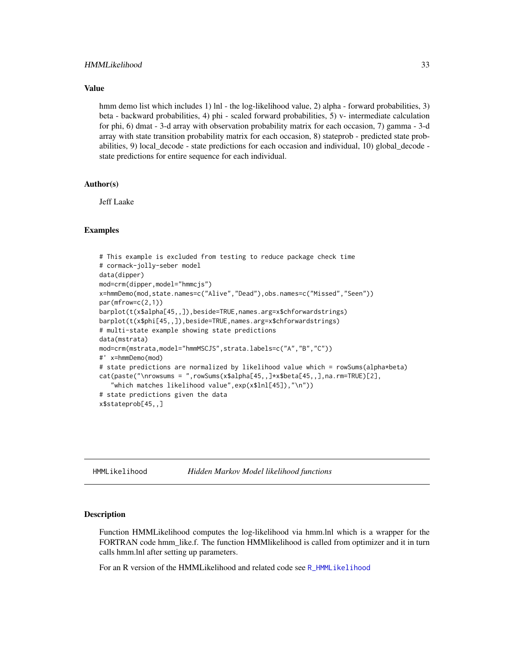# <span id="page-32-0"></span>Value

hmm demo list which includes 1) lnl - the log-likelihood value, 2) alpha - forward probabilities, 3) beta - backward probabilities, 4) phi - scaled forward probabilities, 5) v- intermediate calculation for phi, 6) dmat - 3-d array with observation probability matrix for each occasion, 7) gamma - 3-d array with state transition probability matrix for each occasion, 8) stateprob - predicted state probabilities, 9) local decode - state predictions for each occasion and individual, 10) global decode state predictions for entire sequence for each individual.

# Author(s)

Jeff Laake

#### Examples

```
# This example is excluded from testing to reduce package check time
# cormack-jolly-seber model
data(dipper)
mod=crm(dipper,model="hmmcjs")
x=hmmDemo(mod,state.names=c("Alive","Dead"),obs.names=c("Missed","Seen"))
par(mfrow=c(2,1))
barplot(t(x$alpha[45,,]),beside=TRUE,names.arg=x$chforwardstrings)
barplot(t(x$phi[45,,]),beside=TRUE,names.arg=x$chforwardstrings)
# multi-state example showing state predictions
data(mstrata)
mod=crm(mstrata,model="hmmMSCJS",strata.labels=c("A","B","C"))
#' x=hmmDemo(mod)
# state predictions are normalized by likelihood value which = rowSums(alpha*beta)
cat(paste("\nrowsums = ",rowSums(x$alpha[45,,]*x$beta[45,,],na.rm=TRUE)[2],
   "which matches likelihood value",exp(x$lnl[45]),"\n"))
# state predictions given the data
x$stateprob[45,,]
```
HMMLikelihood *Hidden Markov Model likelihood functions*

# **Description**

Function HMMLikelihood computes the log-likelihood via hmm.lnl which is a wrapper for the FORTRAN code hmm\_like.f. The function HMMlikelihood is called from optimizer and it in turn calls hmm.lnl after setting up parameters.

For an R version of the HMMLikelihood and related code see R. HMMLikelihood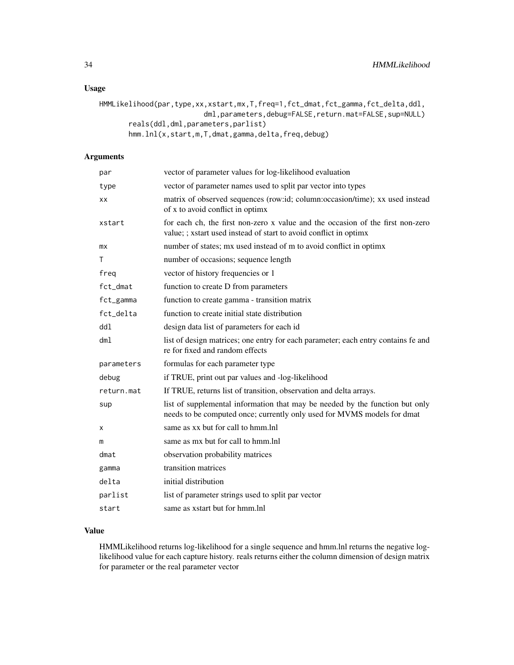# Usage

```
HMMLikelihood(par,type,xx,xstart,mx,T,freq=1,fct_dmat,fct_gamma,fct_delta,ddl,
                         dml, parameters, debug=FALSE, return.mat=FALSE, sup=NULL)
       reals(ddl,dml,parameters,parlist)
       hmm.lnl(x,start,m,T,dmat,gamma,delta,freq,debug)
```
# Arguments

| par        | vector of parameter values for log-likelihood evaluation                                                                                                |
|------------|---------------------------------------------------------------------------------------------------------------------------------------------------------|
| type       | vector of parameter names used to split par vector into types                                                                                           |
| ХX         | matrix of observed sequences (row:id; column:occasion/time); xx used instead<br>of x to avoid conflict in optimx                                        |
| xstart     | for each ch, the first non-zero x value and the occasion of the first non-zero<br>value; ; xstart used instead of start to avoid conflict in optimx     |
| mx         | number of states; mx used instead of m to avoid conflict in optimx                                                                                      |
| т          | number of occasions; sequence length                                                                                                                    |
| freg       | vector of history frequencies or 1                                                                                                                      |
| fct_dmat   | function to create D from parameters                                                                                                                    |
| fct_gamma  | function to create gamma - transition matrix                                                                                                            |
| fct_delta  | function to create initial state distribution                                                                                                           |
| dd1        | design data list of parameters for each id                                                                                                              |
| dm1        | list of design matrices; one entry for each parameter; each entry contains fe and<br>re for fixed and random effects                                    |
| parameters | formulas for each parameter type                                                                                                                        |
| debug      | if TRUE, print out par values and -log-likelihood                                                                                                       |
| return.mat | If TRUE, returns list of transition, observation and delta arrays.                                                                                      |
| sup        | list of supplemental information that may be needed by the function but only<br>needs to be computed once; currently only used for MVMS models for dmat |
| х          | same as xx but for call to hmm. Inl                                                                                                                     |
| m          | same as mx but for call to hmm. Inl                                                                                                                     |
| dmat       | observation probability matrices                                                                                                                        |
| gamma      | transition matrices                                                                                                                                     |
| delta      | initial distribution                                                                                                                                    |
| parlist    | list of parameter strings used to split par vector                                                                                                      |
| start      | same as xstart but for hmm.lnl                                                                                                                          |

# Value

HMMLikelihood returns log-likelihood for a single sequence and hmm.lnl returns the negative loglikelihood value for each capture history. reals returns either the column dimension of design matrix for parameter or the real parameter vector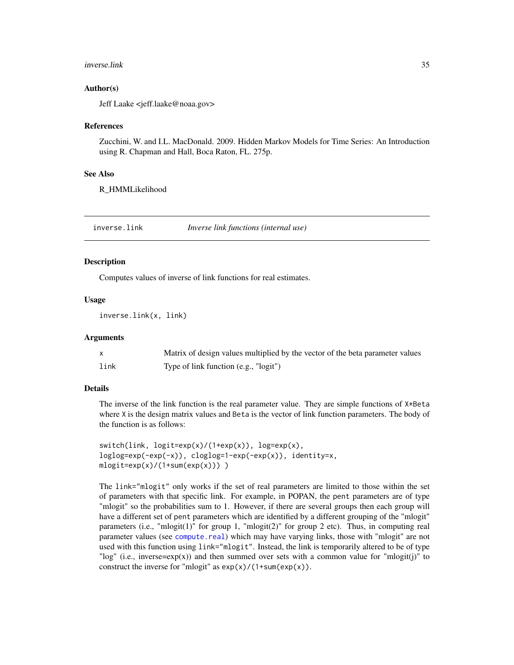#### <span id="page-34-0"></span>inverse.link 35

# Author(s)

Jeff Laake <jeff.laake@noaa.gov>

#### References

Zucchini, W. and I.L. MacDonald. 2009. Hidden Markov Models for Time Series: An Introduction using R. Chapman and Hall, Boca Raton, FL. 275p.

#### See Also

R\_HMMLikelihood

<span id="page-34-1"></span>inverse.link *Inverse link functions (internal use)*

#### **Description**

Computes values of inverse of link functions for real estimates.

# Usage

inverse.link(x, link)

# **Arguments**

|      | Matrix of design values multiplied by the vector of the beta parameter values |
|------|-------------------------------------------------------------------------------|
| link | Type of link function (e.g., "logit")                                         |

# Details

The inverse of the link function is the real parameter value. They are simple functions of  $X \star Beta$ where X is the design matrix values and Beta is the vector of link function parameters. The body of the function is as follows:

```
switch(\text{link}, \text{logit}=\exp(x)/(1+exp(x)), \text{log}=\exp(x),loglog=exp(-exp(-x)), cloglog=1-exp(-exp(x)), identity=x,
mlogit=exp(x)/(1+sum(exp(x)))
```
The link="mlogit" only works if the set of real parameters are limited to those within the set of parameters with that specific link. For example, in POPAN, the pent parameters are of type "mlogit" so the probabilities sum to 1. However, if there are several groups then each group will have a different set of pent parameters which are identified by a different grouping of the "mlogit" parameters (i.e., "mlogit(1)" for group 1, "mlogit(2)" for group 2 etc). Thus, in computing real parameter values (see [compute.real](#page-11-1)) which may have varying links, those with "mlogit" are not used with this function using link="mlogit". Instead, the link is temporarily altered to be of type "log" (i.e., inverse=exp(x)) and then summed over sets with a common value for "mlogit(j)" to construct the inverse for "mlogit" as  $exp(x)/(1+sum(exp(x))$ .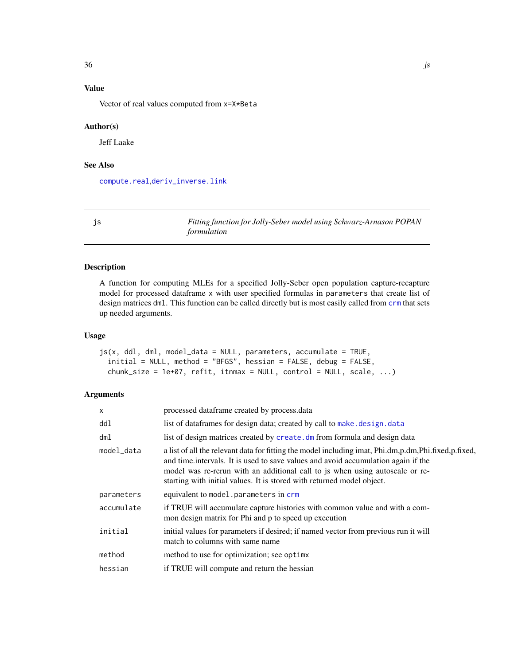# <span id="page-35-0"></span>Value

Vector of real values computed from x=X\*Beta

#### Author(s)

Jeff Laake

# See Also

[compute.real](#page-11-1),[deriv\\_inverse.link](#page-27-1)

<span id="page-35-1"></span>js *Fitting function for Jolly-Seber model using Schwarz-Arnason POPAN formulation*

# Description

A function for computing MLEs for a specified Jolly-Seber open population capture-recapture model for processed dataframe x with user specified formulas in parameters that create list of design matrices dml. This function can be called directly but is most easily called from [crm](#page-21-1) that sets up needed arguments.

# Usage

 $js(x, dd1, dm1, model_data = NULL, parameters, accumulate = TRUE,$ initial = NULL, method = "BFGS", hessian = FALSE, debug = FALSE, chunk\_size = 1e+07, refit, itnmax = NULL, control = NULL, scale, ...)

#### Arguments

| $\times$   | processed dataframe created by process.data                                                                                                                                                                                                                                                                                                         |
|------------|-----------------------------------------------------------------------------------------------------------------------------------------------------------------------------------------------------------------------------------------------------------------------------------------------------------------------------------------------------|
| ddl        | list of dataframes for design data; created by call to make. design. data                                                                                                                                                                                                                                                                           |
| dml        | list of design matrices created by create. dm from formula and design data                                                                                                                                                                                                                                                                          |
| model_data | a list of all the relevant data for fitting the model including imat, Phi.dm,p.dm,Phi.fixed,p.fixed,<br>and time intervals. It is used to save values and avoid accumulation again if the<br>model was re-rerun with an additional call to js when using autoscale or re-<br>starting with initial values. It is stored with returned model object. |
| parameters | equivalent to model.parameters in crm                                                                                                                                                                                                                                                                                                               |
| accumulate | if TRUE will accumulate capture histories with common value and with a com-<br>mon design matrix for Phi and p to speed up execution                                                                                                                                                                                                                |
| initial    | initial values for parameters if desired; if named vector from previous run it will<br>match to columns with same name                                                                                                                                                                                                                              |
| method     | method to use for optimization; see optimx                                                                                                                                                                                                                                                                                                          |
| hessian    | if TRUE will compute and return the hessian                                                                                                                                                                                                                                                                                                         |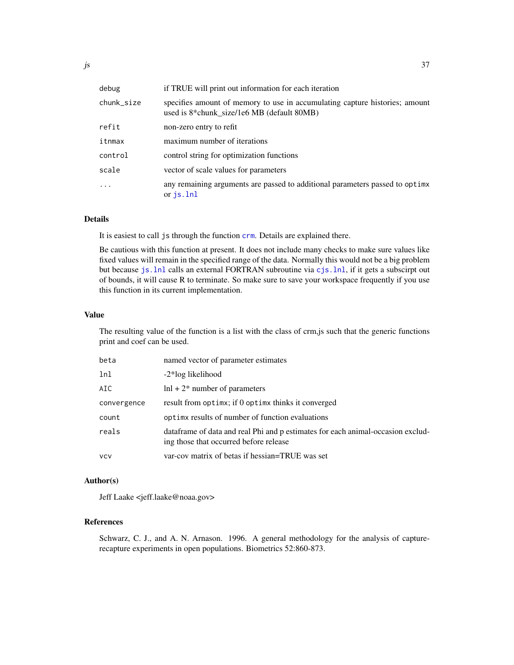| debug      | if TRUE will print out information for each iteration                                                                     |
|------------|---------------------------------------------------------------------------------------------------------------------------|
| chunk_size | specifies amount of memory to use in accumulating capture histories; amount<br>used is 8*chunk_size/1e6 MB (default 80MB) |
| refit      | non-zero entry to refit                                                                                                   |
| itnmax     | maximum number of iterations                                                                                              |
| control    | control string for optimization functions                                                                                 |
| scale      | vector of scale values for parameters                                                                                     |
| $\ddots$ . | any remaining arguments are passed to additional parameters passed to optime<br>or is.lnl                                 |

### Details

It is easiest to call js through the function [crm](#page-21-0). Details are explained there.

Be cautious with this function at present. It does not include many checks to make sure values like fixed values will remain in the specified range of the data. Normally this would not be a big problem but because [js.lnl](#page-38-0) calls an external FORTRAN subroutine via [cjs.lnl](#page-7-0), if it gets a subscirpt out of bounds, it will cause R to terminate. So make sure to save your workspace frequently if you use this function in its current implementation.

#### Value

The resulting value of the function is a list with the class of crm,js such that the generic functions print and coef can be used.

| beta        | named vector of parameter estimates                                                                                       |
|-------------|---------------------------------------------------------------------------------------------------------------------------|
| lnl         | -2*log likelihood                                                                                                         |
| AIC         | $\ln l + 2^*$ number of parameters                                                                                        |
| convergence | result from optime; if 0 optime thinks it converged                                                                       |
| count       | optimes results of number of function evaluations                                                                         |
| reals       | dataframe of data and real Phi and p estimates for each animal-occasion exclud-<br>ing those that occurred before release |
| vcv         | var-cov matrix of betas if hessian=TRUE was set                                                                           |

#### Author(s)

Jeff Laake <jeff.laake@noaa.gov>

# References

Schwarz, C. J., and A. N. Arnason. 1996. A general methodology for the analysis of capturerecapture experiments in open populations. Biometrics 52:860-873.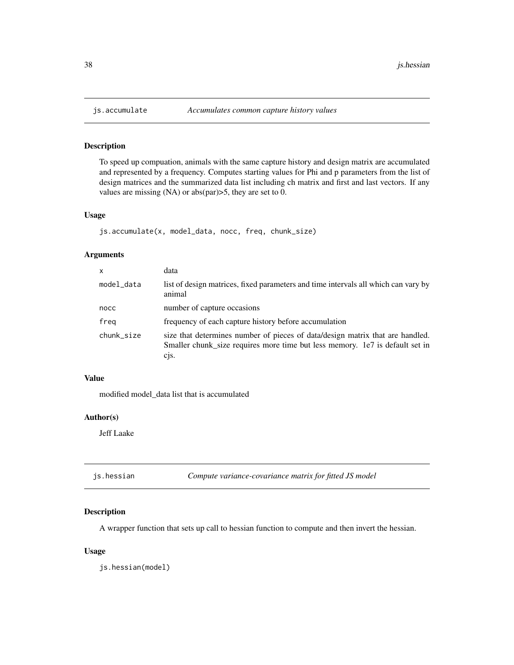To speed up compuation, animals with the same capture history and design matrix are accumulated and represented by a frequency. Computes starting values for Phi and p parameters from the list of design matrices and the summarized data list including ch matrix and first and last vectors. If any values are missing (NA) or abs(par)>5, they are set to 0.

#### Usage

```
js.accumulate(x, model_data, nocc, freq, chunk_size)
```
# Arguments

| x          | data                                                                                                                                                                     |
|------------|--------------------------------------------------------------------------------------------------------------------------------------------------------------------------|
| model_data | list of design matrices, fixed parameters and time intervals all which can vary by<br>animal                                                                             |
| nocc       | number of capture occasions                                                                                                                                              |
| freg       | frequency of each capture history before accumulation                                                                                                                    |
| chunk_size | size that determines number of pieces of data/design matrix that are handled.<br>Smaller chunk_size requires more time but less memory. 1e7 is default set in<br>$c1s$ . |

#### Value

modified model\_data list that is accumulated

#### Author(s)

Jeff Laake

# Description

A wrapper function that sets up call to hessian function to compute and then invert the hessian.

# Usage

js.hessian(model)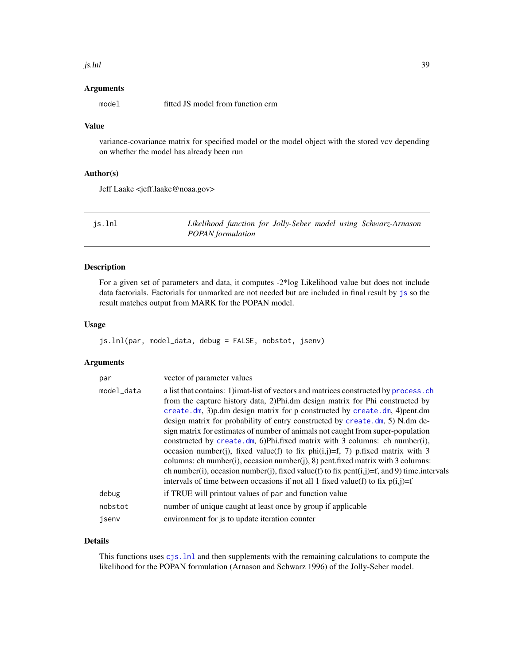#### js.lnl 39

#### Arguments

model fitted JS model from function crm

# Value

variance-covariance matrix for specified model or the model object with the stored vcv depending on whether the model has already been run

## Author(s)

Jeff Laake <jeff.laake@noaa.gov>

<span id="page-38-0"></span>

| js.lnl | Likelihood function for Jolly-Seber model using Schwarz-Arnason |  |  |
|--------|-----------------------------------------------------------------|--|--|
|        | <b>POPAN</b> formulation                                        |  |  |

## Description

For a given set of parameters and data, it computes -2\*log Likelihood value but does not include data factorials. Factorials for unmarked are not needed but are included in final result by [js](#page-35-0) so the result matches output from MARK for the POPAN model.

# Usage

```
js.lnl(par, model_data, debug = FALSE, nobstot, jsenv)
```
#### Arguments

| par        | vector of parameter values                                                                                                                                                                                                                                                                                                                                                                                                                                                                                                                                                                                                                                                                                                                                                                                                                                  |
|------------|-------------------------------------------------------------------------------------------------------------------------------------------------------------------------------------------------------------------------------------------------------------------------------------------------------------------------------------------------------------------------------------------------------------------------------------------------------------------------------------------------------------------------------------------------------------------------------------------------------------------------------------------------------------------------------------------------------------------------------------------------------------------------------------------------------------------------------------------------------------|
| model_data | a list that contains: 1) imat-list of vectors and matrices constructed by process. ch<br>from the capture history data, 2)Phi.dm design matrix for Phi constructed by<br>create.dm, 3)p.dm design matrix for p constructed by create.dm, 4)pent.dm<br>design matrix for probability of entry constructed by create.dm, 5) N.dm de-<br>sign matrix for estimates of number of animals not caught from super-population<br>constructed by create.dm, 6)Phi.fixed matrix with 3 columns: ch number(i),<br>occasion number(j), fixed value(f) to fix phi(i,j)=f, 7) p.fixed matrix with 3<br>columns: ch number(i), occasion number(j), 8) pent.fixed matrix with 3 columns:<br>ch number(i), occasion number(j), fixed value(f) to fix pent(i,j)=f, and 9) time.intervals<br>intervals of time between occasions if not all 1 fixed value(f) to fix $p(i,j)=f$ |
| debug      | if TRUE will printout values of par and function value                                                                                                                                                                                                                                                                                                                                                                                                                                                                                                                                                                                                                                                                                                                                                                                                      |
| nobstot    | number of unique caught at least once by group if applicable                                                                                                                                                                                                                                                                                                                                                                                                                                                                                                                                                                                                                                                                                                                                                                                                |
| jsenv      | environment for js to update iteration counter                                                                                                                                                                                                                                                                                                                                                                                                                                                                                                                                                                                                                                                                                                                                                                                                              |

# Details

This functions uses [cjs.lnl](#page-7-0) and then supplements with the remaining calculations to compute the likelihood for the POPAN formulation (Arnason and Schwarz 1996) of the Jolly-Seber model.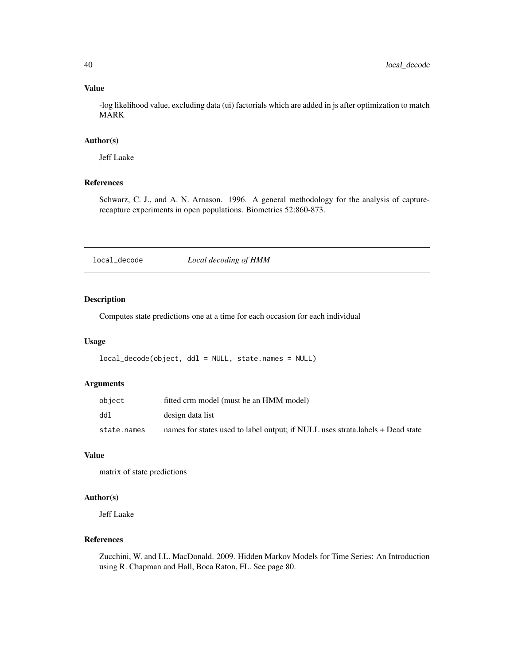# Value

-log likelihood value, excluding data (ui) factorials which are added in js after optimization to match MARK

# Author(s)

Jeff Laake

# References

Schwarz, C. J., and A. N. Arnason. 1996. A general methodology for the analysis of capturerecapture experiments in open populations. Biometrics 52:860-873.

local\_decode *Local decoding of HMM*

# Description

Computes state predictions one at a time for each occasion for each individual

# Usage

```
local_decode(object, ddl = NULL, state.names = NULL)
```
# Arguments

| object      | fitted crm model (must be an HMM model)                                        |
|-------------|--------------------------------------------------------------------------------|
| ddl         | design data list                                                               |
| state.names | names for states used to label output; if NULL uses strata.labels + Dead state |

# Value

matrix of state predictions

# Author(s)

Jeff Laake

# References

Zucchini, W. and I.L. MacDonald. 2009. Hidden Markov Models for Time Series: An Introduction using R. Chapman and Hall, Boca Raton, FL. See page 80.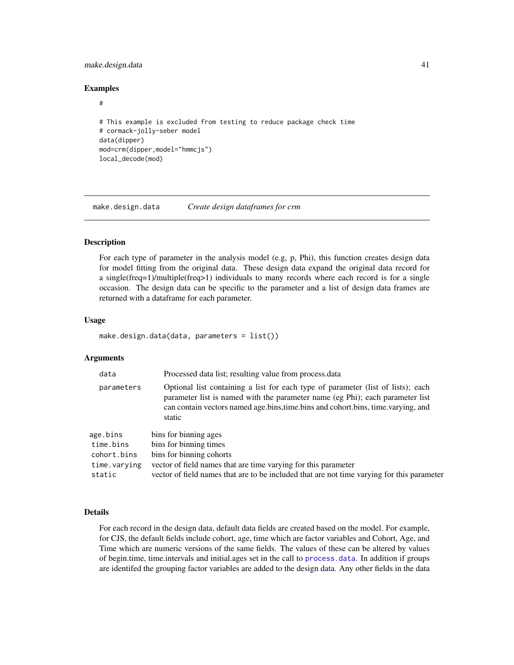# make.design.data 41

#### Examples

#### #

```
# This example is excluded from testing to reduce package check time
# cormack-jolly-seber model
data(dipper)
mod=crm(dipper,model="hmmcjs")
local_decode(mod)
```
<span id="page-40-0"></span>make.design.data *Create design dataframes for crm*

## Description

For each type of parameter in the analysis model (e.g, p, Phi), this function creates design data for model fitting from the original data. These design data expand the original data record for a single(freq=1)/multiple(freq>1) individuals to many records where each record is for a single occasion. The design data can be specific to the parameter and a list of design data frames are returned with a dataframe for each parameter.

#### Usage

```
make.design.data(data, parameters = list())
```
#### Arguments

| data         | Processed data list; resulting value from process.data                                                                                                                                                                                                          |
|--------------|-----------------------------------------------------------------------------------------------------------------------------------------------------------------------------------------------------------------------------------------------------------------|
| parameters   | Optional list containing a list for each type of parameter (list of lists); each<br>parameter list is named with the parameter name (eg Phi); each parameter list<br>can contain vectors named age.bins, time.bins and cohort.bins, time.varying, and<br>static |
| age.bins     | bins for binning ages                                                                                                                                                                                                                                           |
| time.bins    | bins for binning times                                                                                                                                                                                                                                          |
| cohort.bins  | bins for binning cohorts                                                                                                                                                                                                                                        |
| time.varying | vector of field names that are time varying for this parameter                                                                                                                                                                                                  |
| static       | vector of field names that are to be included that are not time varying for this parameter                                                                                                                                                                      |

# Details

For each record in the design data, default data fields are created based on the model. For example, for CJS, the default fields include cohort, age, time which are factor variables and Cohort, Age, and Time which are numeric versions of the same fields. The values of these can be altered by values of begin.time, time.intervals and initial.ages set in the call to [process.data](#page-57-0). In addition if groups are identifed the grouping factor variables are added to the design data. Any other fields in the data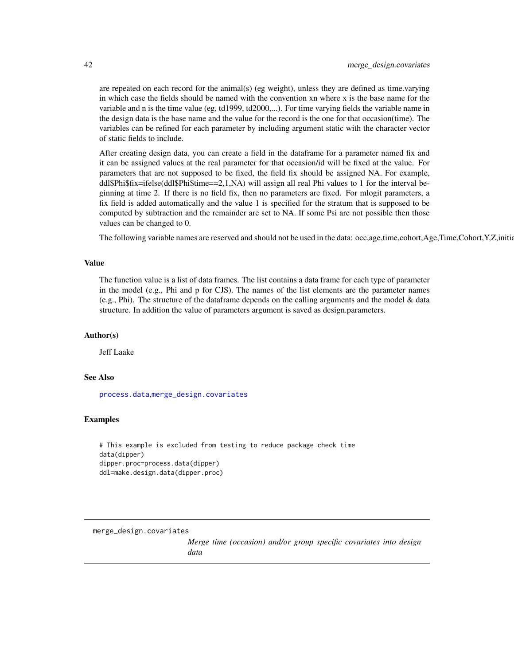are repeated on each record for the animal(s) (eg weight), unless they are defined as time.varying in which case the fields should be named with the convention xn where x is the base name for the variable and n is the time value (eg, td1999, td2000,...). For time varying fields the variable name in the design data is the base name and the value for the record is the one for that occasion(time). The variables can be refined for each parameter by including argument static with the character vector of static fields to include.

After creating design data, you can create a field in the dataframe for a parameter named fix and it can be assigned values at the real parameter for that occasion/id will be fixed at the value. For parameters that are not supposed to be fixed, the field fix should be assigned NA. For example, ddl\$Phi\$fix=ifelse(ddl\$Phi\$time==2,1,NA) will assign all real Phi values to 1 for the interval beginning at time 2. If there is no field fix, then no parameters are fixed. For mlogit parameters, a fix field is added automatically and the value 1 is specified for the stratum that is supposed to be computed by subtraction and the remainder are set to NA. If some Psi are not possible then those values can be changed to 0.

The following variable names are reserved and should not be used in the data: occ,age,time,cohort,Age,Time,Cohort,Y,Z,initial.

#### Value

The function value is a list of data frames. The list contains a data frame for each type of parameter in the model (e.g., Phi and p for CJS). The names of the list elements are the parameter names (e.g., Phi). The structure of the dataframe depends on the calling arguments and the model & data structure. In addition the value of parameters argument is saved as design.parameters.

#### Author(s)

Jeff Laake

#### See Also

[process.data](#page-57-0),[merge\\_design.covariates](#page-41-0)

# Examples

```
# This example is excluded from testing to reduce package check time
data(dipper)
dipper.proc=process.data(dipper)
ddl=make.design.data(dipper.proc)
```
<span id="page-41-0"></span>merge\_design.covariates

*Merge time (occasion) and/or group specific covariates into design data*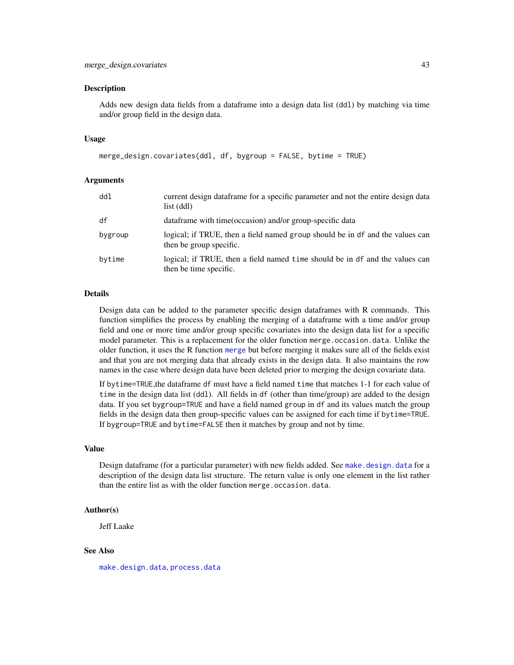Adds new design data fields from a dataframe into a design data list (ddl) by matching via time and/or group field in the design data.

#### Usage

```
merge_design.covariates(ddl, df, bygroup = FALSE, bytime = TRUE)
```
#### Arguments

| ddl     | current design dataframe for a specific parameter and not the entire design data<br>list (ddl)           |
|---------|----------------------------------------------------------------------------------------------------------|
| df      | data frame with time (occasion) and/or group-specific data                                               |
| bygroup | logical; if TRUE, then a field named group should be in df and the values can<br>then be group specific. |
| bytime  | logical; if TRUE, then a field named time should be in df and the values can<br>then be time specific.   |

#### **Details**

Design data can be added to the parameter specific design dataframes with R commands. This function simplifies the process by enabling the merging of a dataframe with a time and/or group field and one or more time and/or group specific covariates into the design data list for a specific model parameter. This is a replacement for the older function merge.occasion.data. Unlike the older function, it uses the R function [merge](#page-0-0) but before merging it makes sure all of the fields exist and that you are not merging data that already exists in the design data. It also maintains the row names in the case where design data have been deleted prior to merging the design covariate data.

If bytime=TRUE,the dataframe df must have a field named time that matches 1-1 for each value of time in the design data list (ddl). All fields in df (other than time/group) are added to the design data. If you set bygroup=TRUE and have a field named group in df and its values match the group fields in the design data then group-specific values can be assigned for each time if bytime=TRUE. If bygroup=TRUE and bytime=FALSE then it matches by group and not by time.

# Value

Design dataframe (for a particular parameter) with new fields added. See make, design, data for a description of the design data list structure. The return value is only one element in the list rather than the entire list as with the older function merge.occasion.data.

#### Author(s)

Jeff Laake

# See Also

[make.design.data](#page-40-0), [process.data](#page-57-0)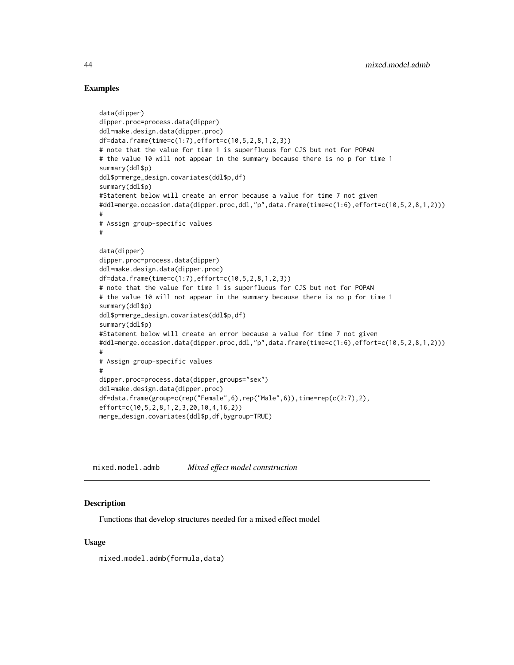## Examples

```
data(dipper)
dipper.proc=process.data(dipper)
ddl=make.design.data(dipper.proc)
df=data.frame(time=c(1:7),effort=c(10,5,2,8,1,2,3))
# note that the value for time 1 is superfluous for CJS but not for POPAN
# the value 10 will not appear in the summary because there is no p for time 1
summary(ddl$p)
ddl$p=merge_design.covariates(ddl$p,df)
summary(ddl$p)
#Statement below will create an error because a value for time 7 not given
#ddl=merge.occasion.data(dipper.proc,ddl,"p",data.frame(time=c(1:6),effort=c(10,5,2,8,1,2)))
#
# Assign group-specific values
#
data(dipper)
dipper.proc=process.data(dipper)
ddl=make.design.data(dipper.proc)
df=data.frame(time=c(1:7),effort=c(10,5,2,8,1,2,3))
# note that the value for time 1 is superfluous for CJS but not for POPAN
# the value 10 will not appear in the summary because there is no p for time 1
summary(ddl$p)
ddl$p=merge_design.covariates(ddl$p,df)
summary(ddl$p)
#Statement below will create an error because a value for time 7 not given
#ddl=merge.occasion.data(dipper.proc,ddl,"p",data.frame(time=c(1:6),effort=c(10,5,2,8,1,2)))
#
# Assign group-specific values
#
dipper.proc=process.data(dipper,groups="sex")
ddl=make.design.data(dipper.proc)
df=data.frame(group=c(rep("Female",6),rep("Male",6)),time=rep(c(2:7),2),
effort=c(10,5,2,8,1,2,3,20,10,4,16,2))
merge_design.covariates(ddl$p,df,bygroup=TRUE)
```
mixed.model.admb *Mixed effect model contstruction*

# Description

Functions that develop structures needed for a mixed effect model

#### Usage

mixed.model.admb(formula,data)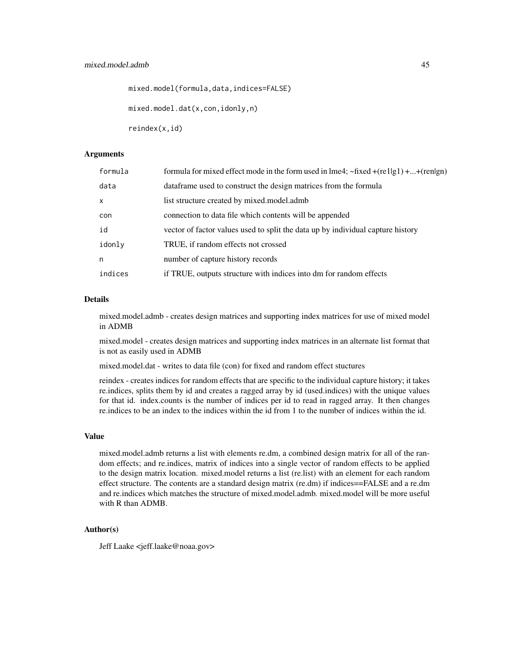mixed.model(formula,data,indices=FALSE)

mixed.model.dat(x,con,idonly,n)

reindex(x,id)

# Arguments

| formula      | formula for mixed effect mode in the form used in lme4; $\sim$ fixed +(re1 g1) ++(ren gn) |
|--------------|-------------------------------------------------------------------------------------------|
| data         | data frame used to construct the design matrices from the formula                         |
| $\mathsf{x}$ | list structure created by mixed.model.admb                                                |
| con          | connection to data file which contents will be appended                                   |
| id           | vector of factor values used to split the data up by individual capture history           |
| idonly       | TRUE, if random effects not crossed                                                       |
| n            | number of capture history records                                                         |
| indices      | if TRUE, outputs structure with indices into dm for random effects                        |

# Details

mixed.model.admb - creates design matrices and supporting index matrices for use of mixed model in ADMB

mixed.model - creates design matrices and supporting index matrices in an alternate list format that is not as easily used in ADMB

mixed.model.dat - writes to data file (con) for fixed and random effect stuctures

reindex - creates indices for random effects that are specific to the individual capture history; it takes re.indices, splits them by id and creates a ragged array by id (used.indices) with the unique values for that id. index.counts is the number of indices per id to read in ragged array. It then changes re.indices to be an index to the indices within the id from 1 to the number of indices within the id.

#### Value

mixed.model.admb returns a list with elements re.dm, a combined design matrix for all of the random effects; and re.indices, matrix of indices into a single vector of random effects to be applied to the design matrix location. mixed.model returns a list (re.list) with an element for each random effect structure. The contents are a standard design matrix (re.dm) if indices==FALSE and a re.dm and re.indices which matches the structure of mixed.model.admb. mixed.model will be more useful with R than ADMB.

#### Author(s)

Jeff Laake <jeff.laake@noaa.gov>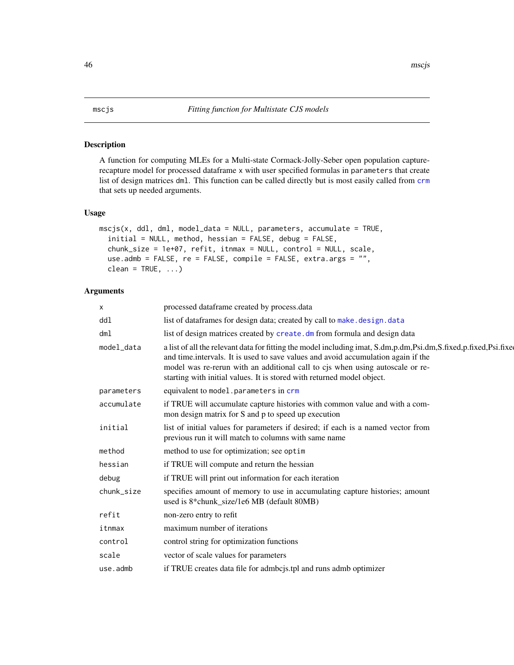A function for computing MLEs for a Multi-state Cormack-Jolly-Seber open population capturerecapture model for processed dataframe x with user specified formulas in parameters that create list of design matrices dml. This function can be called directly but is most easily called from [crm](#page-21-0) that sets up needed arguments.

# Usage

```
mscjs(x, dd1, dm1, model_data = NULL, parameters, accumulate = TRUE,initial = NULL, method, hessian = FALSE, debug = FALSE,
  chunk_size = 1e+07, refit, itnmax = NULL, control = NULL, scale,
 use.admb = FALSE, re = FALSE, compile = FALSE, extra.args = "",
 clean = TRUE, ...)
```
# Arguments

| X          | processed dataframe created by process.data                                                                                                                                                                                                                                                                                                                      |
|------------|------------------------------------------------------------------------------------------------------------------------------------------------------------------------------------------------------------------------------------------------------------------------------------------------------------------------------------------------------------------|
| ddl        | list of dataframes for design data; created by call to make. design. data                                                                                                                                                                                                                                                                                        |
| dm1        | list of design matrices created by create. dm from formula and design data                                                                                                                                                                                                                                                                                       |
| model_data | a list of all the relevant data for fitting the model including imat, S.dm,p.dm,Psi.dm,S.fixed,p.fixed,Psi.fixed<br>and time.intervals. It is used to save values and avoid accumulation again if the<br>model was re-rerun with an additional call to cjs when using autoscale or re-<br>starting with initial values. It is stored with returned model object. |
| parameters | equivalent to model.parameters in crm                                                                                                                                                                                                                                                                                                                            |
| accumulate | if TRUE will accumulate capture histories with common value and with a com-<br>mon design matrix for S and p to speed up execution                                                                                                                                                                                                                               |
| initial    | list of initial values for parameters if desired; if each is a named vector from<br>previous run it will match to columns with same name                                                                                                                                                                                                                         |
| method     | method to use for optimization; see optim                                                                                                                                                                                                                                                                                                                        |
| hessian    | if TRUE will compute and return the hessian                                                                                                                                                                                                                                                                                                                      |
| debug      | if TRUE will print out information for each iteration                                                                                                                                                                                                                                                                                                            |
| chunk_size | specifies amount of memory to use in accumulating capture histories; amount<br>used is 8*chunk_size/1e6 MB (default 80MB)                                                                                                                                                                                                                                        |
| refit      | non-zero entry to refit                                                                                                                                                                                                                                                                                                                                          |
| itnmax     | maximum number of iterations                                                                                                                                                                                                                                                                                                                                     |
| control    | control string for optimization functions                                                                                                                                                                                                                                                                                                                        |
| scale      | vector of scale values for parameters                                                                                                                                                                                                                                                                                                                            |
| use.admb   | if TRUE creates data file for admoois.tpl and runs admb optimizer                                                                                                                                                                                                                                                                                                |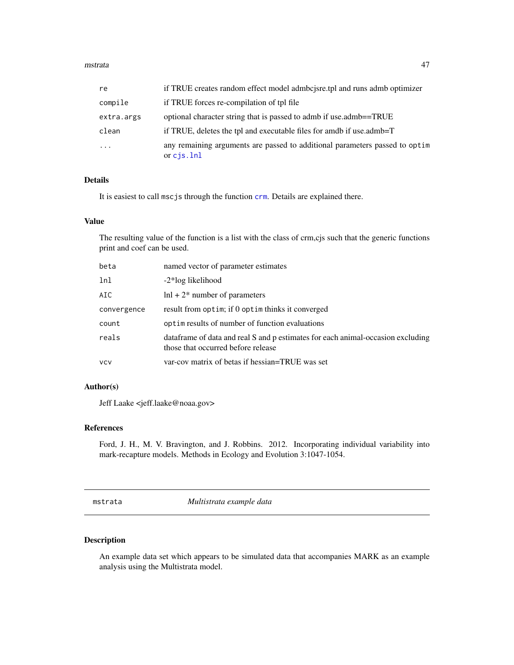#### mstrata 47

| re         | if TRUE creates random effect model admooisre.tpl and runs admooptimizer                            |
|------------|-----------------------------------------------------------------------------------------------------|
| compile    | if TRUE forces re-compilation of tpl file                                                           |
| extra.args | optional character string that is passed to admb if use.admb==TRUE                                  |
| clean      | if TRUE, deletes the tpl and executable files for amdb if use admb=T                                |
| $\cdots$   | any remaining arguments are passed to additional parameters passed to optim<br>or $\text{cis}.$ lnl |

# Details

It is easiest to call mscjs through the function [crm](#page-21-0). Details are explained there.

## Value

The resulting value of the function is a list with the class of crm,cjs such that the generic functions print and coef can be used.

| beta        | named vector of parameter estimates                                                                                    |
|-------------|------------------------------------------------------------------------------------------------------------------------|
| lnl         | -2*log likelihood                                                                                                      |
| AIC         | $\ln l + 2^*$ number of parameters                                                                                     |
| convergence | result from optim; if 0 optim thinks it converged                                                                      |
| count       | optimer results of number of function evaluations                                                                      |
| reals       | data frame of data and real S and p estimates for each animal-occasion excluding<br>those that occurred before release |
| vcv         | var-cov matrix of betas if hessian=TRUE was set                                                                        |
|             |                                                                                                                        |

# Author(s)

Jeff Laake <jeff.laake@noaa.gov>

#### References

Ford, J. H., M. V. Bravington, and J. Robbins. 2012. Incorporating individual variability into mark-recapture models. Methods in Ecology and Evolution 3:1047-1054.

mstrata *Multistrata example data*

# Description

An example data set which appears to be simulated data that accompanies MARK as an example analysis using the Multistrata model.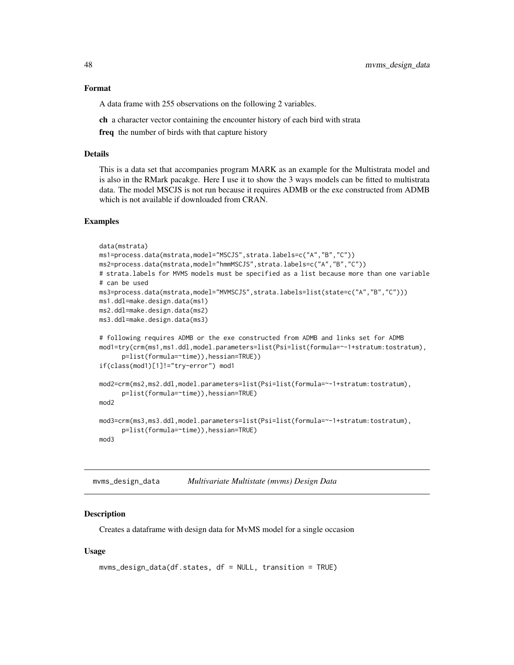#### Format

A data frame with 255 observations on the following 2 variables.

ch a character vector containing the encounter history of each bird with strata

freq the number of birds with that capture history

#### Details

This is a data set that accompanies program MARK as an example for the Multistrata model and is also in the RMark pacakge. Here I use it to show the 3 ways models can be fitted to multistrata data. The model MSCJS is not run because it requires ADMB or the exe constructed from ADMB which is not available if downloaded from CRAN.

#### Examples

```
data(mstrata)
ms1=process.data(mstrata,model="MSCJS",strata.labels=c("A","B","C"))
ms2=process.data(mstrata,model="hmmMSCJS",strata.labels=c("A","B","C"))
# strata.labels for MVMS models must be specified as a list because more than one variable
# can be used
ms3=process.data(mstrata,model="MVMSCJS",strata.labels=list(state=c("A","B","C")))
ms1.ddl=make.design.data(ms1)
ms2.ddl=make.design.data(ms2)
ms3.ddl=make.design.data(ms3)
# following requires ADMB or the exe constructed from ADMB and links set for ADMB
mod1=try(crm(ms1,ms1.ddl,model.parameters=list(Psi=list(formula=~-1+stratum:tostratum),
      p=list(formula=~time)),hessian=TRUE))
if(class(mod1)[1]!="try-error") mod1
mod2=crm(ms2,ms2.ddl,model.parameters=list(Psi=list(formula=~-1+stratum:tostratum),
      p=list(formula=~time)),hessian=TRUE)
mod2
mod3=crm(ms3,ms3.ddl,model.parameters=list(Psi=list(formula=~-1+stratum:tostratum),
      p=list(formula=~time)),hessian=TRUE)
mod3
```
mvms\_design\_data *Multivariate Multistate (mvms) Design Data*

#### Description

Creates a dataframe with design data for MvMS model for a single occasion

#### Usage

```
mvms_design_data(df.states, df = NULL, transition = TRUE)
```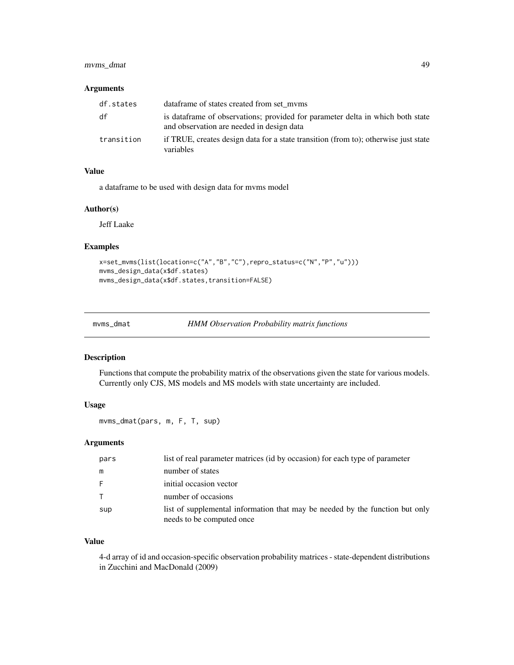# mvms\_dmat 49

# Arguments

| df.states  | data frame of states created from set myms                                                                                  |
|------------|-----------------------------------------------------------------------------------------------------------------------------|
| df         | is dataframe of observations; provided for parameter delta in which both state<br>and observation are needed in design data |
| transition | if TRUE, creates design data for a state transition (from to); otherwise just state<br>variables                            |

# Value

a dataframe to be used with design data for mvms model

# Author(s)

Jeff Laake

# Examples

```
x=set_mvms(list(location=c("A","B","C"),repro_status=c("N","P","u")))
mvms_design_data(x$df.states)
mvms_design_data(x$df.states,transition=FALSE)
```
mvms\_dmat *HMM Observation Probability matrix functions*

# Description

Functions that compute the probability matrix of the observations given the state for various models. Currently only CJS, MS models and MS models with state uncertainty are included.

#### Usage

mvms\_dmat(pars, m, F, T, sup)

# Arguments

| pars         | list of real parameter matrices (id by occasion) for each type of parameter                               |
|--------------|-----------------------------------------------------------------------------------------------------------|
| m            | number of states                                                                                          |
| -F           | initial occasion vector                                                                                   |
| $\mathsf{T}$ | number of occasions                                                                                       |
| sup          | list of supplemental information that may be needed by the function but only<br>needs to be computed once |

# Value

4-d array of id and occasion-specific observation probability matrices - state-dependent distributions in Zucchini and MacDonald (2009)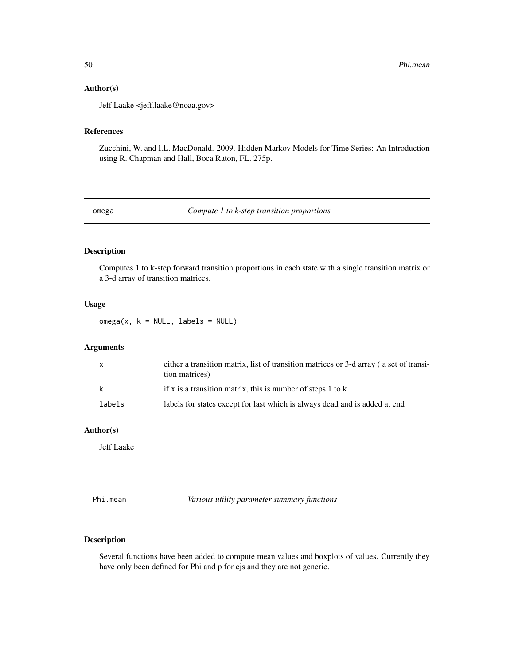## Author(s)

Jeff Laake <jeff.laake@noaa.gov>

# References

Zucchini, W. and I.L. MacDonald. 2009. Hidden Markov Models for Time Series: An Introduction using R. Chapman and Hall, Boca Raton, FL. 275p.

omega *Compute 1 to k-step transition proportions*

# Description

Computes 1 to k-step forward transition proportions in each state with a single transition matrix or a 3-d array of transition matrices.

# Usage

 $omega(x, k = NULL, labels = NULL)$ 

# Arguments

| X      | either a transition matrix, list of transition matrices or 3-d array (a set of transi-<br>tion matrices) |
|--------|----------------------------------------------------------------------------------------------------------|
| -k     | if x is a transition matrix, this is number of steps 1 to $k$                                            |
| labels | labels for states except for last which is always dead and is added at end                               |

# Author(s)

Jeff Laake

Phi.mean *Various utility parameter summary functions*

# Description

Several functions have been added to compute mean values and boxplots of values. Currently they have only been defined for Phi and p for cjs and they are not generic.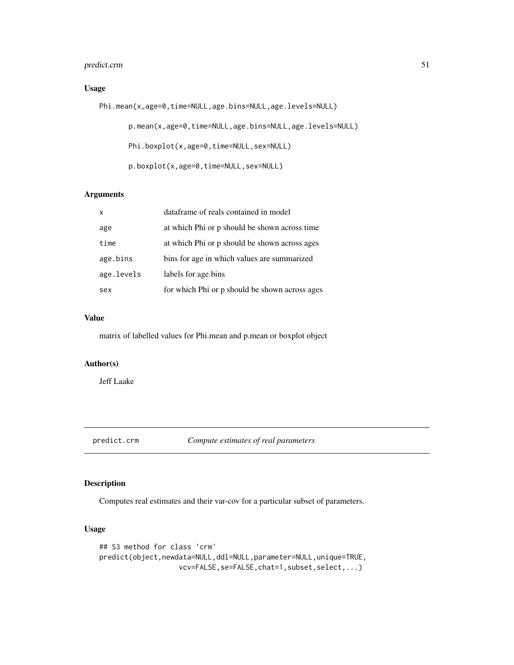# predict.crm 51

# Usage

```
Phi.mean(x,age=0,time=NULL,age.bins=NULL,age.levels=NULL)
       p.mean(x,age=0,time=NULL,age.bins=NULL,age.levels=NULL)
       Phi.boxplot(x,age=0,time=NULL,sex=NULL)
       p.boxplot(x,age=0,time=NULL,sex=NULL)
```
# Arguments

| $\mathsf{x}$ | dataframe of reals contained in model          |
|--------------|------------------------------------------------|
| age          | at which Phi or p should be shown across time  |
| time         | at which Phi or p should be shown across ages  |
| age.bins     | bins for age in which values are summarized    |
| age.levels   | labels for age.bins                            |
| sex          | for which Phi or p should be shown across ages |

# Value

matrix of labelled values for Phi.mean and p.mean or boxplot object

#### Author(s)

Jeff Laake

predict.crm *Compute estimates of real parameters*

# Description

Computes real estimates and their var-cov for a particular subset of parameters.

#### Usage

```
## S3 method for class 'crm'
predict(object,newdata=NULL,ddl=NULL,parameter=NULL,unique=TRUE,
                   vcv=FALSE,se=FALSE,chat=1,subset,select,...)
```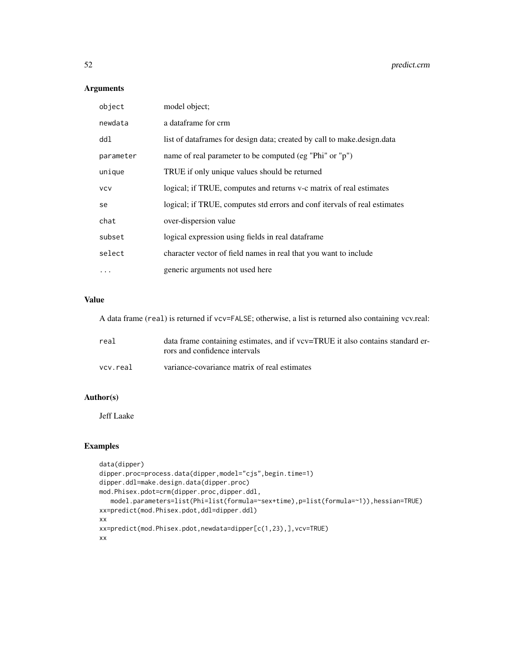# Arguments

| object     | model object;                                                             |
|------------|---------------------------------------------------------------------------|
| newdata    | a dataframe for crm                                                       |
| dd1        | list of dataframes for design data; created by call to make design data   |
| parameter  | name of real parameter to be computed (eg "Phi" or "p")                   |
| unique     | TRUE if only unique values should be returned                             |
| <b>VCV</b> | logical; if TRUE, computes and returns v-c matrix of real estimates       |
| se         | logical; if TRUE, computes std errors and conf itervals of real estimates |
| chat       | over-dispersion value                                                     |
| subset     | logical expression using fields in real dataframe                         |
| select     | character vector of field names in real that you want to include          |
| .          | generic arguments not used here                                           |

# Value

A data frame (real) is returned if vcv=FALSE; otherwise, a list is returned also containing vcv.real:

| real     | data frame containing estimates, and if vcv=TRUE it also contains standard er-<br>rors and confidence intervals |
|----------|-----------------------------------------------------------------------------------------------------------------|
| vcv.real | variance-covariance matrix of real estimates                                                                    |

# Author(s)

Jeff Laake

# Examples

```
data(dipper)
dipper.proc=process.data(dipper,model="cjs",begin.time=1)
dipper.ddl=make.design.data(dipper.proc)
mod.Phisex.pdot=crm(dipper.proc,dipper.ddl,
   model.parameters=list(Phi=list(formula=~sex+time),p=list(formula=~1)),hessian=TRUE)
xx=predict(mod.Phisex.pdot,ddl=dipper.ddl)
xx
xx=predict(mod.Phisex.pdot,newdata=dipper[c(1,23),],vcv=TRUE)
xx
```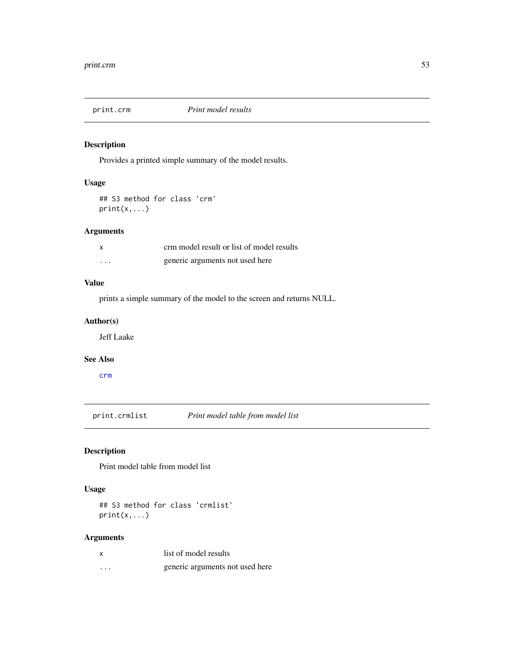Provides a printed simple summary of the model results.

# Usage

## S3 method for class 'crm' print(x,...)

# Arguments

| X       | crm model result or list of model results |
|---------|-------------------------------------------|
| $\cdot$ | generic arguments not used here           |

# Value

prints a simple summary of the model to the screen and returns NULL.

## Author(s)

Jeff Laake

# See Also

[crm](#page-21-0)

print.crmlist *Print model table from model list*

# Description

Print model table from model list

# Usage

## S3 method for class 'crmlist' print(x,...)

# Arguments

|   | list of model results           |
|---|---------------------------------|
| . | generic arguments not used here |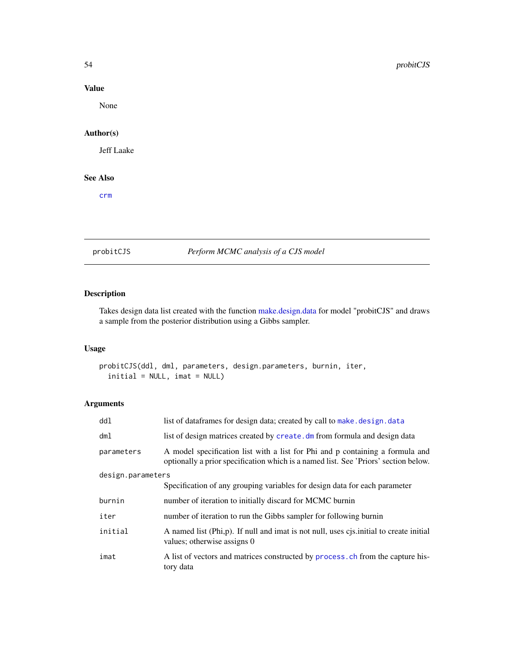# Value

None

# Author(s)

Jeff Laake

# See Also

[crm](#page-21-0)

probitCJS *Perform MCMC analysis of a CJS model*

# Description

Takes design data list created with the function [make.design.data](#page-40-0) for model "probitCJS" and draws a sample from the posterior distribution using a Gibbs sampler.

# Usage

probitCJS(ddl, dml, parameters, design.parameters, burnin, iter,  $initial = NULL, imat = NULL)$ 

# Arguments

| ddl               | list of dataframes for design data; created by call to make. design. data                                                                                            |  |
|-------------------|----------------------------------------------------------------------------------------------------------------------------------------------------------------------|--|
| dm1               | list of design matrices created by create. dm from formula and design data                                                                                           |  |
| parameters        | A model specification list with a list for Phi and p containing a formula and<br>optionally a prior specification which is a named list. See 'Priors' section below. |  |
| design.parameters |                                                                                                                                                                      |  |
|                   | Specification of any grouping variables for design data for each parameter                                                                                           |  |
| burnin            | number of iteration to initially discard for MCMC burnin                                                                                                             |  |
| iter              | number of iteration to run the Gibbs sampler for following burnin                                                                                                    |  |
| initial           | A named list (Phi,p). If null and imat is not null, uses cjs.initial to create initial<br>values; otherwise assigns 0                                                |  |
| imat              | A list of vectors and matrices constructed by process, ch from the capture his-<br>tory data                                                                         |  |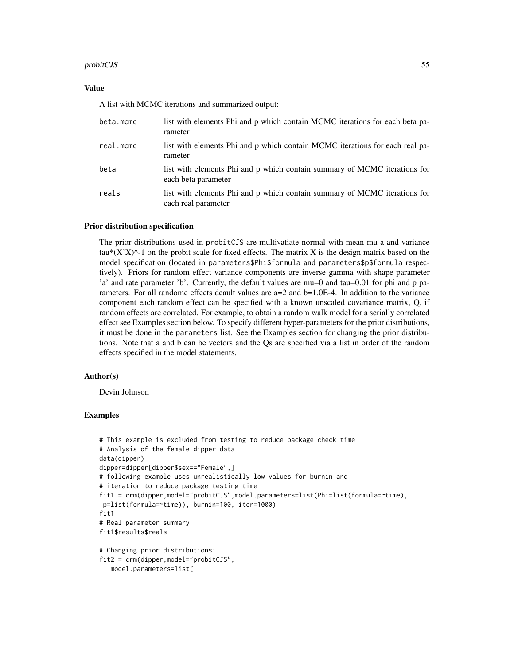## probitCJS 55

#### Value

A list with MCMC iterations and summarized output:

| beta.mcmc | list with elements Phi and p which contain MCMC iterations for each beta pa-<br>rameter          |
|-----------|--------------------------------------------------------------------------------------------------|
| real.mcmc | list with elements Phi and p which contain MCMC iterations for each real pa-<br>rameter          |
| beta      | list with elements Phi and p which contain summary of MCMC iterations for<br>each beta parameter |
| reals     | list with elements Phi and p which contain summary of MCMC iterations for<br>each real parameter |

#### Prior distribution specification

The prior distributions used in probitCJS are multivatiate normal with mean mu a and variance tau\* $(X'X)$ <sup> $\wedge$ </sup>-1 on the probit scale for fixed effects. The matrix X is the design matrix based on the model specification (located in parameters\$Phi\$formula and parameters\$p\$formula respectively). Priors for random effect variance components are inverse gamma with shape parameter 'a' and rate parameter 'b'. Currently, the default values are mu=0 and tau=0.01 for phi and p parameters. For all randome effects deault values are  $a=2$  and  $b=1.0E-4$ . In addition to the variance component each random effect can be specified with a known unscaled covariance matrix, Q, if random effects are correlated. For example, to obtain a random walk model for a serially correlated effect see Examples section below. To specify different hyper-parameters for the prior distributions, it must be done in the parameters list. See the Examples section for changing the prior distributions. Note that a and b can be vectors and the Qs are specified via a list in order of the random effects specified in the model statements.

#### Author(s)

Devin Johnson

#### Examples

```
# This example is excluded from testing to reduce package check time
# Analysis of the female dipper data
data(dipper)
dipper=dipper[dipper$sex=="Female",]
# following example uses unrealistically low values for burnin and
# iteration to reduce package testing time
fit1 = crm(dipper,model="probitCJS",model.parameters=list(Phi=list(formula=~time),
p=list(formula=~time)), burnin=100, iter=1000)
fit1
# Real parameter summary
fit1$results$reals
# Changing prior distributions:
fit2 = crm(dipper,model="probitCJS",
  model.parameters=list(
```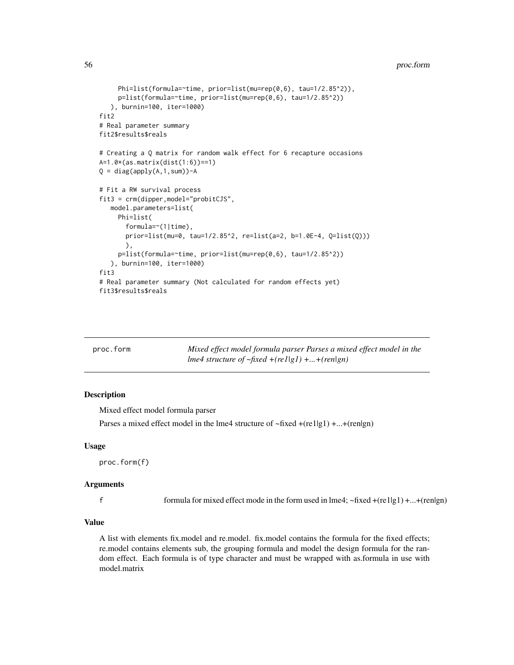```
Phi=list(formula=~time, prior=list(mu=rep(0,6), tau=1/2.85^2)),
    p=list(formula=~time, prior=list(mu=rep(0,6), tau=1/2.85^2))
  ), burnin=100, iter=1000)
fit2
# Real parameter summary
fit2$results$reals
# Creating a Q matrix for random walk effect for 6 recapture occasions
A=1.0*(as.matrix(dist(1:6))==1)
Q = diag(apply(A, 1, sum)) - A# Fit a RW survival process
fit3 = crm(dipper,model="probitCJS",
  model.parameters=list(
    Phi=list(
      formula=~(1|time),
      prior=list(mu=0, tau=1/2.85^2, re=list(a=2, b=1.0E-4, Q=list(Q)))
      ),
    p=list(formula=~time, prior=list(mu=rep(0,6), tau=1/2.85^2))
  ), burnin=100, iter=1000)
fit3
# Real parameter summary (Not calculated for random effects yet)
fit3$results$reals
```

| proc.form | Mixed effect model formula parser Parses a mixed effect model in the |
|-----------|----------------------------------------------------------------------|
|           | lme4 structure of $\neg$ fixed $\neg$ (rel gl) + $\neg$ (ren gn)     |

Mixed effect model formula parser

Parses a mixed effect model in the lme4 structure of  $\neg$  fixed  $+(re1|g1) + ... + (ren|g1)$ 

#### Usage

proc.form(f)

# Arguments

f formula for mixed effect mode in the form used in lme4;  $\neg$  fixed  $+(rel|g1) + ... +(rel|g1)$ 

# Value

A list with elements fix.model and re.model. fix.model contains the formula for the fixed effects; re.model contains elements sub, the grouping formula and model the design formula for the random effect. Each formula is of type character and must be wrapped with as.formula in use with model.matrix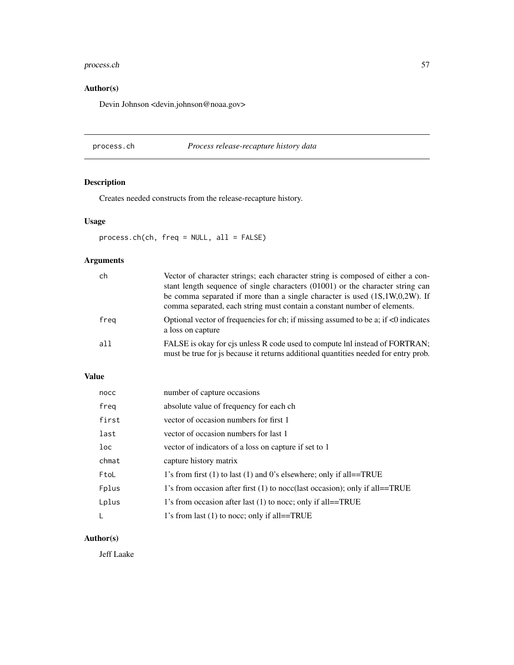# process.ch 57

# Author(s)

Devin Johnson <devin.johnson@noaa.gov>

# <span id="page-56-0"></span>process.ch *Process release-recapture history data*

# Description

Creates needed constructs from the release-recapture history.

# Usage

process.ch(ch, freq = NULL, all = FALSE)

# Arguments

| ch   | Vector of character strings; each character string is composed of either a con-<br>stant length sequence of single characters (01001) or the character string can<br>be comma separated if more than a single character is used $(1S,1W,0,2W)$ . If<br>comma separated, each string must contain a constant number of elements. |
|------|---------------------------------------------------------------------------------------------------------------------------------------------------------------------------------------------------------------------------------------------------------------------------------------------------------------------------------|
| freg | Optional vector of frequencies for ch; if missing assumed to be a; if $\lt 0$ indicates<br>a loss on capture                                                                                                                                                                                                                    |
| all  | FALSE is okay for cjs unless R code used to compute lnl instead of FORTRAN;<br>must be true for is because it returns additional quantities needed for entry prob.                                                                                                                                                              |

# Value

| nocc  | number of capture occasions                                                   |
|-------|-------------------------------------------------------------------------------|
| freg  | absolute value of frequency for each ch                                       |
| first | vector of occasion numbers for first 1                                        |
| last  | vector of occasion numbers for last 1                                         |
| loc   | vector of indicators of a loss on capture if set to 1                         |
| chmat | capture history matrix                                                        |
| FtoL  | 1's from first $(1)$ to last $(1)$ and 0's elsewhere; only if all==TRUE       |
| Fplus | 1's from occasion after first $(1)$ to nocc(last occasion); only if all==TRUE |
| Lplus | 1's from occasion after last (1) to noce; only if all==TRUE                   |
|       | 1's from last (1) to noce; only if all==TRUE                                  |

# Author(s)

Jeff Laake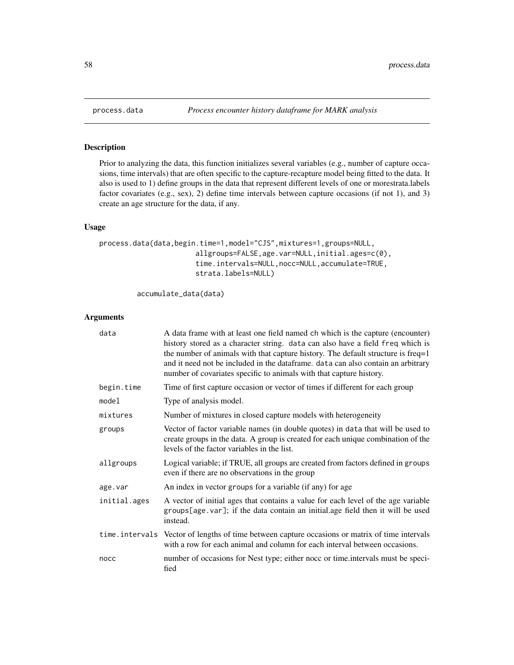Prior to analyzing the data, this function initializes several variables (e.g., number of capture occasions, time intervals) that are often specific to the capture-recapture model being fitted to the data. It also is used to 1) define groups in the data that represent different levels of one or morestrata.labels factor covariates (e.g., sex), 2) define time intervals between capture occasions (if not 1), and 3) create an age structure for the data, if any.

# Usage

```
process.data(data,begin.time=1,model="CJS",mixtures=1,groups=NULL,
                       allgroups=FALSE,age.var=NULL,initial.ages=c(0),
                       time.intervals=NULL,nocc=NULL,accumulate=TRUE,
                       strata.labels=NULL)
```
accumulate\_data(data)

#### Arguments

| data         | A data frame with at least one field named ch which is the capture (encounter)<br>history stored as a character string. data can also have a field freq which is<br>the number of animals with that capture history. The default structure is freq=1<br>and it need not be included in the dataframe. data can also contain an arbitrary<br>number of covariates specific to animals with that capture history. |
|--------------|-----------------------------------------------------------------------------------------------------------------------------------------------------------------------------------------------------------------------------------------------------------------------------------------------------------------------------------------------------------------------------------------------------------------|
| begin.time   | Time of first capture occasion or vector of times if different for each group                                                                                                                                                                                                                                                                                                                                   |
| mode1        | Type of analysis model.                                                                                                                                                                                                                                                                                                                                                                                         |
| mixtures     | Number of mixtures in closed capture models with heterogeneity                                                                                                                                                                                                                                                                                                                                                  |
| groups       | Vector of factor variable names (in double quotes) in data that will be used to<br>create groups in the data. A group is created for each unique combination of the<br>levels of the factor variables in the list.                                                                                                                                                                                              |
| allgroups    | Logical variable; if TRUE, all groups are created from factors defined in groups<br>even if there are no observations in the group                                                                                                                                                                                                                                                                              |
| age.var      | An index in vector groups for a variable (if any) for age                                                                                                                                                                                                                                                                                                                                                       |
| initial.ages | A vector of initial ages that contains a value for each level of the age variable<br>groups[age.var]; if the data contain an initial.age field then it will be used<br>instead.                                                                                                                                                                                                                                 |
|              | time. intervals Vector of lengths of time between capture occasions or matrix of time intervals<br>with a row for each animal and column for each interval between occasions.                                                                                                                                                                                                                                   |
| nocc         | number of occasions for Nest type; either nocc or time intervals must be speci-<br>fied                                                                                                                                                                                                                                                                                                                         |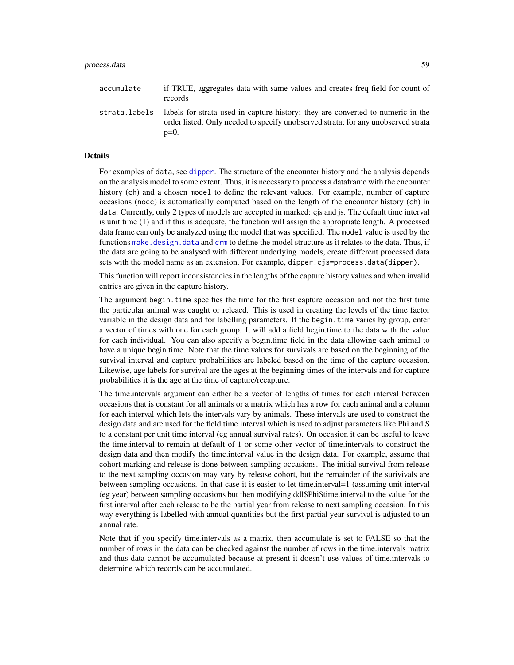# process.data 59

| accumulate | if TRUE, aggregates data with same values and creates freq field for count of<br>records                                                                                                       |
|------------|------------------------------------------------------------------------------------------------------------------------------------------------------------------------------------------------|
|            | strata. Labels labels for strata used in capture history; they are converted to numeric in the<br>order listed. Only needed to specify unobserved strata; for any unobserved strata<br>$p=0$ . |

#### Details

For examples of data, see [dipper](#page-28-0). The structure of the encounter history and the analysis depends on the analysis model to some extent. Thus, it is necessary to process a dataframe with the encounter history (ch) and a chosen model to define the relevant values. For example, number of capture occasions (nocc) is automatically computed based on the length of the encounter history (ch) in data. Currently, only 2 types of models are accepted in marked: cjs and js. The default time interval is unit time (1) and if this is adequate, the function will assign the appropriate length. A processed data frame can only be analyzed using the model that was specified. The model value is used by the functions [make.design.data](#page-40-0) and [crm](#page-21-0) to define the model structure as it relates to the data. Thus, if the data are going to be analysed with different underlying models, create different processed data sets with the model name as an extension. For example, dipper.cjs=process.data(dipper).

This function will report inconsistencies in the lengths of the capture history values and when invalid entries are given in the capture history.

The argument begin.time specifies the time for the first capture occasion and not the first time the particular animal was caught or releaed. This is used in creating the levels of the time factor variable in the design data and for labelling parameters. If the begin.time varies by group, enter a vector of times with one for each group. It will add a field begin.time to the data with the value for each individual. You can also specify a begin.time field in the data allowing each animal to have a unique begin.time. Note that the time values for survivals are based on the beginning of the survival interval and capture probabilities are labeled based on the time of the capture occasion. Likewise, age labels for survival are the ages at the beginning times of the intervals and for capture probabilities it is the age at the time of capture/recapture.

The time.intervals argument can either be a vector of lengths of times for each interval between occasions that is constant for all animals or a matrix which has a row for each animal and a column for each interval which lets the intervals vary by animals. These intervals are used to construct the design data and are used for the field time.interval which is used to adjust parameters like Phi and S to a constant per unit time interval (eg annual survival rates). On occasion it can be useful to leave the time.interval to remain at default of 1 or some other vector of time.intervals to construct the design data and then modify the time.interval value in the design data. For example, assume that cohort marking and release is done between sampling occasions. The initial survival from release to the next sampling occasion may vary by release cohort, but the remainder of the surivivals are between sampling occasions. In that case it is easier to let time.interval=1 (assuming unit interval (eg year) between sampling occasions but then modifying ddl\$Phi\$time.interval to the value for the first interval after each release to be the partial year from release to next sampling occasion. In this way everything is labelled with annual quantities but the first partial year survival is adjusted to an annual rate.

Note that if you specify time.intervals as a matrix, then accumulate is set to FALSE so that the number of rows in the data can be checked against the number of rows in the time.intervals matrix and thus data cannot be accumulated because at present it doesn't use values of time.intervals to determine which records can be accumulated.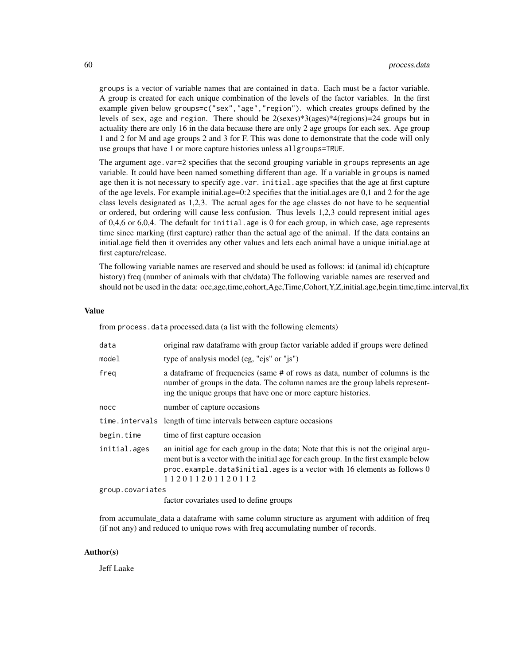groups is a vector of variable names that are contained in data. Each must be a factor variable. A group is created for each unique combination of the levels of the factor variables. In the first example given below groups=c("sex","age","region"). which creates groups defined by the levels of sex, age and region. There should be  $2$ (sexes)\*3(ages)\*4(regions)=24 groups but in actuality there are only 16 in the data because there are only 2 age groups for each sex. Age group 1 and 2 for M and age groups 2 and 3 for F. This was done to demonstrate that the code will only use groups that have 1 or more capture histories unless allgroups=TRUE.

The argument age.var=2 specifies that the second grouping variable in groups represents an age variable. It could have been named something different than age. If a variable in groups is named age then it is not necessary to specify age.var. initial.age specifies that the age at first capture of the age levels. For example initial.age=0:2 specifies that the initial.ages are 0,1 and 2 for the age class levels designated as 1,2,3. The actual ages for the age classes do not have to be sequential or ordered, but ordering will cause less confusion. Thus levels 1,2,3 could represent initial ages of 0,4,6 or 6,0,4. The default for initial.age is 0 for each group, in which case, age represents time since marking (first capture) rather than the actual age of the animal. If the data contains an initial.age field then it overrides any other values and lets each animal have a unique initial.age at first capture/release.

The following variable names are reserved and should be used as follows: id (animal id) ch(capture history) freq (number of animals with that ch/data) The following variable names are reserved and should not be used in the data: occ,age,time,cohort,Age,Time,Cohort,Y,Z,initial.age,begin.time,time.interval,fix

#### Value

from process.data processed.data (a list with the following elements)

| data             | original raw dataframe with group factor variable added if groups were defined                                                                                                                                                                                              |
|------------------|-----------------------------------------------------------------------------------------------------------------------------------------------------------------------------------------------------------------------------------------------------------------------------|
| model            | type of analysis model (eg, "cjs" or "js")                                                                                                                                                                                                                                  |
| freg             | a data frame of frequencies (same # of rows as data, number of columns is the<br>number of groups in the data. The column names are the group labels represent-<br>ing the unique groups that have one or more capture histories.                                           |
| nocc             | number of capture occasions                                                                                                                                                                                                                                                 |
|                  | time.intervals length of time intervals between capture occasions                                                                                                                                                                                                           |
| begin.time       | time of first capture occasion                                                                                                                                                                                                                                              |
| initial.ages     | an initial age for each group in the data; Note that this is not the original argu-<br>ment but is a vector with the initial age for each group. In the first example below<br>proc.example.data\$initial.ages is a vector with 16 elements as follows 0<br>112011201120112 |
| group.covariates |                                                                                                                                                                                                                                                                             |
|                  | . Cantan and and at an over 1 to 1. Curr and over                                                                                                                                                                                                                           |

factor covariates used to define groups

from accumulate data a dataframe with same column structure as argument with addition of freq (if not any) and reduced to unique rows with freq accumulating number of records.

#### Author(s)

Jeff Laake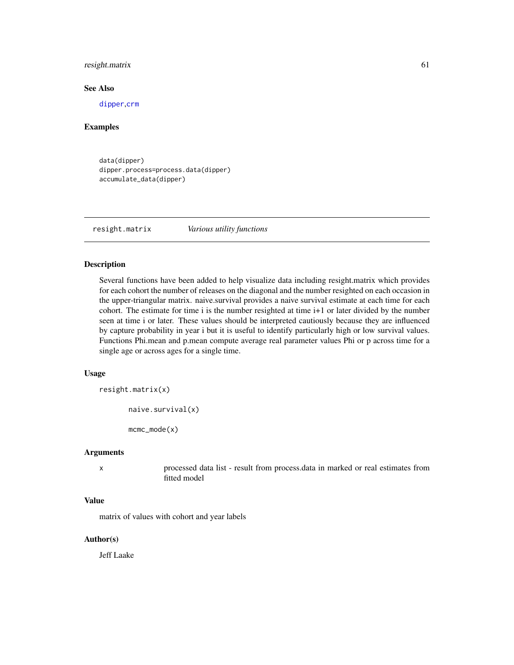# resight.matrix 61

# See Also

[dipper](#page-28-0),[crm](#page-21-0)

## Examples

```
data(dipper)
dipper.process=process.data(dipper)
accumulate_data(dipper)
```
resight.matrix *Various utility functions*

# Description

Several functions have been added to help visualize data including resight.matrix which provides for each cohort the number of releases on the diagonal and the number resighted on each occasion in the upper-triangular matrix. naive.survival provides a naive survival estimate at each time for each cohort. The estimate for time i is the number resighted at time i+1 or later divided by the number seen at time i or later. These values should be interpreted cautiously because they are influenced by capture probability in year i but it is useful to identify particularly high or low survival values. Functions Phi.mean and p.mean compute average real parameter values Phi or p across time for a single age or across ages for a single time.

# Usage

resight.matrix(x)

naive.survival(x)

mcmc\_mode(x)

#### Arguments

x processed data list - result from process.data in marked or real estimates from fitted model

#### Value

matrix of values with cohort and year labels

# Author(s)

Jeff Laake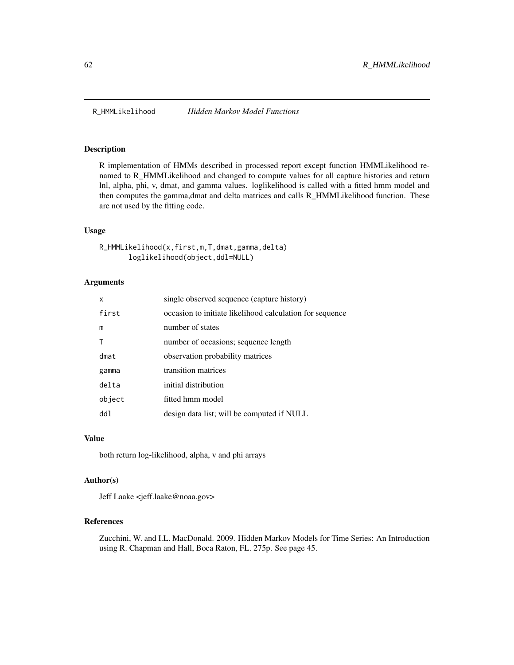R implementation of HMMs described in processed report except function HMMLikelihood renamed to R\_HMMLikelihood and changed to compute values for all capture histories and return lnl, alpha, phi, v, dmat, and gamma values. loglikelihood is called with a fitted hmm model and then computes the gamma,dmat and delta matrices and calls R\_HMMLikelihood function. These are not used by the fitting code.

# Usage

```
R_HMMLikelihood(x,first,m,T,dmat,gamma,delta)
       loglikelihood(object,ddl=NULL)
```
# Arguments

| x      | single observed sequence (capture history)               |
|--------|----------------------------------------------------------|
| first  | occasion to initiate likelihood calculation for sequence |
| m      | number of states                                         |
|        | number of occasions; sequence length                     |
| dmat   | observation probability matrices                         |
| gamma  | transition matrices                                      |
| delta  | initial distribution                                     |
| object | fitted hmm model                                         |
| dd1    | design data list; will be computed if NULL               |

# Value

both return log-likelihood, alpha, v and phi arrays

# Author(s)

Jeff Laake <jeff.laake@noaa.gov>

# References

Zucchini, W. and I.L. MacDonald. 2009. Hidden Markov Models for Time Series: An Introduction using R. Chapman and Hall, Boca Raton, FL. 275p. See page 45.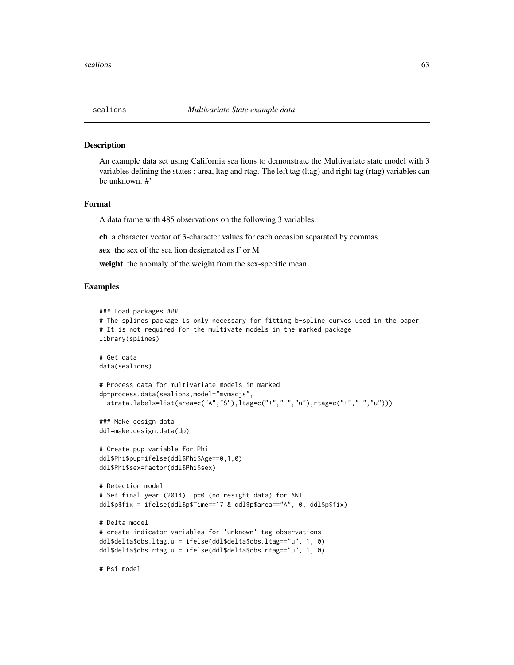An example data set using California sea lions to demonstrate the Multivariate state model with 3 variables defining the states : area, ltag and rtag. The left tag (ltag) and right tag (rtag) variables can be unknown. #'

#### Format

A data frame with 485 observations on the following 3 variables.

ch a character vector of 3-character values for each occasion separated by commas.

sex the sex of the sea lion designated as F or M

weight the anomaly of the weight from the sex-specific mean

## Examples

```
### Load packages ###
# The splines package is only necessary for fitting b-spline curves used in the paper
# It is not required for the multivate models in the marked package
library(splines)
# Get data
data(sealions)
# Process data for multivariate models in marked
dp=process.data(sealions,model="mvmscjs",
 strata.labels=list(area=c("A","S"),ltag=c("+","-","u"),rtag=c("+","-","u")))
### Make design data
ddl=make.design.data(dp)
# Create pup variable for Phi
ddl$Phi$pup=ifelse(ddl$Phi$Age==0,1,0)
ddl$Phi$sex=factor(ddl$Phi$sex)
# Detection model
# Set final year (2014) p=0 (no resight data) for ANI
ddl$p$fix = ifelse(ddl$p$Time==17 & ddl$p$area=="A", 0, ddl$p$fix)
# Delta model
# create indicator variables for 'unknown' tag observations
ddl$delta$obs.ltag.u = ifelse(ddl$delta$obs.ltag=="u", 1, 0)
ddl$delta$obs.rtag.u = ifelse(ddl$delta$obs.rtag=="u", 1, 0)
# Psi model
```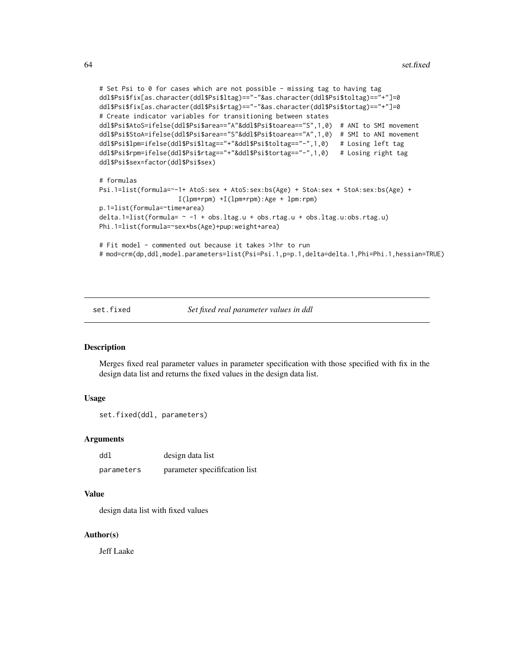```
# Set Psi to 0 for cases which are not possible - missing tag to having tag
ddl$Psi$fix[as.character(ddl$Psi$ltag)=="-"&as.character(ddl$Psi$toltag)=="+"]=0
ddl$Psi$fix[as.character(ddl$Psi$rtag)=="-"&as.character(ddl$Psi$tortag)=="+"]=0
# Create indicator variables for transitioning between states
ddl$Psi$AtoS=ifelse(ddl$Psi$area=="A"&ddl$Psi$toarea=="S",1,0) # ANI to SMI movement
ddl$Psi$StoA=ifelse(ddl$Psi$area=="S"&ddl$Psi$toarea=="A",1,0) # SMI to ANI movement
ddl$Psi$lpm=ifelse(ddl$Psi$ltag=="+"&ddl$Psi$toltag=="-",1,0) # Losing left tag
ddl$Psi$rpm=ifelse(ddl$Psi$rtag=="+"&ddl$Psi$tortag=="-",1,0) # Losing right tag
ddl$Psi$sex=factor(ddl$Psi$sex)
# formulas
Psi.1=list(formula=~-1+ AtoS:sex + AtoS:sex:bs(Age) + StoA:sex + StoA:sex:bs(Age) +
                    I(lpm+rpm) +I(lpm+rpm):Age + lpm:rpm)
p.1=list(formula=~time*area)
delta.1=list(formula= ~ -1 + obs.ltag.u + obs.rtag.u + obs.ltag.u:obs.rtag.u)
Phi.1=list(formula=~sex*bs(Age)+pup:weight+area)
# Fit model - commented out because it takes >1hr to run
# mod=crm(dp,ddl,model.parameters=list(Psi=Psi.1,p=p.1,delta=delta.1,Phi=Phi.1,hessian=TRUE)
```
set.fixed *Set fixed real parameter values in ddl*

#### **Description**

Merges fixed real parameter values in parameter specification with those specified with fix in the design data list and returns the fixed values in the design data list.

#### Usage

```
set.fixed(ddl, parameters)
```
#### Arguments

| ddl        | design data list             |
|------------|------------------------------|
| parameters | parameter specification list |

## Value

design data list with fixed values

# Author(s)

Jeff Laake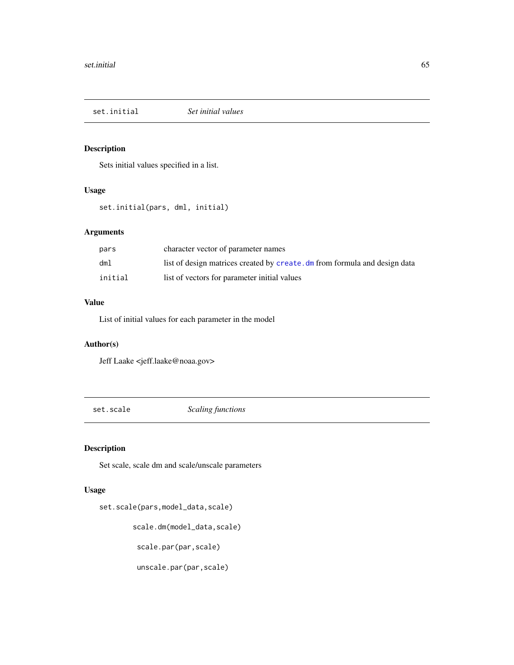set.initial *Set initial values*

# Description

Sets initial values specified in a list.

# Usage

set.initial(pars, dml, initial)

# Arguments

| pars    | character vector of parameter names                                        |
|---------|----------------------------------------------------------------------------|
| dm1     | list of design matrices created by create. dm from formula and design data |
| initial | list of vectors for parameter initial values                               |

# Value

List of initial values for each parameter in the model

# Author(s)

Jeff Laake <jeff.laake@noaa.gov>

set.scale *Scaling functions*

# Description

Set scale, scale dm and scale/unscale parameters

# Usage

```
set.scale(pars,model_data,scale)
```
scale.dm(model\_data,scale)

```
scale.par(par,scale)
```
unscale.par(par,scale)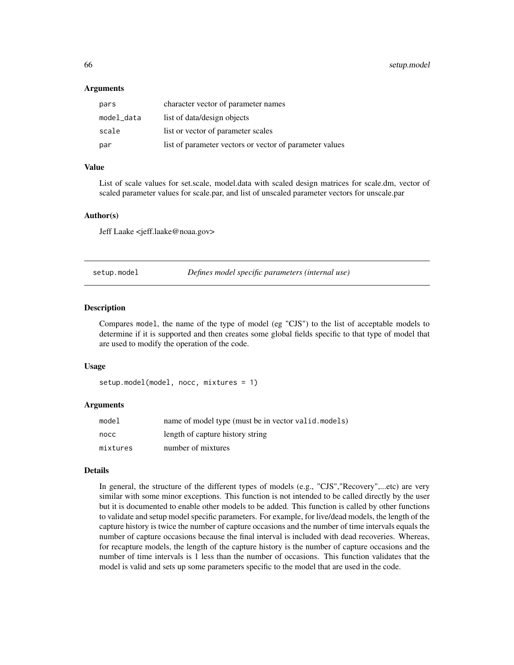#### Arguments

| pars       | character vector of parameter names                     |
|------------|---------------------------------------------------------|
| model_data | list of data/design objects                             |
| scale      | list or vector of parameter scales                      |
| par        | list of parameter vectors or vector of parameter values |

# Value

List of scale values for set.scale, model.data with scaled design matrices for scale.dm, vector of scaled parameter values for scale.par, and list of unscaled parameter vectors for unscale.par

#### Author(s)

Jeff Laake <jeff.laake@noaa.gov>

<span id="page-65-0"></span>setup.model *Defines model specific parameters (internal use)*

#### Description

Compares model, the name of the type of model (eg "CJS") to the list of acceptable models to determine if it is supported and then creates some global fields specific to that type of model that are used to modify the operation of the code.

#### Usage

```
setup.model(model, nocc, mixtures = 1)
```
#### Arguments

| model    | name of model type (must be in vector valid.models) |
|----------|-----------------------------------------------------|
| nocc     | length of capture history string                    |
| mixtures | number of mixtures                                  |

# Details

In general, the structure of the different types of models (e.g., "CJS","Recovery",...etc) are very similar with some minor exceptions. This function is not intended to be called directly by the user but it is documented to enable other models to be added. This function is called by other functions to validate and setup model specific parameters. For example, for live/dead models, the length of the capture history is twice the number of capture occasions and the number of time intervals equals the number of capture occasions because the final interval is included with dead recoveries. Whereas, for recapture models, the length of the capture history is the number of capture occasions and the number of time intervals is 1 less than the number of occasions. This function validates that the model is valid and sets up some parameters specific to the model that are used in the code.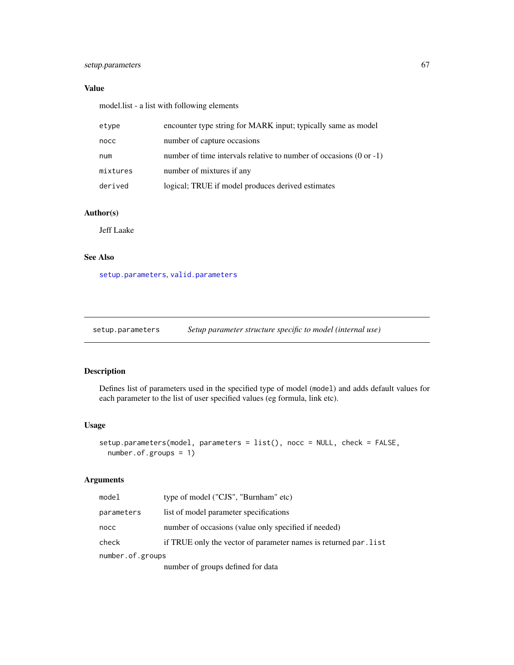# setup.parameters 67

# Value

model.list - a list with following elements

| etype    | encounter type string for MARK input; typically same as model                 |
|----------|-------------------------------------------------------------------------------|
| nocc     | number of capture occasions                                                   |
| num      | number of time intervals relative to number of occasions $(0 \text{ or } -1)$ |
| mixtures | number of mixtures if any                                                     |
| derived  | logical; TRUE if model produces derived estimates                             |

# Author(s)

Jeff Laake

## See Also

[setup.parameters](#page-66-0), [valid.parameters](#page-73-0)

<span id="page-66-0"></span>setup.parameters *Setup parameter structure specific to model (internal use)*

# Description

Defines list of parameters used in the specified type of model (model) and adds default values for each parameter to the list of user specified values (eg formula, link etc).

## Usage

```
setup.parameters(model, parameters = list(), nocc = NULL, check = FALSE,
 number.of.groups = 1)
```
# Arguments

| model            | type of model ("CJS", "Burnham" etc)                             |
|------------------|------------------------------------------------------------------|
| parameters       | list of model parameter specifications                           |
| nocc             | number of occasions (value only specified if needed)             |
| check            | if TRUE only the vector of parameter names is returned par. list |
| number.of.groups |                                                                  |
|                  | number of groups defined for data                                |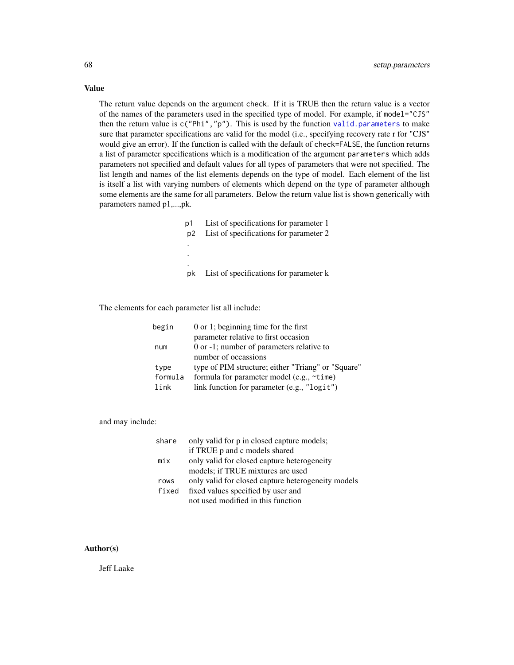The return value depends on the argument check. If it is TRUE then the return value is a vector of the names of the parameters used in the specified type of model. For example, if model="CJS" then the return value is  $c("Phi", "p")$ . This is used by the function [valid.parameters](#page-73-0) to make sure that parameter specifications are valid for the model (i.e., specifying recovery rate r for "CJS" would give an error). If the function is called with the default of check=FALSE, the function returns a list of parameter specifications which is a modification of the argument parameters which adds parameters not specified and default values for all types of parameters that were not specified. The list length and names of the list elements depends on the type of model. Each element of the list is itself a list with varying numbers of elements which depend on the type of parameter although some elements are the same for all parameters. Below the return value list is shown generically with parameters named p1,...,pk.

> p1 List of specifications for parameter 1 p2 List of specifications for parameter 2 . . . pk List of specifications for parameter k

The elements for each parameter list all include:

| begin   | $0$ or 1; beginning time for the first             |
|---------|----------------------------------------------------|
|         | parameter relative to first occasion               |
| num     | 0 or -1; number of parameters relative to          |
|         | number of occassions                               |
| type    | type of PIM structure; either "Triang" or "Square" |
| formula | formula for parameter model (e.g., $\sim$ time)    |
| link    | link function for parameter (e.g., "logit")        |

and may include:

| share | only valid for p in closed capture models;         |
|-------|----------------------------------------------------|
|       | if TRUE p and c models shared                      |
| mix   | only valid for closed capture heterogeneity        |
|       | models; if TRUE mixtures are used                  |
| rows  | only valid for closed capture heterogeneity models |
| fixed | fixed values specified by user and                 |
|       | not used modified in this function                 |

## Author(s)

Jeff Laake

# Value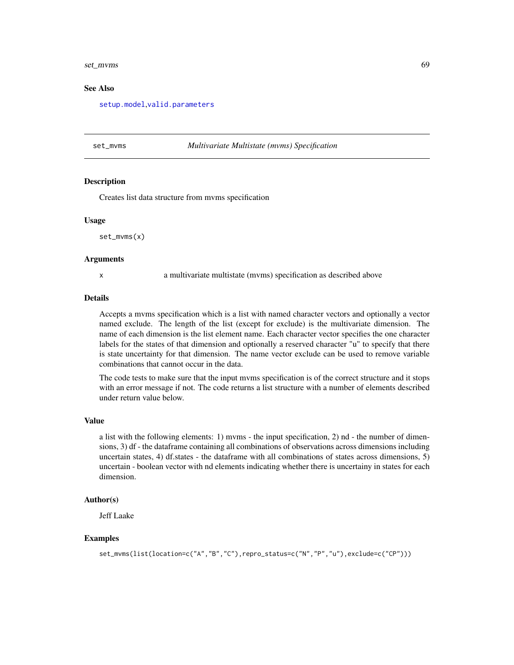#### set\_mvms 69

#### See Also

[setup.model](#page-65-0),[valid.parameters](#page-73-0)

#### set\_mvms *Multivariate Multistate (mvms) Specification*

#### Description

Creates list data structure from mvms specification

#### Usage

set\_mvms(x)

#### Arguments

x a multivariate multistate (mvms) specification as described above

#### Details

Accepts a mvms specification which is a list with named character vectors and optionally a vector named exclude. The length of the list (except for exclude) is the multivariate dimension. The name of each dimension is the list element name. Each character vector specifies the one character labels for the states of that dimension and optionally a reserved character "u" to specify that there is state uncertainty for that dimension. The name vector exclude can be used to remove variable combinations that cannot occur in the data.

The code tests to make sure that the input mvms specification is of the correct structure and it stops with an error message if not. The code returns a list structure with a number of elements described under return value below.

#### Value

a list with the following elements: 1) mvms - the input specification, 2) nd - the number of dimensions, 3) df - the dataframe containing all combinations of observations across dimensions including uncertain states, 4) df.states - the dataframe with all combinations of states across dimensions, 5) uncertain - boolean vector with nd elements indicating whether there is uncertainy in states for each dimension.

#### Author(s)

Jeff Laake

#### Examples

```
set_mvms(list(location=c("A","B","C"),repro_status=c("N","P","u"),exclude=c("CP")))
```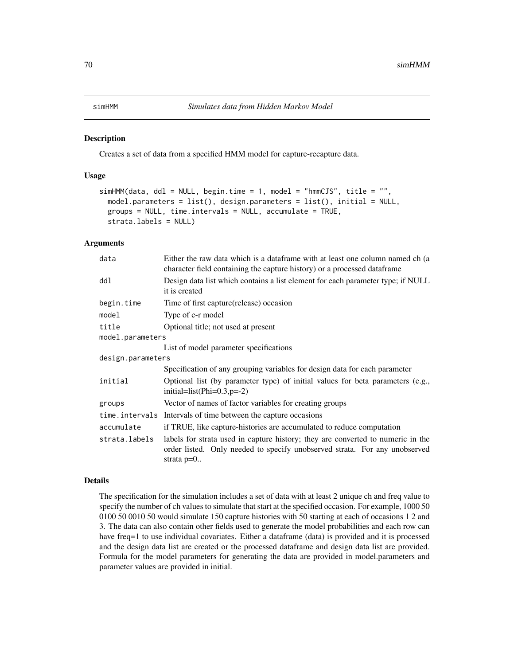Creates a set of data from a specified HMM model for capture-recapture data.

## Usage

```
simHMM(data, ddl = NULL, begin.time = 1, model = "hmmCJS", title = "",
 model.parameters = list(), design.parameters = list(), initial = NULL,
 groups = NULL, time.intervals = NULL, accumulate = TRUE,
  strata.labels = NULL)
```
#### Arguments

| data              | Either the raw data which is a dataframe with at least one column named ch (a<br>character field containing the capture history) or a processed dataframe                     |  |
|-------------------|-------------------------------------------------------------------------------------------------------------------------------------------------------------------------------|--|
| ddl               | Design data list which contains a list element for each parameter type; if NULL<br>it is created                                                                              |  |
| begin.time        | Time of first capture (release) occasion                                                                                                                                      |  |
| model             | Type of c-r model                                                                                                                                                             |  |
| title             | Optional title; not used at present                                                                                                                                           |  |
| model.parameters  |                                                                                                                                                                               |  |
|                   | List of model parameter specifications                                                                                                                                        |  |
| design.parameters |                                                                                                                                                                               |  |
|                   | Specification of any grouping variables for design data for each parameter                                                                                                    |  |
| initial           | Optional list (by parameter type) of initial values for beta parameters $(e.g.,)$<br>initial=list(Phi= $0.3$ , p= $-2$ )                                                      |  |
| groups            | Vector of names of factor variables for creating groups                                                                                                                       |  |
|                   | time.intervals Intervals of time between the capture occasions                                                                                                                |  |
| accumulate        | if TRUE, like capture-histories are accumulated to reduce computation                                                                                                         |  |
| strata.labels     | labels for strata used in capture history; they are converted to numeric in the<br>order listed. Only needed to specify unobserved strata. For any unobserved<br>strata $p=0$ |  |

#### Details

The specification for the simulation includes a set of data with at least 2 unique ch and freq value to specify the number of ch values to simulate that start at the specified occasion. For example, 1000 50 0100 50 0010 50 would simulate 150 capture histories with 50 starting at each of occasions 1 2 and 3. The data can also contain other fields used to generate the model probabilities and each row can have freq=1 to use individual covariates. Either a dataframe (data) is provided and it is processed and the design data list are created or the processed dataframe and design data list are provided. Formula for the model parameters for generating the data are provided in model.parameters and parameter values are provided in initial.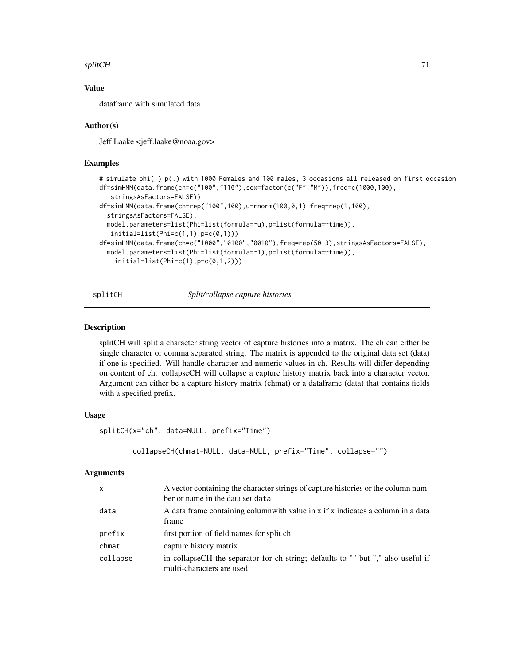#### splitCH 71

# Value

dataframe with simulated data

# Author(s)

Jeff Laake <jeff.laake@noaa.gov>

# Examples

```
# simulate phi(.) p(.) with 1000 Females and 100 males, 3 occasions all released on first occasion
df=simHMM(data.frame(ch=c("100","110"),sex=factor(c("F","M")),freq=c(1000,100),
   stringsAsFactors=FALSE))
df=simHMM(data.frame(ch=rep("100",100),u=rnorm(100,0,1),freq=rep(1,100),
 stringsAsFactors=FALSE),
 model.parameters=list(Phi=list(formula=~u),p=list(formula=~time)),
  initial=list(Phi=c(1,1),p=c(0,1)))
df=simHMM(data.frame(ch=c("1000","0100","0010"),freq=rep(50,3),stringsAsFactors=FALSE),
 model.parameters=list(Phi=list(formula=~1),p=list(formula=~time)),
    initial=list(Phi=(-0,1,2)))
```
splitCH *Split/collapse capture histories*

## **Description**

splitCH will split a character string vector of capture histories into a matrix. The ch can either be single character or comma separated string. The matrix is appended to the original data set (data) if one is specified. Will handle character and numeric values in ch. Results will differ depending on content of ch. collapseCH will collapse a capture history matrix back into a character vector. Argument can either be a capture history matrix (chmat) or a dataframe (data) that contains fields with a specified prefix.

# Usage

splitCH(x="ch", data=NULL, prefix="Time")

```
collapseCH(chmat=NULL, data=NULL, prefix="Time", collapse="")
```
#### Arguments

| $\mathsf{x}$ | A vector containing the character strings of capture histories or the column num-<br>ber or name in the data set data |
|--------------|-----------------------------------------------------------------------------------------------------------------------|
| data         | A data frame containing columnwith value in x if x indicates a column in a data<br>frame                              |
| prefix       | first portion of field names for split ch                                                                             |
| chmat        | capture history matrix                                                                                                |
| collapse     | in collapseCH the separator for ch string; defaults to "" but "," also useful if<br>multi-characters are used         |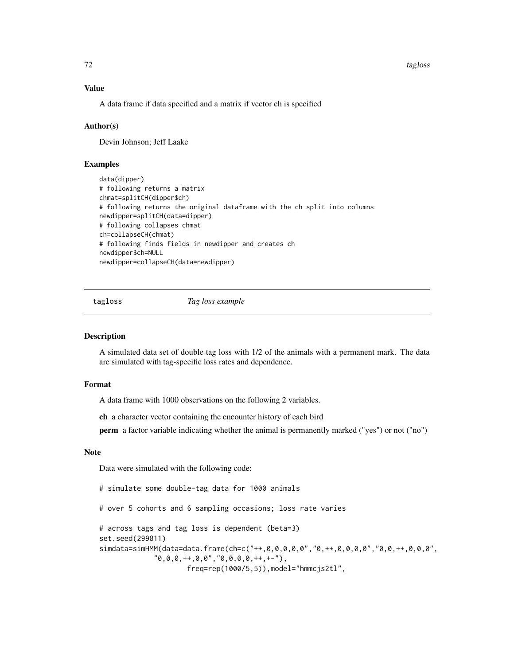#### 72 tagloss tagloss tagloss tagloss tagloss tagloss tagloss tagloss tagloss tagloss tagloss tagloss tagloss tagloss tagloss tagloss tagloss tagloss tagloss tagloss tagloss tagloss tagloss tagloss tagloss tagloss tagloss tag

# Value

A data frame if data specified and a matrix if vector ch is specified

## Author(s)

Devin Johnson; Jeff Laake

# Examples

```
data(dipper)
# following returns a matrix
chmat=splitCH(dipper$ch)
# following returns the original dataframe with the ch split into columns
newdipper=splitCH(data=dipper)
# following collapses chmat
ch=collapseCH(chmat)
# following finds fields in newdipper and creates ch
newdipper$ch=NULL
newdipper=collapseCH(data=newdipper)
```
tagloss *Tag loss example*

#### Description

A simulated data set of double tag loss with 1/2 of the animals with a permanent mark. The data are simulated with tag-specific loss rates and dependence.

# Format

A data frame with 1000 observations on the following 2 variables.

ch a character vector containing the encounter history of each bird

perm a factor variable indicating whether the animal is permanently marked ("yes") or not ("no")

# Note

Data were simulated with the following code:

# simulate some double-tag data for 1000 animals

# over 5 cohorts and 6 sampling occasions; loss rate varies

# across tags and tag loss is dependent (beta=3) set.seed(299811) simdata=simHMM(data=data.frame(ch=c("++,0,0,0,0,0","0,++,0,0,0,0","0,0,++,0,0,0",  $"0,0,0,***,0,0", "0,0,0,0,***,+-")$ , freq=rep(1000/5,5)),model="hmmcjs2tl",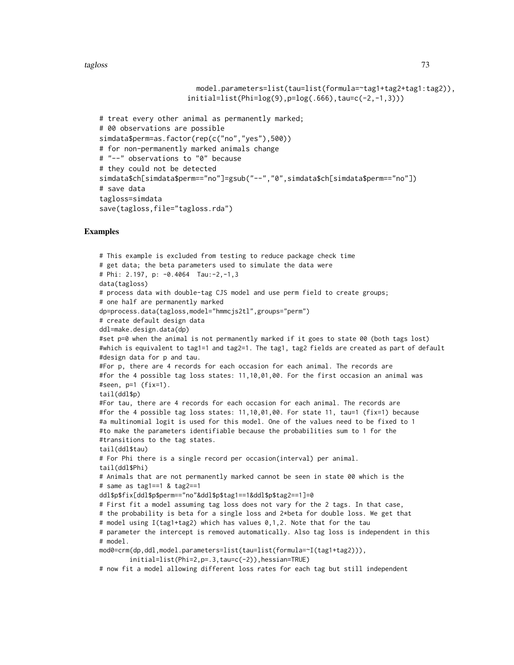#### tagloss and the contract of the contract of the contract of the contract of the contract of the contract of the contract of the contract of the contract of the contract of the contract of the contract of the contract of th

```
model.parameters=list(tau=list(formula=~tag1+tag2+tag1:tag2)),
                     initial=list(Phi(9),p=log(.666),tau=cc(-2,-1,3)))# treat every other animal as permanently marked;
# 00 observations are possible
simdata$perm=as.factor(rep(c("no","yes"),500))
# for non-permanently marked animals change
# "--" observations to "0" because
# they could not be detected
simdata$ch[simdata$perm=="no"]=gsub("--","0",simdata$ch[simdata$perm=="no"])
# save data
tagloss=simdata
save(tagloss,file="tagloss.rda")
```
#### Examples

```
# This example is excluded from testing to reduce package check time
# get data; the beta parameters used to simulate the data were
# Phi: 2.197, p: -0.4064 Tau:-2,-1,3
data(tagloss)
# process data with double-tag CJS model and use perm field to create groups;
# one half are permanently marked
dp=process.data(tagloss,model="hmmcjs2tl",groups="perm")
# create default design data
ddl=make.design.data(dp)
#set p=0 when the animal is not permanently marked if it goes to state 00 (both tags lost)
#which is equivalent to tag1=1 and tag2=1. The tag1, tag2 fields are created as part of default
#design data for p and tau.
#For p, there are 4 records for each occasion for each animal. The records are
#for the 4 possible tag loss states: 11,10,01,00. For the first occasion an animal was
#seen, p=1 (fix=1).
tail(ddl$p)
#For tau, there are 4 records for each occasion for each animal. The records are
#for the 4 possible tag loss states: 11,10,01,00. For state 11, tau=1 (fix=1) because
#a multinomial logit is used for this model. One of the values need to be fixed to 1
#to make the parameters identifiable because the probabilities sum to 1 for the
#transitions to the tag states.
tail(ddl$tau)
# For Phi there is a single record per occasion(interval) per animal.
tail(ddl$Phi)
# Animals that are not permanently marked cannot be seen in state 00 which is the
# same as tag1==1 & tag2==1
ddl$p$fix[ddl$p$perm=="no"&ddl$p$tag1==1&ddl$p$tag2==1]=0
# First fit a model assuming tag loss does not vary for the 2 tags. In that case,
# the probability is beta for a single loss and 2*beta for double loss. We get that
# model using I(tag1+tag2) which has values 0,1,2. Note that for the tau
# parameter the intercept is removed automatically. Also tag loss is independent in this
# model.
mod0=crm(dp,ddl,model.parameters=list(tau=list(formula=~I(tag1+tag2))),
       initial=list(Phi=2,p=.3,tau=c(-2)),hessian=TRUE)
# now fit a model allowing different loss rates for each tag but still independent
```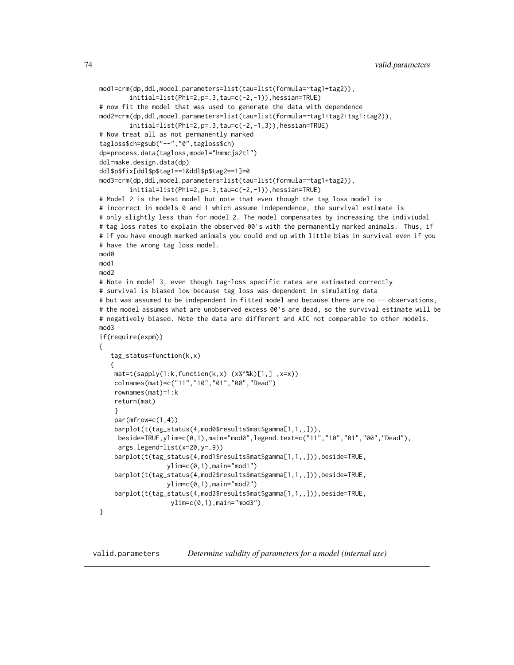```
mod1=crm(dp,ddl,model.parameters=list(tau=list(formula=~tag1+tag2)),
        initial=list(Phi=2,p=.3,tau=c(-2,-1)),hessian=TRUE)
# now fit the model that was used to generate the data with dependence
mod2=crm(dp,ddl,model.parameters=list(tau=list(formula=~tag1+tag2+tag1:tag2)),
        initial=list(Phi=2,p=.3,tau=c(-2,-1,3)),hessian=TRUE)
# Now treat all as not permanently marked
tagloss$ch=gsub("--","0",tagloss$ch)
dp=process.data(tagloss,model="hmmcjs2tl")
ddl=make.design.data(dp)
ddl$p$fix[ddl$p$tag1==1&ddl$p$tag2==1]=0
mod3=crm(dp,ddl,model.parameters=list(tau=list(formula=~tag1+tag2)),
        initial=list(Phi=2,p=.3,tau=c(-2,-1)),hessian=TRUE)
# Model 2 is the best model but note that even though the tag loss model is
# incorrect in models 0 and 1 which assume independence, the survival estimate is
# only slightly less than for model 2. The model compensates by increasing the indiviudal
# tag loss rates to explain the observed 00's with the permanently marked animals. Thus, if
# if you have enough marked animals you could end up with little bias in survival even if you
# have the wrong tag loss model.
mod<sub>0</sub>
mod1
mod2
# Note in model 3, even though tag-loss specific rates are estimated correctly
# survival is biased low because tag loss was dependent in simulating data
# but was assumed to be independent in fitted model and because there are no -- observations,
# the model assumes what are unobserved excess 00's are dead, so the survival estimate will be
# negatively biased. Note the data are different and AIC not comparable to other models.
mod3
if(require(expm))
{
   tag_status=function(k,x)
   {
   mat=t(sapply(1:k, function(k, x) (x %^*k)[1,], x=x))colnames(mat)=c("11","10","01","00","Dead")
    rownames(mat)=1:k
    return(mat)
    }
    par(mfrow=c(1,4))
    barplot(t(tag_status(4,mod0$results$mat$gamma[1,1,,])),
    beside=TRUE,ylim=c(0,1),main="mod0",legend.text=c("11","10","01","00","Dead"),
     args.legend=list(x=20,y=.9))
    barplot(t(tag_status(4,mod1$results$mat$gamma[1,1,,])),beside=TRUE,
                  ylim=c(0,1),main="mod1")
    barplot(t(tag_status(4,mod2$results$mat$gamma[1,1,,])),beside=TRUE,
                  ylim=c(0,1),main="mod2")
    barplot(t(tag_status(4,mod3$results$mat$gamma[1,1,,])),beside=TRUE,
                   ylim=c(0,1),main="mod3")
}
```
valid.parameters *Determine validity of parameters for a model (internal use)*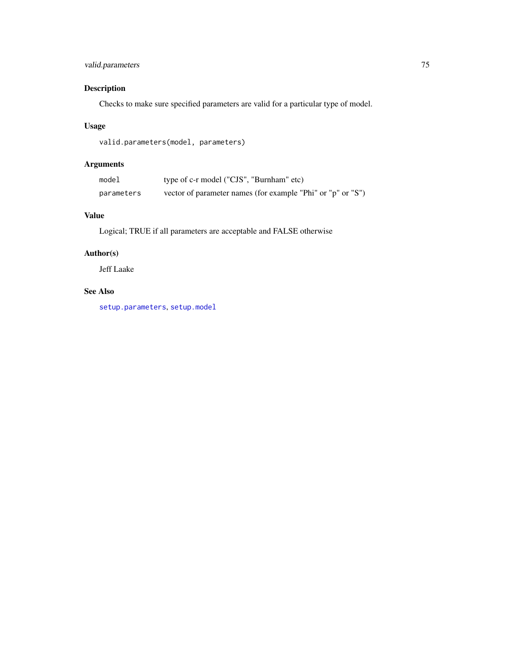# <span id="page-74-0"></span>valid.parameters 75

## Description

Checks to make sure specified parameters are valid for a particular type of model.

## Usage

```
valid.parameters(model, parameters)
```
## Arguments

| model      | type of c-r model ("CJS", "Burnham" etc)                    |
|------------|-------------------------------------------------------------|
| parameters | vector of parameter names (for example "Phi" or "p" or "S") |

### Value

Logical; TRUE if all parameters are acceptable and FALSE otherwise

## Author(s)

Jeff Laake

## See Also

[setup.parameters](#page-66-0), [setup.model](#page-65-0)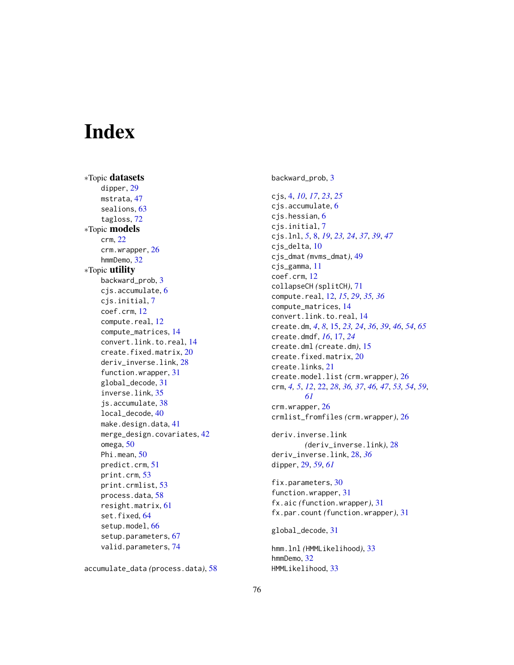# **Index**

∗Topic datasets dipper, [29](#page-28-0) mstrata, [47](#page-46-0) sealions, [63](#page-62-0) tagloss, [72](#page-71-0) ∗Topic models crm, [22](#page-21-0) crm.wrapper, [26](#page-25-0) hmmDemo, [32](#page-31-0) ∗Topic utility backward\_prob, [3](#page-2-0) cjs.accumulate, [6](#page-5-0) cjs.initial, [7](#page-6-0) coef.crm, [12](#page-11-0) compute.real, [12](#page-11-0) compute\_matrices, [14](#page-13-0) convert.link.to.real, [14](#page-13-0) create.fixed.matrix, [20](#page-19-0) deriv\_inverse.link, [28](#page-27-0) function.wrapper, [31](#page-30-0) global\_decode, [31](#page-30-0) inverse.link, [35](#page-34-0) js.accumulate, [38](#page-37-0) local\_decode, [40](#page-39-0) make.design.data, [41](#page-40-0) merge\_design.covariates, [42](#page-41-0) omega, [50](#page-49-0) Phi.mean, [50](#page-49-0) predict.crm, [51](#page-50-0) print.crm, [53](#page-52-0) print.crmlist, [53](#page-52-0) process.data, [58](#page-57-0) resight.matrix, [61](#page-60-0) set.fixed, [64](#page-63-0) setup.model, [66](#page-65-1) setup.parameters, [67](#page-66-1) valid.parameters, [74](#page-73-0)

accumulate\_data *(*process.data*)*, [58](#page-57-0)

backward\_prob, [3](#page-2-0)

cjs, [4,](#page-3-0) *[10](#page-9-0)*, *[17](#page-16-0)*, *[23](#page-22-0)*, *[25](#page-24-0)* cjs.accumulate, [6](#page-5-0) cjs.hessian, [6](#page-5-0) cjs.initial, [7](#page-6-0) cjs.lnl, *[5](#page-4-0)*, [8,](#page-7-0) *[19](#page-18-0)*, *[23,](#page-22-0) [24](#page-23-0)*, *[37](#page-36-0)*, *[39](#page-38-0)*, *[47](#page-46-0)* cjs\_delta, [10](#page-9-0) cjs\_dmat *(*mvms\_dmat*)*, [49](#page-48-0) cjs\_gamma, [11](#page-10-0) coef.crm, [12](#page-11-0) collapseCH *(*splitCH*)*, [71](#page-70-0) compute.real, [12,](#page-11-0) *[15](#page-14-0)*, *[29](#page-28-0)*, *[35,](#page-34-0) [36](#page-35-0)* compute\_matrices, [14](#page-13-0) convert.link.to.real, [14](#page-13-0) create.dm, *[4](#page-3-0)*, *[8](#page-7-0)*, [15,](#page-14-0) *[23,](#page-22-0) [24](#page-23-0)*, *[36](#page-35-0)*, *[39](#page-38-0)*, *[46](#page-45-0)*, *[54](#page-53-0)*, *[65](#page-64-0)* create.dmdf, *[16](#page-15-0)*, [17,](#page-16-0) *[24](#page-23-0)* create.dml *(*create.dm*)*, [15](#page-14-0) create.fixed.matrix, [20](#page-19-0) create.links, [21](#page-20-0) create.model.list *(*crm.wrapper*)*, [26](#page-25-0) crm, *[4,](#page-3-0) [5](#page-4-0)*, *[12](#page-11-0)*, [22,](#page-21-0) *[28](#page-27-0)*, *[36,](#page-35-0) [37](#page-36-0)*, *[46,](#page-45-0) [47](#page-46-0)*, *[53,](#page-52-0) [54](#page-53-0)*, *[59](#page-58-0)*, *[61](#page-60-0)* crm.wrapper, [26](#page-25-0) crmlist\_fromfiles *(*crm.wrapper*)*, [26](#page-25-0) deriv.inverse.link *(*deriv\_inverse.link*)*, [28](#page-27-0) deriv\_inverse.link, [28,](#page-27-0) *[36](#page-35-0)* dipper, [29,](#page-28-0) *[59](#page-58-0)*, *[61](#page-60-0)* fix.parameters, [30](#page-29-0) function.wrapper, [31](#page-30-0) fx.aic *(*function.wrapper*)*, [31](#page-30-0) fx.par.count *(*function.wrapper*)*, [31](#page-30-0)

global\_decode, [31](#page-30-0)

hmm.lnl *(*HMMLikelihood*)*, [33](#page-32-0) hmmDemo, [32](#page-31-0) HMMLikelihood, [33](#page-32-0)